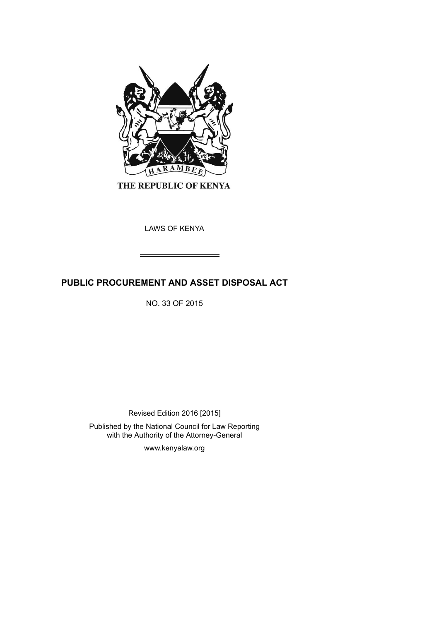

THE REPUBLIC OF KENYA

LAWS OF KENYA

# **PUBLIC PROCUREMENT AND ASSET DISPOSAL ACT**

NO. 33 OF 2015

Revised Edition 2016 [2015]

Published by the National Council for Law Reporting with the Authority of the Attorney-General

www.kenyalaw.org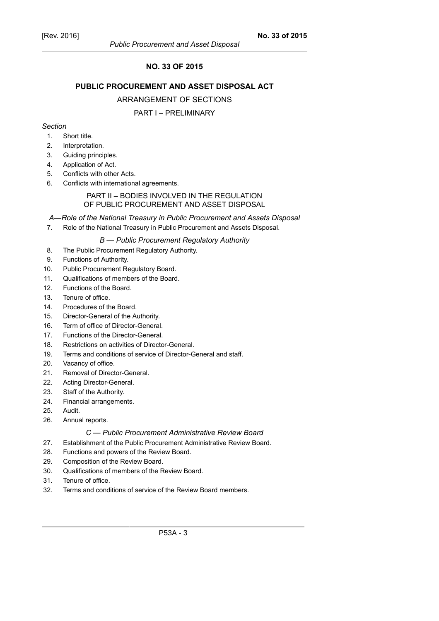## **NO. 33 OF 2015**

## **PUBLIC PROCUREMENT AND ASSET DISPOSAL ACT**

#### ARRANGEMENT OF SECTIONS

#### PART I – PRELIMINARY

#### *Section*

- 1. Short title.
- 2. Interpretation.
- 3. Guiding principles.
- 4. Application of Act.
- 5. Conflicts with other Acts.
- 6. Conflicts with international agreements.

#### PART II – BODIES INVOLVED IN THE REGULATION OF PUBLIC PROCUREMENT AND ASSET DISPOSAL

## *A—Role of the National Treasury in Public Procurement and Assets Disposal*

7. Role of the National Treasury in Public Procurement and Assets Disposal.

## *B — Public Procurement Regulatory Authority*

- 8. The Public Procurement Regulatory Authority.
- 9. Functions of Authority.
- 10. Public Procurement Regulatory Board.
- 11. Qualifications of members of the Board.
- 12. Functions of the Board.
- 13. Tenure of office.
- 14. Procedures of the Board.
- 15. Director-General of the Authority.
- 16. Term of office of Director-General.
- 17. Functions of the Director-General.
- 18. Restrictions on activities of Director-General.
- 19. Terms and conditions of service of Director-General and staff.
- 20. Vacancy of office.
- 21. Removal of Director-General.
- 22. Acting Director-General.
- 23. Staff of the Authority.
- 24. Financial arrangements.
- 25. Audit.
- 26. Annual reports.

#### *C — Public Procurement Administrative Review Board*

- 27. Establishment of the Public Procurement Administrative Review Board.
- 28. Functions and powers of the Review Board.
- 29. Composition of the Review Board.
- 30. Qualifications of members of the Review Board.
- 31. Tenure of office.
- 32. Terms and conditions of service of the Review Board members.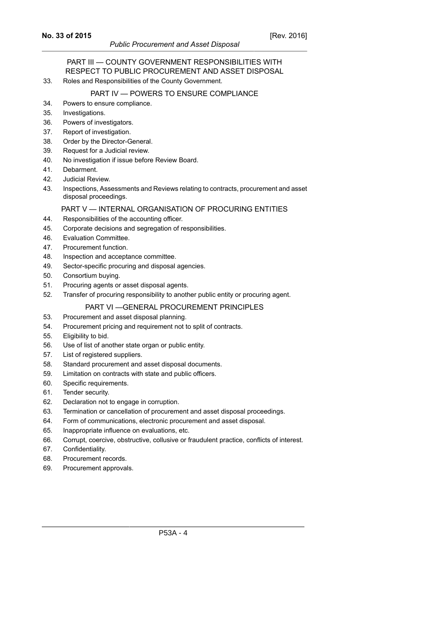#### PART III — COUNTY GOVERNMENT RESPONSIBILITIES WITH RESPECT TO PUBLIC PROCUREMENT AND ASSET DISPOSAL

33. Roles and Responsibilities of the County Government.

## PART IV — POWERS TO ENSURE COMPLIANCE

- 34. Powers to ensure compliance.
- 35. Investigations.
- 36. Powers of investigators.
- 37. Report of investigation.
- 38. Order by the Director-General.
- 39. Request for a Judicial review.
- 40. No investigation if issue before Review Board.
- 41. Debarment.
- 42. Judicial Review.
- 43. Inspections, Assessments and Reviews relating to contracts, procurement and asset disposal proceedings.

## PART V — INTERNAL ORGANISATION OF PROCURING ENTITIES

- 44. Responsibilities of the accounting officer.
- 45. Corporate decisions and segregation of responsibilities.
- 46. Evaluation Committee.
- 47. Procurement function.
- 48. Inspection and acceptance committee.
- 49. Sector-specific procuring and disposal agencies.
- 50. Consortium buying.
- 51. Procuring agents or asset disposal agents.
- 52. Transfer of procuring responsibility to another public entity or procuring agent.

#### PART VI —GENERAL PROCUREMENT PRINCIPLES

- 53. Procurement and asset disposal planning.
- 54. Procurement pricing and requirement not to split of contracts.
- 55. Eligibility to bid.
- 56. Use of list of another state organ or public entity.
- 57. List of registered suppliers.
- 58. Standard procurement and asset disposal documents.
- 59. Limitation on contracts with state and public officers.
- 60. Specific requirements.
- 61. Tender security.
- 62. Declaration not to engage in corruption.
- 63. Termination or cancellation of procurement and asset disposal proceedings.
- 64. Form of communications, electronic procurement and asset disposal.
- 65. Inappropriate influence on evaluations, etc.
- 66. Corrupt, coercive, obstructive, collusive or fraudulent practice, conflicts of interest.
- 67. Confidentiality.
- 68. Procurement records.
- 69. Procurement approvals.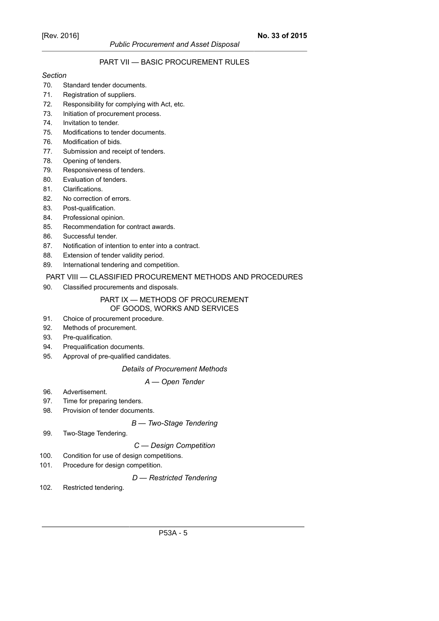# PART VII — BASIC PROCUREMENT RULES

#### *Section*

#### 70. Standard tender documents.

- 71. Registration of suppliers.
- 72. Responsibility for complying with Act, etc.
- 73. Initiation of procurement process.
- 74. Invitation to tender.
- 75. Modifications to tender documents.
- 76. Modification of bids.
- 77. Submission and receipt of tenders.
- 78. Opening of tenders.
- 79. Responsiveness of tenders.
- 80. Evaluation of tenders.
- 81. Clarifications.
- 82. No correction of errors.
- 83. Post-qualification.
- 84. Professional opinion.
- 85. Recommendation for contract awards.
- 86. Successful tender.
- 87. Notification of intention to enter into a contract.
- 88. Extension of tender validity period.
- 89. International tendering and competition.

#### PART VIII — CLASSIFIED PROCUREMENT METHODS AND PROCEDURES

90. Classified procurements and disposals.

#### PART IX — METHODS OF PROCUREMENT OF GOODS, WORKS AND SERVICES

- 91. Choice of procurement procedure.
- 92. Methods of procurement.
- 93. Pre-qualification.
- 94. Prequalification documents.
- 95. Approval of pre-qualified candidates.

#### *Details of Procurement Methods*

#### *A — Open Tender*

- 96. Advertisement.
- 97. Time for preparing tenders.
- 98. Provision of tender documents.

## *B — Two-Stage Tendering*

99. Two-Stage Tendering.

#### *C — Design Competition*

- 100. Condition for use of design competitions.
- 101. Procedure for design competition.

#### *D — Restricted Tendering*

102. Restricted tendering.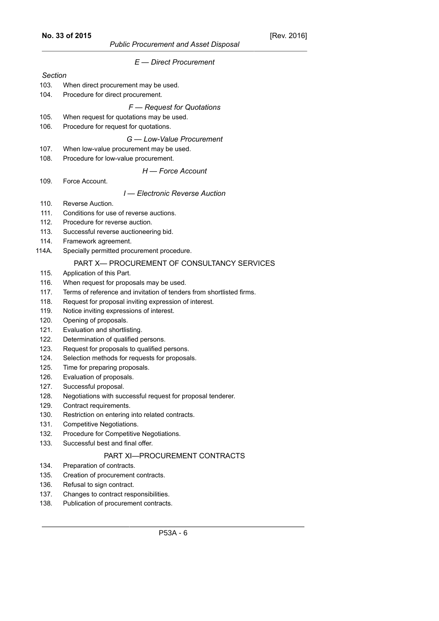|         | $E -$ Direct Procurement                                                        |
|---------|---------------------------------------------------------------------------------|
| Section |                                                                                 |
| 103.    | When direct procurement may be used.                                            |
| 104.    | Procedure for direct procurement.                                               |
|         | $F$ – Request for Quotations                                                    |
| 105.    | When request for quotations may be used.                                        |
| 106.    | Procedure for request for quotations.                                           |
|         | G - Low-Value Procurement                                                       |
| 107.    |                                                                                 |
| 108.    | When low-value procurement may be used.<br>Procedure for low-value procurement. |
|         | H - Force Account                                                               |
| 109.    | Force Account.                                                                  |
|         |                                                                                 |
| 110.    | I - Electronic Reverse Auction<br>Reverse Auction.                              |
| 111.    | Conditions for use of reverse auctions.                                         |
| 112.    | Procedure for reverse auction.                                                  |
| 113.    | Successful reverse auctioneering bid.                                           |
| 114.    | Framework agreement.                                                            |
| 114A.   | Specially permitted procurement procedure.                                      |
|         | PART X- PROCUREMENT OF CONSULTANCY SERVICES                                     |
| 115.    | Application of this Part.                                                       |
| 116.    | When request for proposals may be used.                                         |
| 117.    | Terms of reference and invitation of tenders from shortlisted firms.            |
| 118.    | Request for proposal inviting expression of interest.                           |
| 119.    | Notice inviting expressions of interest.                                        |
| 120.    | Opening of proposals.                                                           |
| 121.    | Evaluation and shortlisting.                                                    |
| 122.    | Determination of qualified persons.                                             |
| 123.    | Request for proposals to qualified persons.                                     |
| 124.    | Selection methods for requests for proposals.                                   |
| 125.    | Time for preparing proposals.                                                   |
| 126.    | Evaluation of proposals.                                                        |
| 127.    | Successful proposal.                                                            |
| 128.    | Negotiations with successful request for proposal tenderer.                     |
| 129.    | Contract requirements.                                                          |
| 130.    | Restriction on entering into related contracts.                                 |
| 131.    | Competitive Negotiations.                                                       |
| 132.    | Procedure for Competitive Negotiations.                                         |
| 133.    | Successful best and final offer.                                                |
|         | PART XI-PROCUREMENT CONTRACTS                                                   |
| 134.    | Preparation of contracts.                                                       |
| 135.    | Creation of procurement contracts.                                              |
| 136.    | Refusal to sign contract.                                                       |

- 137. Changes to contract responsibilities.
- 138. Publication of procurement contracts.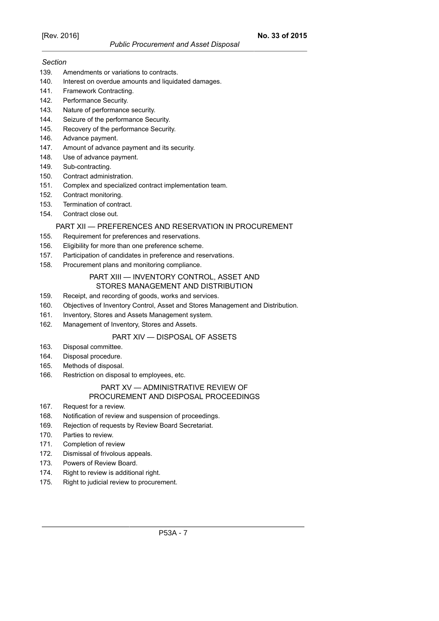## *Section*

- 139. Amendments or variations to contracts.
- 140. Interest on overdue amounts and liquidated damages.
- 141. Framework Contracting.
- 142. Performance Security.
- 143. Nature of performance security.
- 144. Seizure of the performance Security.
- 145. Recovery of the performance Security.
- 146. Advance payment.
- 147. Amount of advance payment and its security.
- 148. Use of advance payment.
- 149. Sub-contracting.
- 150. Contract administration.
- 151. Complex and specialized contract implementation team.
- 152. Contract monitoring.
- 153. Termination of contract.
- 154. Contract close out.

## PART XII — PREFERENCES AND RESERVATION IN PROCUREMENT

- 155. Requirement for preferences and reservations.
- 156. Eligibility for more than one preference scheme.
- 157. Participation of candidates in preference and reservations.
- 158. Procurement plans and monitoring compliance.

#### PART XIII — INVENTORY CONTROL, ASSET AND STORES MANAGEMENT AND DISTRIBUTION

- 159. Receipt, and recording of goods, works and services.
- 160. Objectives of Inventory Control, Asset and Stores Management and Distribution.
- 161. Inventory, Stores and Assets Management system.
- 162. Management of Inventory, Stores and Assets.

## PART XIV — DISPOSAL OF ASSETS

- 163. Disposal committee.
- 164. Disposal procedure.
- 165. Methods of disposal.
- 166. Restriction on disposal to employees, etc.

# PART XV — ADMINISTRATIVE REVIEW OF

# PROCUREMENT AND DISPOSAL PROCEEDINGS

- 167. Request for a review.
- 168. Notification of review and suspension of proceedings.
- 169. Rejection of requests by Review Board Secretariat.
- 170. Parties to review.
- 171. Completion of review
- 172. Dismissal of frivolous appeals.
- 173. Powers of Review Board.
- 174. Right to review is additional right.
- 175. Right to judicial review to procurement.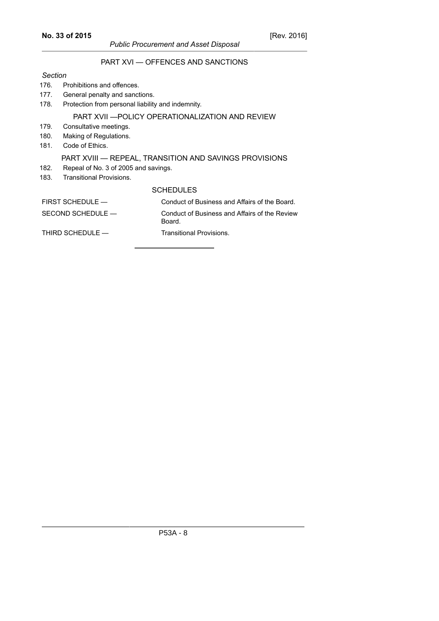# *Public Procurement and Asset Disposal* PART XVI — OFFENCES AND SANCTIONS

#### *Section*

#### 176. Prohibitions and offences.

- 177. General penalty and sanctions.
- 178. Protection from personal liability and indemnity.

## PART XVII —POLICY OPERATIONALIZATION AND REVIEW

- 179. Consultative meetings.
- 180. Making of Regulations.
- 181. Code of Ethics.

## PART XVIII — REPEAL, TRANSITION AND SAVINGS PROVISIONS

- 182. Repeal of No. 3 of 2005 and savings.
- 183. Transitional Provisions.

# **SCHEDULES**

| $FIRST$ SCHEDULE $-$ | Conduct of Business and Affairs of the Board.           |
|----------------------|---------------------------------------------------------|
| SECOND SCHEDULE —    | Conduct of Business and Affairs of the Review<br>Board. |
| THIRD SCHEDULE —     | Transitional Provisions.                                |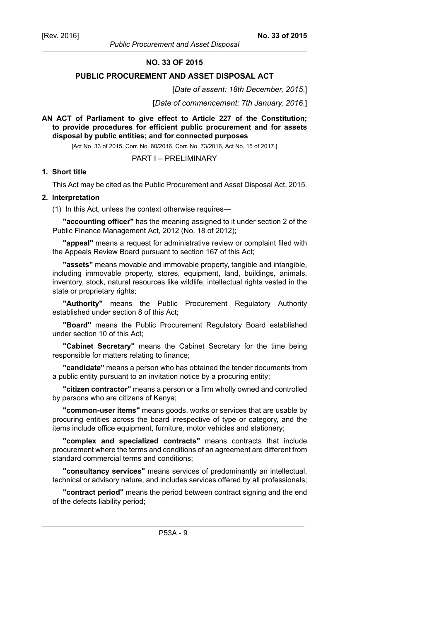*Public Procurement and Asset Disposal*

## **NO. 33 OF 2015**

#### **PUBLIC PROCUREMENT AND ASSET DISPOSAL ACT**

[*Date of assent: 18th December, 2015*.]

[*Date of commencement: 7th January, 2016*.]

## **AN ACT of Parliament to give effect to Article 227 of the Constitution; to provide procedures for efficient public procurement and for assets disposal by public entities; and for connected purposes**

[Act No. 33 of 2015, Corr. No. 60/2016, Corr. No. 73/2016, Act No. 15 of 2017.]

## PART I – PRELIMINARY

#### **1. Short title**

This Act may be cited as the Public Procurement and Asset Disposal Act, 2015.

#### **2. Interpretation**

(1) In this Act, unless the context otherwise requires—

**"accounting officer"** has the meaning assigned to it under section 2 of the Public Finance Management Act, 2012 (No. 18 of 2012);

**"appeal"** means a request for administrative review or complaint filed with the Appeals Review Board pursuant to section 167 of this Act;

**"assets"** means movable and immovable property, tangible and intangible, including immovable property, stores, equipment, land, buildings, animals, inventory, stock, natural resources like wildlife, intellectual rights vested in the state or proprietary rights;

**"Authority"** means the Public Procurement Regulatory Authority established under section 8 of this Act;

**"Board"** means the Public Procurement Regulatory Board established under section 10 of this Act;

**"Cabinet Secretary"** means the Cabinet Secretary for the time being responsible for matters relating to finance;

**"candidate"** means a person who has obtained the tender documents from a public entity pursuant to an invitation notice by a procuring entity;

**"citizen contractor"** means a person or a firm wholly owned and controlled by persons who are citizens of Kenya;

**"common-user items"** means goods, works or services that are usable by procuring entities across the board irrespective of type or category, and the items include office equipment, furniture, motor vehicles and stationery;

**"complex and specialized contracts"** means contracts that include procurement where the terms and conditions of an agreement are different from standard commercial terms and conditions;

**"consultancy services"** means services of predominantly an intellectual, technical or advisory nature, and includes services offered by all professionals;

**"contract period"** means the period between contract signing and the end of the defects liability period;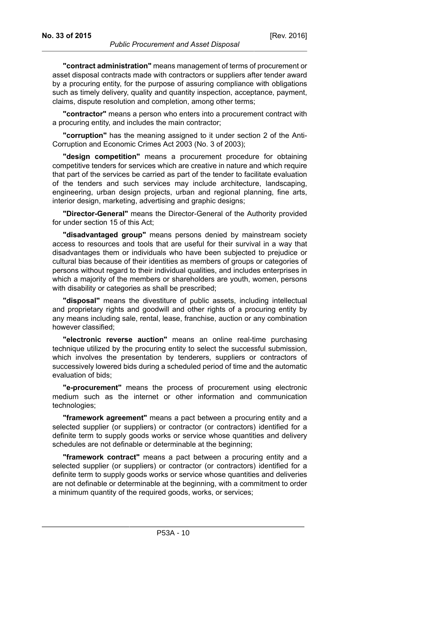**"contract administration"** means management of terms of procurement or

asset disposal contracts made with contractors or suppliers after tender award by a procuring entity, for the purpose of assuring compliance with obligations such as timely delivery, quality and quantity inspection, acceptance, payment, claims, dispute resolution and completion, among other terms;

**"contractor"** means a person who enters into a procurement contract with a procuring entity, and includes the main contractor;

**"corruption"** has the meaning assigned to it under section 2 of the Anti-Corruption and Economic Crimes Act 2003 (No. 3 of 2003);

**"design competition"** means a procurement procedure for obtaining competitive tenders for services which are creative in nature and which require that part of the services be carried as part of the tender to facilitate evaluation of the tenders and such services may include architecture, landscaping, engineering, urban design projects, urban and regional planning, fine arts, interior design, marketing, advertising and graphic designs;

**"Director-General"** means the Director-General of the Authority provided for under section 15 of this Act;

**"disadvantaged group"** means persons denied by mainstream society access to resources and tools that are useful for their survival in a way that disadvantages them or individuals who have been subjected to prejudice or cultural bias because of their identities as members of groups or categories of persons without regard to their individual qualities, and includes enterprises in which a majority of the members or shareholders are youth, women, persons with disability or categories as shall be prescribed;

**"disposal"** means the divestiture of public assets, including intellectual and proprietary rights and goodwill and other rights of a procuring entity by any means including sale, rental, lease, franchise, auction or any combination however classified;

**"electronic reverse auction"** means an online real-time purchasing technique utilized by the procuring entity to select the successful submission, which involves the presentation by tenderers, suppliers or contractors of successively lowered bids during a scheduled period of time and the automatic evaluation of bids;

**"e-procurement"** means the process of procurement using electronic medium such as the internet or other information and communication technologies;

**"framework agreement"** means a pact between a procuring entity and a selected supplier (or suppliers) or contractor (or contractors) identified for a definite term to supply goods works or service whose quantities and delivery schedules are not definable or determinable at the beginning;

**"framework contract"** means a pact between a procuring entity and a selected supplier (or suppliers) or contractor (or contractors) identified for a definite term to supply goods works or service whose quantities and deliveries are not definable or determinable at the beginning, with a commitment to order a minimum quantity of the required goods, works, or services;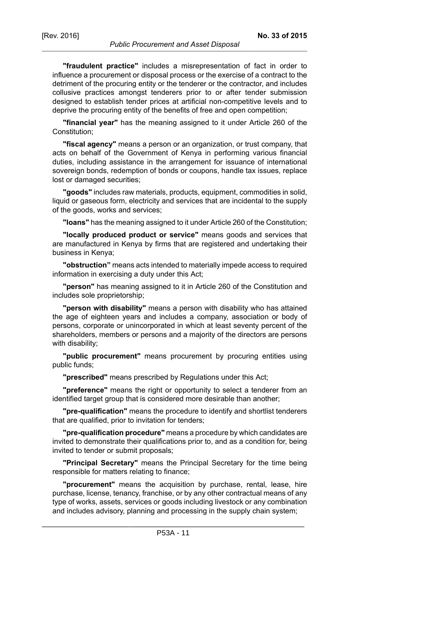**"fraudulent practice"** includes a misrepresentation of fact in order to influence a procurement or disposal process or the exercise of a contract to the detriment of the procuring entity or the tenderer or the contractor, and includes collusive practices amongst tenderers prior to or after tender submission designed to establish tender prices at artificial non-competitive levels and to deprive the procuring entity of the benefits of free and open competition;

**"financial year"** has the meaning assigned to it under Article 260 of the Constitution;

**"fiscal agency"** means a person or an organization, or trust company, that acts on behalf of the Government of Kenya in performing various financial duties, including assistance in the arrangement for issuance of international sovereign bonds, redemption of bonds or coupons, handle tax issues, replace lost or damaged securities;

**"goods"** includes raw materials, products, equipment, commodities in solid, liquid or gaseous form, electricity and services that are incidental to the supply of the goods, works and services;

**"loans"** has the meaning assigned to it under Article 260 of the Constitution;

**"locally produced product or service"** means goods and services that are manufactured in Kenya by firms that are registered and undertaking their business in Kenya;

**"obstruction"** means acts intended to materially impede access to required information in exercising a duty under this Act;

**"person"** has meaning assigned to it in Article 260 of the Constitution and includes sole proprietorship;

**"person with disability"** means a person with disability who has attained the age of eighteen years and includes a company, association or body of persons, corporate or unincorporated in which at least seventy percent of the shareholders, members or persons and a majority of the directors are persons with disability;

**"public procurement"** means procurement by procuring entities using public funds;

**"prescribed"** means prescribed by Regulations under this Act;

**"preference"** means the right or opportunity to select a tenderer from an identified target group that is considered more desirable than another;

**"pre-qualification"** means the procedure to identify and shortlist tenderers that are qualified, prior to invitation for tenders;

**"pre-qualification procedure"** means a procedure by which candidates are invited to demonstrate their qualifications prior to, and as a condition for, being invited to tender or submit proposals;

**"Principal Secretary"** means the Principal Secretary for the time being responsible for matters relating to finance;

**"procurement"** means the acquisition by purchase, rental, lease, hire purchase, license, tenancy, franchise, or by any other contractual means of any type of works, assets, services or goods including livestock or any combination and includes advisory, planning and processing in the supply chain system;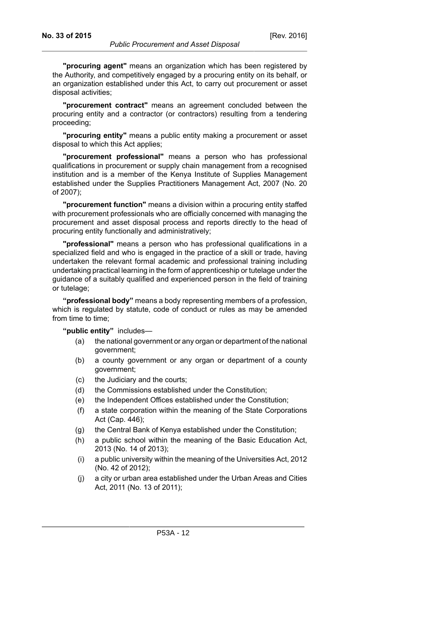**"procurement contract"** means an agreement concluded between the procuring entity and a contractor (or contractors) resulting from a tendering proceeding;

**"procuring entity"** means a public entity making a procurement or asset disposal to which this Act applies;

**"procurement professional"** means a person who has professional qualifications in procurement or supply chain management from a recognised institution and is a member of the Kenya Institute of Supplies Management established under the Supplies Practitioners Management Act, 2007 (No. 20 of 2007);

**"procurement function"** means a division within a procuring entity staffed with procurement professionals who are officially concerned with managing the procurement and asset disposal process and reports directly to the head of procuring entity functionally and administratively;

**"professional"** means a person who has professional qualifications in a specialized field and who is engaged in the practice of a skill or trade, having undertaken the relevant formal academic and professional training including undertaking practical learning in the form of apprenticeship or tutelage under the guidance of a suitably qualified and experienced person in the field of training or tutelage;

**"professional body"** means a body representing members of a profession, which is regulated by statute, code of conduct or rules as may be amended from time to time;

**"public entity"** includes—

- (a) the national government or any organ or department of the national government;
- (b) a county government or any organ or department of a county government;
- (c) the Judiciary and the courts;
- (d) the Commissions established under the Constitution;
- (e) the Independent Offices established under the Constitution;
- (f) a state corporation within the meaning of the State Corporations Act (Cap. 446);
- (g) the Central Bank of Kenya established under the Constitution;
- (h) a public school within the meaning of the Basic Education Act, 2013 (No. 14 of 2013);
- (i) a public university within the meaning of the Universities Act, 2012 (No. 42 of 2012);
- (j) a city or urban area established under the Urban Areas and Cities Act, 2011 (No. 13 of 2011);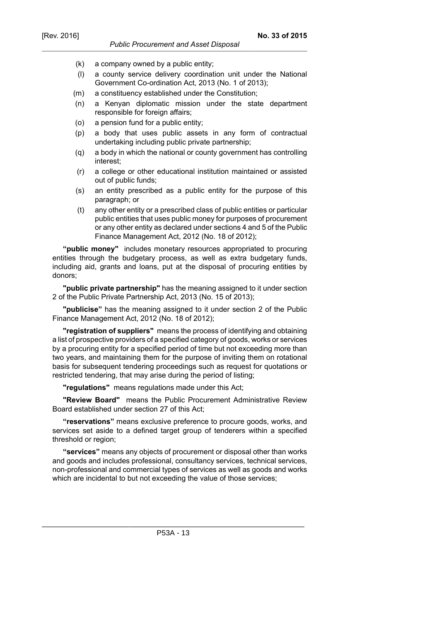- (k) a company owned by a public entity;
- (l) a county service delivery coordination unit under the National Government Co-ordination Act, 2013 (No. 1 of 2013);
- (m) a constituency established under the Constitution;
- (n) a Kenyan diplomatic mission under the state department responsible for foreign affairs;
- (o) a pension fund for a public entity;
- (p) a body that uses public assets in any form of contractual undertaking including public private partnership;
- (q) a body in which the national or county government has controlling interest;
- (r) a college or other educational institution maintained or assisted out of public funds;
- (s) an entity prescribed as a public entity for the purpose of this paragraph; or
- (t) any other entity or a prescribed class of public entities or particular public entities that uses public money for purposes of procurement or any other entity as declared under sections 4 and 5 of the Public Finance Management Act, 2012 (No. 18 of 2012);

**"public money"** includes monetary resources appropriated to procuring entities through the budgetary process, as well as extra budgetary funds, including aid, grants and loans, put at the disposal of procuring entities by donors;

**"public private partnership"** has the meaning assigned to it under section 2 of the Public Private Partnership Act, 2013 (No. 15 of 2013);

**"publicise"** has the meaning assigned to it under section 2 of the Public Finance Management Act, 2012 (No. 18 of 2012);

**"registration of suppliers"** means the process of identifying and obtaining a list of prospective providers of a specified category of goods, works or services by a procuring entity for a specified period of time but not exceeding more than two years, and maintaining them for the purpose of inviting them on rotational basis for subsequent tendering proceedings such as request for quotations or restricted tendering, that may arise during the period of listing;

**"regulations"** means regulations made under this Act;

**"Review Board"** means the Public Procurement Administrative Review Board established under section 27 of this Act;

**"reservations"** means exclusive preference to procure goods, works, and services set aside to a defined target group of tenderers within a specified threshold or region;

**"services"** means any objects of procurement or disposal other than works and goods and includes professional, consultancy services, technical services, non-professional and commercial types of services as well as goods and works which are incidental to but not exceeding the value of those services;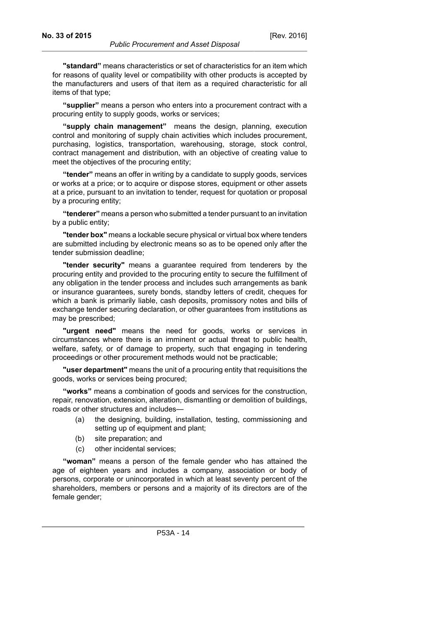**"standard"** means characteristics or set of characteristics for an item which for reasons of quality level or compatibility with other products is accepted by the manufacturers and users of that item as a required characteristic for all items of that type;

**"supplier"** means a person who enters into a procurement contract with a procuring entity to supply goods, works or services;

**"supply chain management"** means the design, planning, execution control and monitoring of supply chain activities which includes procurement, purchasing, logistics, transportation, warehousing, storage, stock control, contract management and distribution, with an objective of creating value to meet the objectives of the procuring entity;

**"tender"** means an offer in writing by a candidate to supply goods, services or works at a price; or to acquire or dispose stores, equipment or other assets at a price, pursuant to an invitation to tender, request for quotation or proposal by a procuring entity;

**"tenderer"** means a person who submitted a tender pursuant to an invitation by a public entity;

**"tender box"** means a lockable secure physical or virtual box where tenders are submitted including by electronic means so as to be opened only after the tender submission deadline;

**"tender security"** means a guarantee required from tenderers by the procuring entity and provided to the procuring entity to secure the fulfillment of any obligation in the tender process and includes such arrangements as bank or insurance guarantees, surety bonds, standby letters of credit, cheques for which a bank is primarily liable, cash deposits, promissory notes and bills of exchange tender securing declaration, or other guarantees from institutions as may be prescribed;

**"urgent need"** means the need for goods, works or services in circumstances where there is an imminent or actual threat to public health, welfare, safety, or of damage to property, such that engaging in tendering proceedings or other procurement methods would not be practicable;

**"user department"** means the unit of a procuring entity that requisitions the goods, works or services being procured;

**"works"** means a combination of goods and services for the construction, repair, renovation, extension, alteration, dismantling or demolition of buildings, roads or other structures and includes—

- (a) the designing, building, installation, testing, commissioning and setting up of equipment and plant;
- (b) site preparation; and
- (c) other incidental services;

**"woman"** means a person of the female gender who has attained the age of eighteen years and includes a company, association or body of persons, corporate or unincorporated in which at least seventy percent of the shareholders, members or persons and a majority of its directors are of the female gender;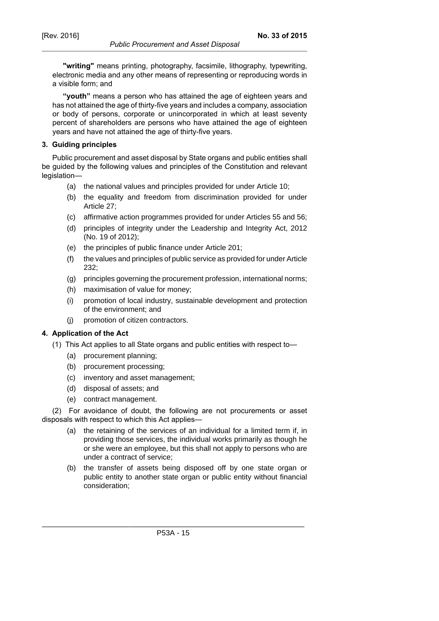**"writing"** means printing, photography, facsimile, lithography, typewriting, electronic media and any other means of representing or reproducing words in a visible form; and

**"youth"** means a person who has attained the age of eighteen years and has not attained the age of thirty-five years and includes a company, association or body of persons, corporate or unincorporated in which at least seventy percent of shareholders are persons who have attained the age of eighteen years and have not attained the age of thirty-five years.

#### **3. Guiding principles**

Public procurement and asset disposal by State organs and public entities shall be guided by the following values and principles of the Constitution and relevant legislation—

- (a) the national values and principles provided for under Article 10;
- (b) the equality and freedom from discrimination provided for under Article 27;
- (c) affirmative action programmes provided for under Articles 55 and 56;
- (d) principles of integrity under the Leadership and Integrity Act, 2012 (No. 19 of 2012);
- (e) the principles of public finance under Article 201;
- (f) the values and principles of public service as provided for under Article 232;
- (g) principles governing the procurement profession, international norms;
- (h) maximisation of value for money;
- (i) promotion of local industry, sustainable development and protection of the environment; and
- (j) promotion of citizen contractors.

#### **4. Application of the Act**

- (1) This Act applies to all State organs and public entities with respect to—
	- (a) procurement planning;
	- (b) procurement processing;
	- (c) inventory and asset management;
	- (d) disposal of assets; and
	- (e) contract management.

(2) For avoidance of doubt, the following are not procurements or asset disposals with respect to which this Act applies—

- (a) the retaining of the services of an individual for a limited term if, in providing those services, the individual works primarily as though he or she were an employee, but this shall not apply to persons who are under a contract of service;
- (b) the transfer of assets being disposed off by one state organ or public entity to another state organ or public entity without financial consideration;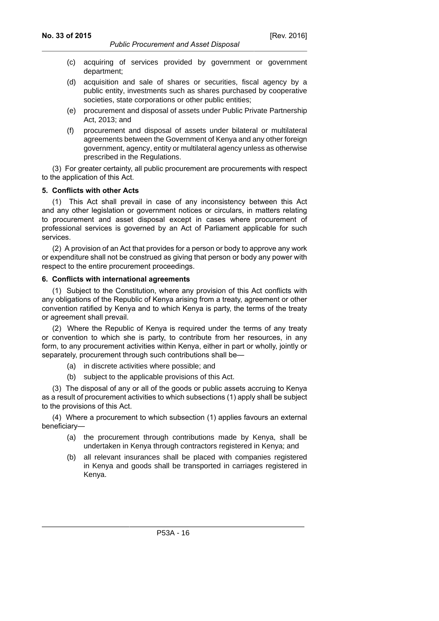- (c) acquiring of services provided by government or government department;
- (d) acquisition and sale of shares or securities, fiscal agency by a public entity, investments such as shares purchased by cooperative societies, state corporations or other public entities;
- (e) procurement and disposal of assets under Public Private Partnership Act, 2013; and
- (f) procurement and disposal of assets under bilateral or multilateral agreements between the Government of Kenya and any other foreign government, agency, entity or multilateral agency unless as otherwise prescribed in the Regulations.

(3) For greater certainty, all public procurement are procurements with respect to the application of this Act.

## **5. Conflicts with other Acts**

(1) This Act shall prevail in case of any inconsistency between this Act and any other legislation or government notices or circulars, in matters relating to procurement and asset disposal except in cases where procurement of professional services is governed by an Act of Parliament applicable for such services.

(2) A provision of an Act that provides for a person or body to approve any work or expenditure shall not be construed as giving that person or body any power with respect to the entire procurement proceedings.

## **6. Conflicts with international agreements**

(1) Subject to the Constitution, where any provision of this Act conflicts with any obligations of the Republic of Kenya arising from a treaty, agreement or other convention ratified by Kenya and to which Kenya is party, the terms of the treaty or agreement shall prevail.

(2) Where the Republic of Kenya is required under the terms of any treaty or convention to which she is party, to contribute from her resources, in any form, to any procurement activities within Kenya, either in part or wholly, jointly or separately, procurement through such contributions shall be—

- (a) in discrete activities where possible; and
- (b) subject to the applicable provisions of this Act.

(3) The disposal of any or all of the goods or public assets accruing to Kenya as a result of procurement activities to which subsections (1) apply shall be subject to the provisions of this Act.

(4) Where a procurement to which subsection (1) applies favours an external beneficiary—

- (a) the procurement through contributions made by Kenya, shall be undertaken in Kenya through contractors registered in Kenya; and
- (b) all relevant insurances shall be placed with companies registered in Kenya and goods shall be transported in carriages registered in Kenya.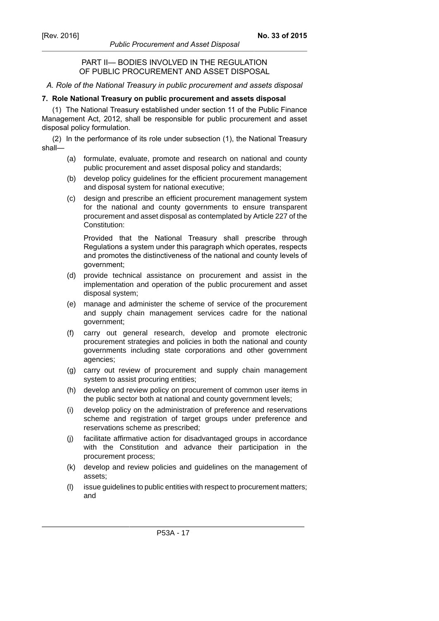#### *Public Procurement and Asset Disposal*

## PART II— BODIES INVOLVED IN THE REGULATION OF PUBLIC PROCUREMENT AND ASSET DISPOSAL

## *A. Role of the National Treasury in public procurement and assets disposal*

#### **7. Role National Treasury on public procurement and assets disposal**

(1) The National Treasury established under section 11 of the Public Finance Management Act, 2012, shall be responsible for public procurement and asset disposal policy formulation.

(2) In the performance of its role under subsection (1), the National Treasury shall—

- (a) formulate, evaluate, promote and research on national and county public procurement and asset disposal policy and standards;
- (b) develop policy guidelines for the efficient procurement management and disposal system for national executive;
- (c) design and prescribe an efficient procurement management system for the national and county governments to ensure transparent procurement and asset disposal as contemplated by Article 227 of the Constitution:

Provided that the National Treasury shall prescribe through Regulations a system under this paragraph which operates, respects and promotes the distinctiveness of the national and county levels of government;

- (d) provide technical assistance on procurement and assist in the implementation and operation of the public procurement and asset disposal system;
- (e) manage and administer the scheme of service of the procurement and supply chain management services cadre for the national government;
- (f) carry out general research, develop and promote electronic procurement strategies and policies in both the national and county governments including state corporations and other government agencies;
- (g) carry out review of procurement and supply chain management system to assist procuring entities;
- (h) develop and review policy on procurement of common user items in the public sector both at national and county government levels;
- (i) develop policy on the administration of preference and reservations scheme and registration of target groups under preference and reservations scheme as prescribed;
- (j) facilitate affirmative action for disadvantaged groups in accordance with the Constitution and advance their participation in the procurement process;
- (k) develop and review policies and guidelines on the management of assets;
- (l) issue guidelines to public entities with respect to procurement matters; and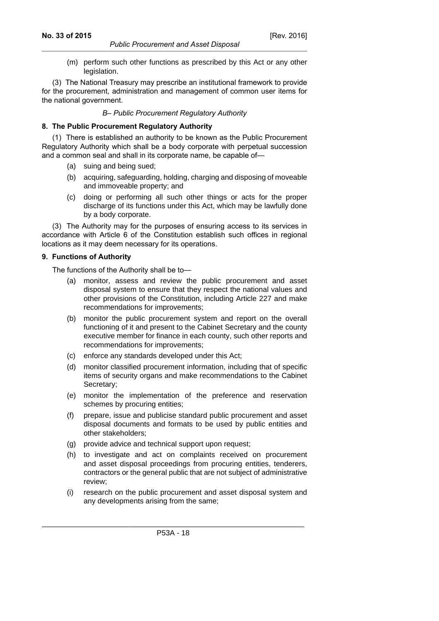(m) perform such other functions as prescribed by this Act or any other legislation.

(3) The National Treasury may prescribe an institutional framework to provide for the procurement, administration and management of common user items for the national government.

## *B– Public Procurement Regulatory Authority*

## **8. The Public Procurement Regulatory Authority**

(1) There is established an authority to be known as the Public Procurement Regulatory Authority which shall be a body corporate with perpetual succession and a common seal and shall in its corporate name, be capable of—

- (a) suing and being sued;
- (b) acquiring, safeguarding, holding, charging and disposing of moveable and immoveable property; and
- (c) doing or performing all such other things or acts for the proper discharge of its functions under this Act, which may be lawfully done by a body corporate.

(3) The Authority may for the purposes of ensuring access to its services in accordance with Article 6 of the Constitution establish such offices in regional locations as it may deem necessary for its operations.

## **9. Functions of Authority**

The functions of the Authority shall be to—

- (a) monitor, assess and review the public procurement and asset disposal system to ensure that they respect the national values and other provisions of the Constitution, including Article 227 and make recommendations for improvements;
- (b) monitor the public procurement system and report on the overall functioning of it and present to the Cabinet Secretary and the county executive member for finance in each county, such other reports and recommendations for improvements;
- (c) enforce any standards developed under this Act;
- (d) monitor classified procurement information, including that of specific items of security organs and make recommendations to the Cabinet Secretary;
- (e) monitor the implementation of the preference and reservation schemes by procuring entities;
- (f) prepare, issue and publicise standard public procurement and asset disposal documents and formats to be used by public entities and other stakeholders;
- (g) provide advice and technical support upon request;
- (h) to investigate and act on complaints received on procurement and asset disposal proceedings from procuring entities, tenderers, contractors or the general public that are not subject of administrative review;
- (i) research on the public procurement and asset disposal system and any developments arising from the same;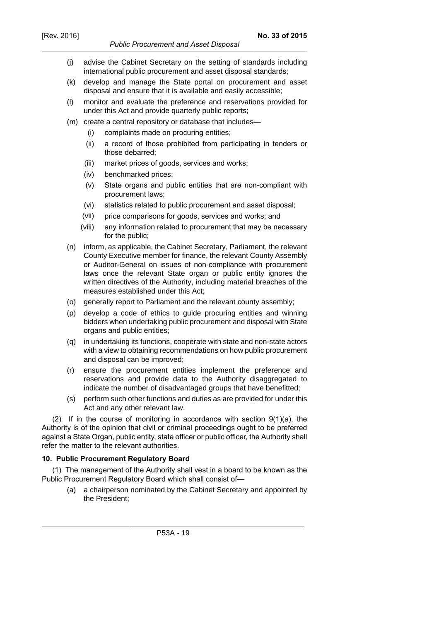- (j) advise the Cabinet Secretary on the setting of standards including international public procurement and asset disposal standards;
- (k) develop and manage the State portal on procurement and asset disposal and ensure that it is available and easily accessible;
- (l) monitor and evaluate the preference and reservations provided for under this Act and provide quarterly public reports;
- (m) create a central repository or database that includes—
	- (i) complaints made on procuring entities;
	- (ii) a record of those prohibited from participating in tenders or those debarred;
	- (iii) market prices of goods, services and works;
	- (iv) benchmarked prices;
	- (v) State organs and public entities that are non-compliant with procurement laws;
	- (vi) statistics related to public procurement and asset disposal;
	- (vii) price comparisons for goods, services and works; and
	- (viii) any information related to procurement that may be necessary for the public;
- (n) inform, as applicable, the Cabinet Secretary, Parliament, the relevant County Executive member for finance, the relevant County Assembly or Auditor-General on issues of non-compliance with procurement laws once the relevant State organ or public entity ignores the written directives of the Authority, including material breaches of the measures established under this Act;
- (o) generally report to Parliament and the relevant county assembly;
- (p) develop a code of ethics to guide procuring entities and winning bidders when undertaking public procurement and disposal with State organs and public entities;
- (q) in undertaking its functions, cooperate with state and non-state actors with a view to obtaining recommendations on how public procurement and disposal can be improved;
- (r) ensure the procurement entities implement the preference and reservations and provide data to the Authority disaggregated to indicate the number of disadvantaged groups that have benefitted;
- (s) perform such other functions and duties as are provided for under this Act and any other relevant law.

(2) If in the course of monitoring in accordance with section 9(1)(a), the Authority is of the opinion that civil or criminal proceedings ought to be preferred against a State Organ, public entity, state officer or public officer, the Authority shall refer the matter to the relevant authorities.

## **10. Public Procurement Regulatory Board**

(1) The management of the Authority shall vest in a board to be known as the Public Procurement Regulatory Board which shall consist of—

(a) a chairperson nominated by the Cabinet Secretary and appointed by the President;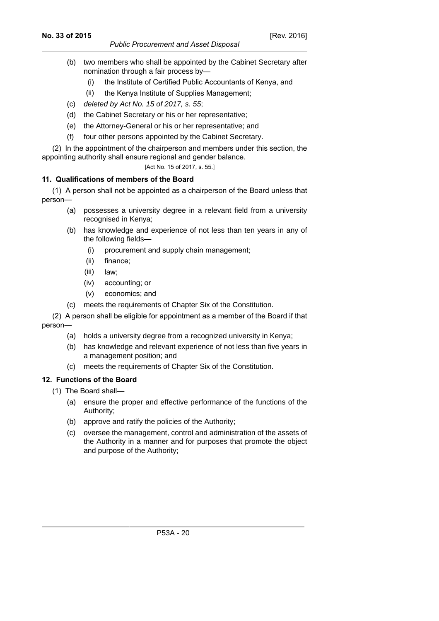- (b) two members who shall be appointed by the Cabinet Secretary after nomination through a fair process by—
	- (i) the Institute of Certified Public Accountants of Kenya, and
	- (ii) the Kenya Institute of Supplies Management;
- (c) deleted by Act No. 15 of 2017, s. 55;
- (d) the Cabinet Secretary or his or her representative;
- (e) the Attorney-General or his or her representative; and
- (f) four other persons appointed by the Cabinet Secretary.

(2) In the appointment of the chairperson and members under this section, the appointing authority shall ensure regional and gender balance.

[Act No. 15 of 2017, s. 55.]

## **11. Qualifications of members of the Board**

(1) A person shall not be appointed as a chairperson of the Board unless that person—

- (a) possesses a university degree in a relevant field from a university recognised in Kenya;
- (b) has knowledge and experience of not less than ten years in any of the following fields—
	- (i) procurement and supply chain management;
	- (ii) finance;
	- (iii) law;
	- (iv) accounting; or
	- (v) economics; and
- (c) meets the requirements of Chapter Six of the Constitution.

(2) A person shall be eligible for appointment as a member of the Board if that person—

- (a) holds a university degree from a recognized university in Kenya;
- (b) has knowledge and relevant experience of not less than five years in a management position; and
- (c) meets the requirements of Chapter Six of the Constitution.

# **12. Functions of the Board**

- (1) The Board shall—
	- (a) ensure the proper and effective performance of the functions of the Authority;
	- (b) approve and ratify the policies of the Authority;
	- (c) oversee the management, control and administration of the assets of the Authority in a manner and for purposes that promote the object and purpose of the Authority;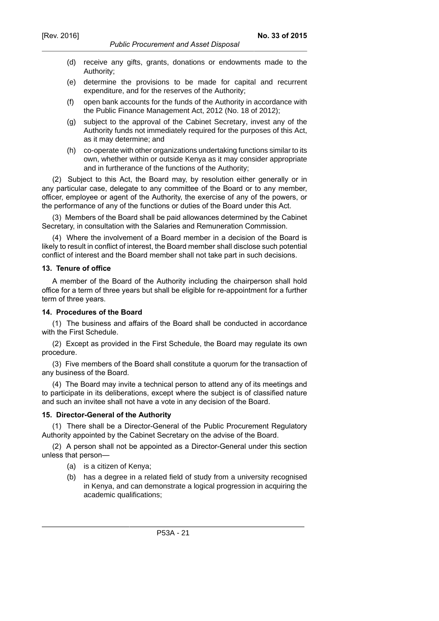- (d) receive any gifts, grants, donations or endowments made to the Authority;
- (e) determine the provisions to be made for capital and recurrent expenditure, and for the reserves of the Authority;
- (f) open bank accounts for the funds of the Authority in accordance with the Public Finance Management Act, 2012 (No. 18 of 2012);
- (g) subject to the approval of the Cabinet Secretary, invest any of the Authority funds not immediately required for the purposes of this Act, as it may determine; and
- (h) co-operate with other organizations undertaking functions similar to its own, whether within or outside Kenya as it may consider appropriate and in furtherance of the functions of the Authority;

(2) Subject to this Act, the Board may, by resolution either generally or in any particular case, delegate to any committee of the Board or to any member, officer, employee or agent of the Authority, the exercise of any of the powers, or the performance of any of the functions or duties of the Board under this Act.

(3) Members of the Board shall be paid allowances determined by the Cabinet Secretary, in consultation with the Salaries and Remuneration Commission.

(4) Where the involvement of a Board member in a decision of the Board is likely to result in conflict of interest, the Board member shall disclose such potential conflict of interest and the Board member shall not take part in such decisions.

## **13. Tenure of office**

A member of the Board of the Authority including the chairperson shall hold office for a term of three years but shall be eligible for re-appointment for a further term of three years.

#### **14. Procedures of the Board**

(1) The business and affairs of the Board shall be conducted in accordance with the First Schedule.

(2) Except as provided in the First Schedule, the Board may regulate its own procedure.

(3) Five members of the Board shall constitute a quorum for the transaction of any business of the Board.

(4) The Board may invite a technical person to attend any of its meetings and to participate in its deliberations, except where the subject is of classified nature and such an invitee shall not have a vote in any decision of the Board.

#### **15. Director-General of the Authority**

(1) There shall be a Director-General of the Public Procurement Regulatory Authority appointed by the Cabinet Secretary on the advise of the Board.

(2) A person shall not be appointed as a Director-General under this section unless that person—

- (a) is a citizen of Kenya;
- (b) has a degree in a related field of study from a university recognised in Kenya, and can demonstrate a logical progression in acquiring the academic qualifications;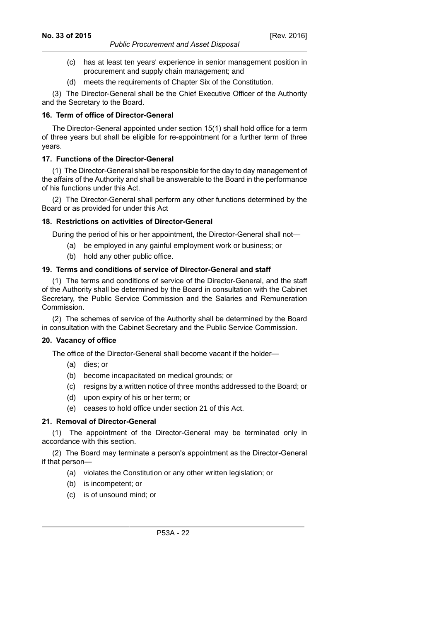- (c) has at least ten years' experience in senior management position in procurement and supply chain management; and
- (d) meets the requirements of Chapter Six of the Constitution.

(3) The Director-General shall be the Chief Executive Officer of the Authority and the Secretary to the Board.

## **16. Term of office of Director-General**

The Director-General appointed under section 15(1) shall hold office for a term of three years but shall be eligible for re-appointment for a further term of three years.

## **17. Functions of the Director-General**

(1) The Director-General shall be responsible for the day to day management of the affairs of the Authority and shall be answerable to the Board in the performance of his functions under this Act.

(2) The Director-General shall perform any other functions determined by the Board or as provided for under this Act

## **18. Restrictions on activities of Director-General**

During the period of his or her appointment, the Director-General shall not—

- (a) be employed in any gainful employment work or business; or
- (b) hold any other public office.

## **19. Terms and conditions of service of Director-General and staff**

(1) The terms and conditions of service of the Director-General, and the staff of the Authority shall be determined by the Board in consultation with the Cabinet Secretary, the Public Service Commission and the Salaries and Remuneration Commission.

(2) The schemes of service of the Authority shall be determined by the Board in consultation with the Cabinet Secretary and the Public Service Commission.

## **20. Vacancy of office**

The office of the Director-General shall become vacant if the holder—

- (a) dies; or
- (b) become incapacitated on medical grounds; or
- (c) resigns by a written notice of three months addressed to the Board; or
- (d) upon expiry of his or her term; or
- (e) ceases to hold office under section 21 of this Act.

## **21. Removal of Director-General**

(1) The appointment of the Director-General may be terminated only in accordance with this section.

(2) The Board may terminate a person's appointment as the Director-General if that person—

- (a) violates the Constitution or any other written legislation; or
- (b) is incompetent; or
- (c) is of unsound mind; or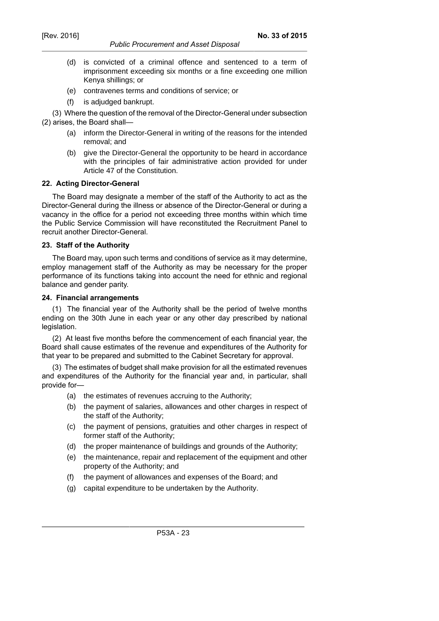#### *Public Procurement and Asset Disposal*

- (d) is convicted of a criminal offence and sentenced to a term of imprisonment exceeding six months or a fine exceeding one million Kenya shillings; or
- (e) contravenes terms and conditions of service; or
- (f) is adjudged bankrupt.

(3) Where the question of the removal of the Director-General under subsection (2) arises, the Board shall—

- (a) inform the Director-General in writing of the reasons for the intended removal; and
- (b) give the Director-General the opportunity to be heard in accordance with the principles of fair administrative action provided for under Article 47 of the Constitution.

## **22. Acting Director-General**

The Board may designate a member of the staff of the Authority to act as the Director-General during the illness or absence of the Director-General or during a vacancy in the office for a period not exceeding three months within which time the Public Service Commission will have reconstituted the Recruitment Panel to recruit another Director-General.

#### **23. Staff of the Authority**

The Board may, upon such terms and conditions of service as it may determine, employ management staff of the Authority as may be necessary for the proper performance of its functions taking into account the need for ethnic and regional balance and gender parity.

#### **24. Financial arrangements**

(1) The financial year of the Authority shall be the period of twelve months ending on the 30th June in each year or any other day prescribed by national legislation.

(2) At least five months before the commencement of each financial year, the Board shall cause estimates of the revenue and expenditures of the Authority for that year to be prepared and submitted to the Cabinet Secretary for approval.

(3) The estimates of budget shall make provision for all the estimated revenues and expenditures of the Authority for the financial year and, in particular, shall provide for—

- (a) the estimates of revenues accruing to the Authority;
- (b) the payment of salaries, allowances and other charges in respect of the staff of the Authority;
- (c) the payment of pensions, gratuities and other charges in respect of former staff of the Authority;
- (d) the proper maintenance of buildings and grounds of the Authority;
- (e) the maintenance, repair and replacement of the equipment and other property of the Authority; and
- (f) the payment of allowances and expenses of the Board; and
- (g) capital expenditure to be undertaken by the Authority.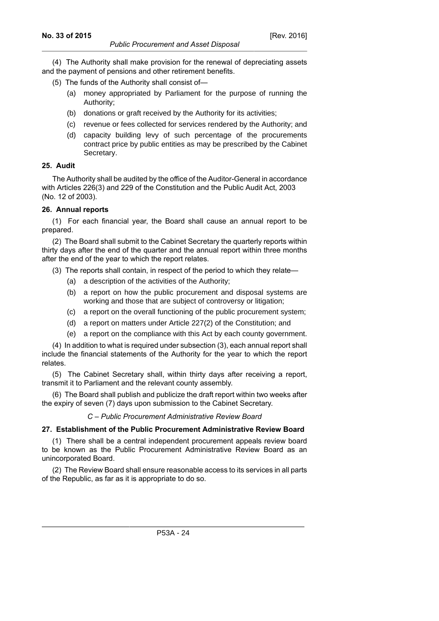*Public Procurement and Asset Disposal* (4) The Authority shall make provision for the renewal of depreciating assets

and the payment of pensions and other retirement benefits.

- (5) The funds of the Authority shall consist of—
	- (a) money appropriated by Parliament for the purpose of running the Authority;
	- (b) donations or graft received by the Authority for its activities;
	- (c) revenue or fees collected for services rendered by the Authority; and
	- (d) capacity building levy of such percentage of the procurements contract price by public entities as may be prescribed by the Cabinet Secretary.

## **25. Audit**

The Authority shall be audited by the office of the Auditor-General in accordance with Articles 226(3) and 229 of the Constitution and the Public Audit Act, 2003 (No. 12 of 2003).

## **26. Annual reports**

(1) For each financial year, the Board shall cause an annual report to be prepared.

(2) The Board shall submit to the Cabinet Secretary the quarterly reports within thirty days after the end of the quarter and the annual report within three months after the end of the year to which the report relates.

(3) The reports shall contain, in respect of the period to which they relate—

- (a) a description of the activities of the Authority;
- (b) a report on how the public procurement and disposal systems are working and those that are subject of controversy or litigation;
- (c) a report on the overall functioning of the public procurement system;
- (d) a report on matters under Article 227(2) of the Constitution; and
- (e) a report on the compliance with this Act by each county government.

(4) In addition to what is required under subsection (3), each annual report shall include the financial statements of the Authority for the year to which the report relates.

(5) The Cabinet Secretary shall, within thirty days after receiving a report, transmit it to Parliament and the relevant county assembly.

(6) The Board shall publish and publicize the draft report within two weeks after the expiry of seven (7) days upon submission to the Cabinet Secretary.

## *C – Public Procurement Administrative Review Board*

# **27. Establishment of the Public Procurement Administrative Review Board**

(1) There shall be a central independent procurement appeals review board to be known as the Public Procurement Administrative Review Board as an unincorporated Board.

(2) The Review Board shall ensure reasonable access to its services in all parts of the Republic, as far as it is appropriate to do so.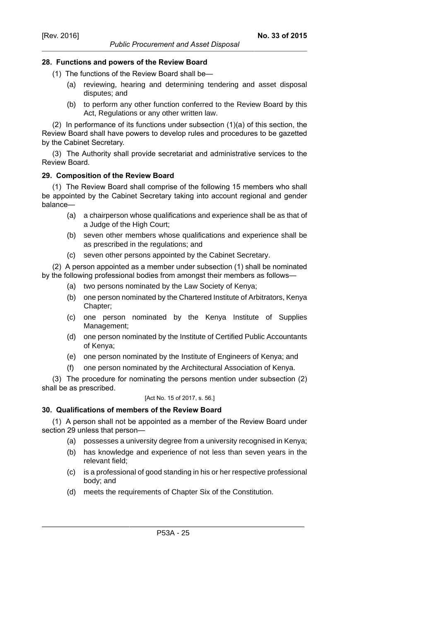#### *Public Procurement and Asset Disposal*

#### **28. Functions and powers of the Review Board**

- (1) The functions of the Review Board shall be—
	- (a) reviewing, hearing and determining tendering and asset disposal disputes; and
	- (b) to perform any other function conferred to the Review Board by this Act, Regulations or any other written law.

(2) In performance of its functions under subsection (1)(a) of this section, the Review Board shall have powers to develop rules and procedures to be gazetted by the Cabinet Secretary.

(3) The Authority shall provide secretariat and administrative services to the Review Board.

#### **29. Composition of the Review Board**

(1) The Review Board shall comprise of the following 15 members who shall be appointed by the Cabinet Secretary taking into account regional and gender balance—

- (a) a chairperson whose qualifications and experience shall be as that of a Judge of the High Court;
- (b) seven other members whose qualifications and experience shall be as prescribed in the regulations; and
- (c) seven other persons appointed by the Cabinet Secretary.

(2) A person appointed as a member under subsection (1) shall be nominated by the following professional bodies from amongst their members as follows—

- (a) two persons nominated by the Law Society of Kenya;
- (b) one person nominated by the Chartered Institute of Arbitrators, Kenya Chapter;
- (c) one person nominated by the Kenya Institute of Supplies Management;
- (d) one person nominated by the Institute of Certified Public Accountants of Kenya;
- (e) one person nominated by the Institute of Engineers of Kenya; and
- (f) one person nominated by the Architectural Association of Kenya.

(3) The procedure for nominating the persons mention under subsection (2) shall be as prescribed.

#### [Act No. 15 of 2017, s. 56.]

#### **30. Qualifications of members of the Review Board**

(1) A person shall not be appointed as a member of the Review Board under section 29 unless that person—

- (a) possesses a university degree from a university recognised in Kenya;
- (b) has knowledge and experience of not less than seven years in the relevant field;
- (c) is a professional of good standing in his or her respective professional body; and
- (d) meets the requirements of Chapter Six of the Constitution.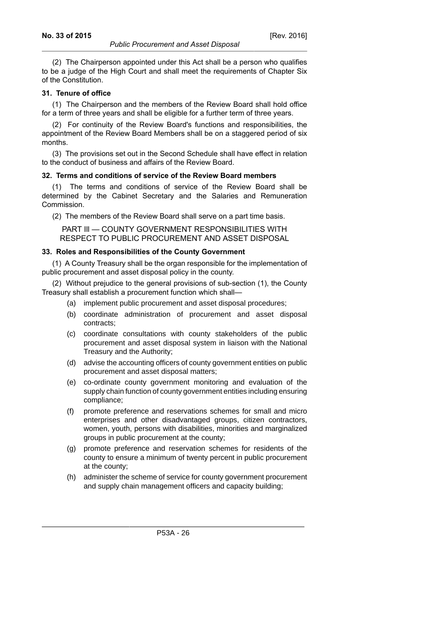(2) The Chairperson appointed under this Act shall be a person who qualifies to be a judge of the High Court and shall meet the requirements of Chapter Six of the Constitution.

## **31. Tenure of office**

(1) The Chairperson and the members of the Review Board shall hold office for a term of three years and shall be eligible for a further term of three years.

(2) For continuity of the Review Board's functions and responsibilities, the appointment of the Review Board Members shall be on a staggered period of six months.

(3) The provisions set out in the Second Schedule shall have effect in relation to the conduct of business and affairs of the Review Board.

## **32. Terms and conditions of service of the Review Board members**

The terms and conditions of service of the Review Board shall be determined by the Cabinet Secretary and the Salaries and Remuneration Commission.

(2) The members of the Review Board shall serve on a part time basis.

PART III — COUNTY GOVERNMENT RESPONSIBILITIES WITH RESPECT TO PUBLIC PROCUREMENT AND ASSET DISPOSAL

## **33. Roles and Responsibilities of the County Government**

(1) A County Treasury shall be the organ responsible for the implementation of public procurement and asset disposal policy in the county.

(2) Without prejudice to the general provisions of sub-section (1), the County Treasury shall establish a procurement function which shall—

- (a) implement public procurement and asset disposal procedures;
- (b) coordinate administration of procurement and asset disposal contracts;
- (c) coordinate consultations with county stakeholders of the public procurement and asset disposal system in liaison with the National Treasury and the Authority;
- (d) advise the accounting officers of county government entities on public procurement and asset disposal matters;
- (e) co-ordinate county government monitoring and evaluation of the supply chain function of county government entities including ensuring compliance;
- (f) promote preference and reservations schemes for small and micro enterprises and other disadvantaged groups, citizen contractors, women, youth, persons with disabilities, minorities and marginalized groups in public procurement at the county;
- (g) promote preference and reservation schemes for residents of the county to ensure a minimum of twenty percent in public procurement at the county;
- (h) administer the scheme of service for county government procurement and supply chain management officers and capacity building;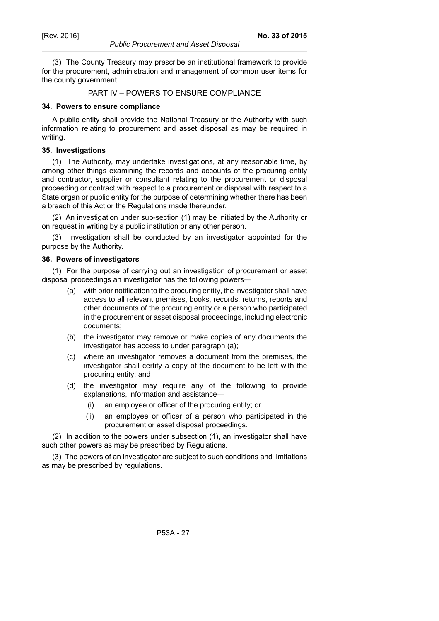#### *Public Procurement and Asset Disposal*

(3) The County Treasury may prescribe an institutional framework to provide for the procurement, administration and management of common user items for the county government.

#### PART IV – POWERS TO ENSURE COMPLIANCE

#### **34. Powers to ensure compliance**

A public entity shall provide the National Treasury or the Authority with such information relating to procurement and asset disposal as may be required in writing.

#### **35. Investigations**

(1) The Authority, may undertake investigations, at any reasonable time, by among other things examining the records and accounts of the procuring entity and contractor, supplier or consultant relating to the procurement or disposal proceeding or contract with respect to a procurement or disposal with respect to a State organ or public entity for the purpose of determining whether there has been a breach of this Act or the Regulations made thereunder.

(2) An investigation under sub-section (1) may be initiated by the Authority or on request in writing by a public institution or any other person.

(3) Investigation shall be conducted by an investigator appointed for the purpose by the Authority.

## **36. Powers of investigators**

(1) For the purpose of carrying out an investigation of procurement or asset disposal proceedings an investigator has the following powers—

- (a) with prior notification to the procuring entity, the investigator shall have access to all relevant premises, books, records, returns, reports and other documents of the procuring entity or a person who participated in the procurement or asset disposal proceedings, including electronic documents;
- (b) the investigator may remove or make copies of any documents the investigator has access to under paragraph (a);
- (c) where an investigator removes a document from the premises, the investigator shall certify a copy of the document to be left with the procuring entity; and
- (d) the investigator may require any of the following to provide explanations, information and assistance—
	- (i) an employee or officer of the procuring entity; or
	- (ii) an employee or officer of a person who participated in the procurement or asset disposal proceedings.

(2) In addition to the powers under subsection (1), an investigator shall have such other powers as may be prescribed by Regulations.

(3) The powers of an investigator are subject to such conditions and limitations as may be prescribed by regulations.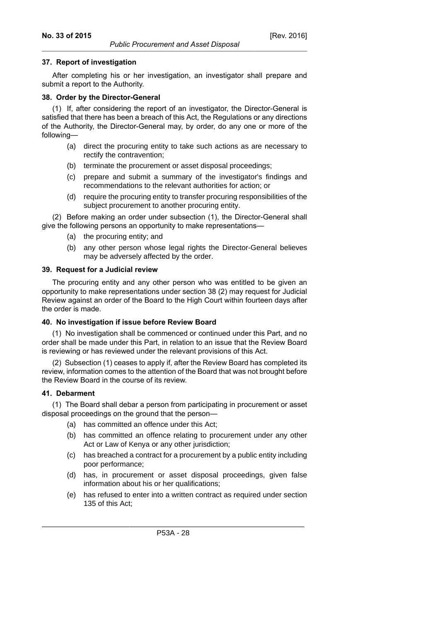[Rev. 2016]

## **37. Report of investigation**

After completing his or her investigation, an investigator shall prepare and submit a report to the Authority.

## **38. Order by the Director-General**

(1) If, after considering the report of an investigator, the Director-General is satisfied that there has been a breach of this Act, the Regulations or any directions of the Authority, the Director-General may, by order, do any one or more of the following—

- (a) direct the procuring entity to take such actions as are necessary to rectify the contravention;
- (b) terminate the procurement or asset disposal proceedings;
- (c) prepare and submit a summary of the investigator's findings and recommendations to the relevant authorities for action; or
- (d) require the procuring entity to transfer procuring responsibilities of the subject procurement to another procuring entity.

(2) Before making an order under subsection (1), the Director-General shall give the following persons an opportunity to make representations—

- (a) the procuring entity; and
- (b) any other person whose legal rights the Director-General believes may be adversely affected by the order.

## **39. Request for a Judicial review**

The procuring entity and any other person who was entitled to be given an opportunity to make representations under section 38 (2) may request for Judicial Review against an order of the Board to the High Court within fourteen days after the order is made.

## **40. No investigation if issue before Review Board**

(1) No investigation shall be commenced or continued under this Part, and no order shall be made under this Part, in relation to an issue that the Review Board is reviewing or has reviewed under the relevant provisions of this Act.

(2) Subsection (1) ceases to apply if, after the Review Board has completed its review, information comes to the attention of the Board that was not brought before the Review Board in the course of its review.

## **41. Debarment**

(1) The Board shall debar a person from participating in procurement or asset disposal proceedings on the ground that the person—

- (a) has committed an offence under this Act;
- (b) has committed an offence relating to procurement under any other Act or Law of Kenya or any other jurisdiction;
- (c) has breached a contract for a procurement by a public entity including poor performance;
- (d) has, in procurement or asset disposal proceedings, given false information about his or her qualifications;
- (e) has refused to enter into a written contract as required under section 135 of this Act;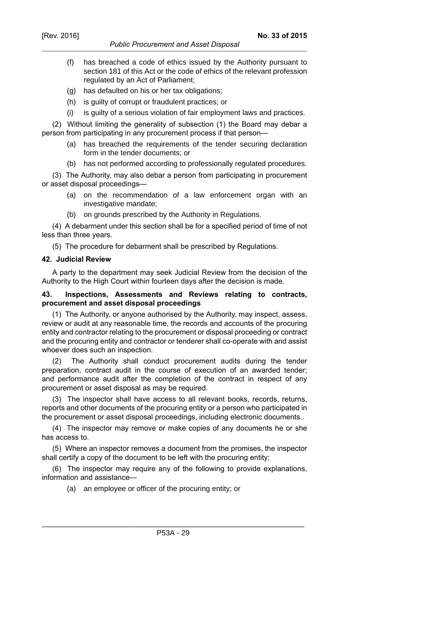- (f) has breached a code of ethics issued by the Authority pursuant to section 181 of this Act or the code of ethics of the relevant profession regulated by an Act of Parliament;
- (g) has defaulted on his or her tax obligations;
- (h) is guilty of corrupt or fraudulent practices; or
- (i) is guilty of a serious violation of fair employment laws and practices.

(2) Without limiting the generality of subsection (1) the Board may debar a person from participating in any procurement process if that person—

- (a) has breached the requirements of the tender securing declaration form in the tender documents; or
- (b) has not performed according to professionally regulated procedures.

(3) The Authority, may also debar a person from participating in procurement or asset disposal proceedings—

- (a) on the recommendation of a law enforcement organ with an investigative mandate;
- (b) on grounds prescribed by the Authority in Regulations.

(4) A debarment under this section shall be for a specified period of time of not less than three years.

(5) The procedure for debarment shall be prescribed by Regulations.

#### **42. Judicial Review**

A party to the department may seek Judicial Review from the decision of the Authority to the High Court within fourteen days after the decision is made.

## **43. Inspections, Assessments and Reviews relating to contracts, procurement and asset disposal proceedings**

(1) The Authority, or anyone authorised by the Authority, may inspect, assess, review or audit at any reasonable time, the records and accounts of the procuring entity and contractor relating to the procurement or disposal proceeding or contract and the procuring entity and contractor or tenderer shall co-operate with and assist whoever does such an inspection.

(2) The Authority shall conduct procurement audits during the tender preparation, contract audit in the course of execution of an awarded tender; and performance audit after the completion of the contract in respect of any procurement or asset disposal as may be required.

(3) The inspector shall have access to all relevant books, records, returns, reports and other documents of the procuring entity or a person who participated in the procurement or asset disposal proceedings, including electronic documents..

(4) The inspector may remove or make copies of any documents he or she has access to.

(5) Where an inspector removes a document from the promises, the inspector shall certify a copy of the document to be left with the procuring entity;

(6) The inspector may require any of the following to provide explanations, information and assistance—

(a) an employee or officer of the procuring entity; or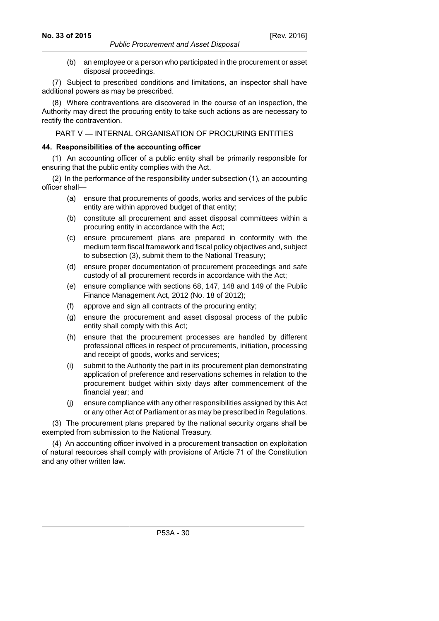(b) an employee or a person who participated in the procurement or asset disposal proceedings.

(7) Subject to prescribed conditions and limitations, an inspector shall have additional powers as may be prescribed.

(8) Where contraventions are discovered in the course of an inspection, the Authority may direct the procuring entity to take such actions as are necessary to rectify the contravention.

PART V — INTERNAL ORGANISATION OF PROCURING ENTITIES

#### **44. Responsibilities of the accounting officer**

(1) An accounting officer of a public entity shall be primarily responsible for ensuring that the public entity complies with the Act.

(2) In the performance of the responsibility under subsection (1), an accounting officer shall—

- (a) ensure that procurements of goods, works and services of the public entity are within approved budget of that entity;
- (b) constitute all procurement and asset disposal committees within a procuring entity in accordance with the Act;
- (c) ensure procurement plans are prepared in conformity with the medium term fiscal framework and fiscal policy objectives and, subject to subsection (3), submit them to the National Treasury;
- (d) ensure proper documentation of procurement proceedings and safe custody of all procurement records in accordance with the Act;
- (e) ensure compliance with sections 68, 147, 148 and 149 of the Public Finance Management Act, 2012 (No. 18 of 2012);
- (f) approve and sign all contracts of the procuring entity;
- (g) ensure the procurement and asset disposal process of the public entity shall comply with this Act;
- (h) ensure that the procurement processes are handled by different professional offices in respect of procurements, initiation, processing and receipt of goods, works and services;
- (i) submit to the Authority the part in its procurement plan demonstrating application of preference and reservations schemes in relation to the procurement budget within sixty days after commencement of the financial year; and
- (j) ensure compliance with any other responsibilities assigned by this Act or any other Act of Parliament or as may be prescribed in Regulations.

(3) The procurement plans prepared by the national security organs shall be exempted from submission to the National Treasury.

(4) An accounting officer involved in a procurement transaction on exploitation of natural resources shall comply with provisions of Article 71 of the Constitution and any other written law.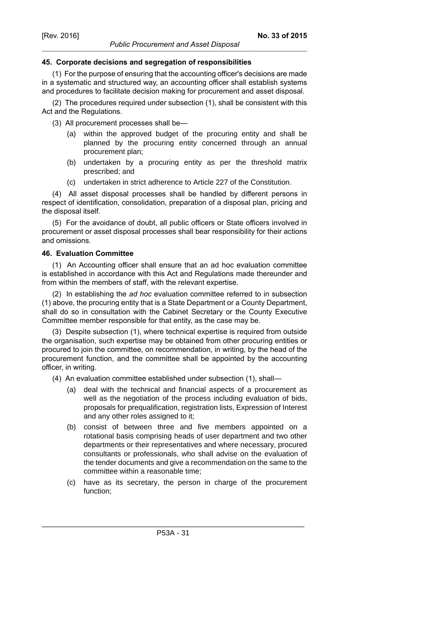#### *Public Procurement and Asset Disposal*

## **45. Corporate decisions and segregation of responsibilities**

(1) For the purpose of ensuring that the accounting officer's decisions are made in a systematic and structured way, an accounting officer shall establish systems and procedures to facilitate decision making for procurement and asset disposal.

(2) The procedures required under subsection (1), shall be consistent with this Act and the Regulations.

(3) All procurement processes shall be—

- (a) within the approved budget of the procuring entity and shall be planned by the procuring entity concerned through an annual procurement plan;
- (b) undertaken by a procuring entity as per the threshold matrix prescribed; and
- (c) undertaken in strict adherence to Article 227 of the Constitution.

(4) All asset disposal processes shall be handled by different persons in respect of identification, consolidation, preparation of a disposal plan, pricing and the disposal itself.

(5) For the avoidance of doubt, all public officers or State officers involved in procurement or asset disposal processes shall bear responsibility for their actions and omissions.

## **46. Evaluation Committee**

(1) An Accounting officer shall ensure that an ad hoc evaluation committee is established in accordance with this Act and Regulations made thereunder and from within the members of staff, with the relevant expertise.

(2) In establishing the *ad hoc* evaluation committee referred to in subsection (1) above, the procuring entity that is a State Department or a County Department, shall do so in consultation with the Cabinet Secretary or the County Executive Committee member responsible for that entity, as the case may be.

(3) Despite subsection (1), where technical expertise is required from outside the organisation, such expertise may be obtained from other procuring entities or procured to join the committee, on recommendation, in writing, by the head of the procurement function, and the committee shall be appointed by the accounting officer, in writing.

(4) An evaluation committee established under subsection (1), shall—

- (a) deal with the technical and financial aspects of a procurement as well as the negotiation of the process including evaluation of bids, proposals for prequalification, registration lists, Expression of Interest and any other roles assigned to it;
- (b) consist of between three and five members appointed on a rotational basis comprising heads of user department and two other departments or their representatives and where necessary, procured consultants or professionals, who shall advise on the evaluation of the tender documents and give a recommendation on the same to the committee within a reasonable time;
- (c) have as its secretary, the person in charge of the procurement function;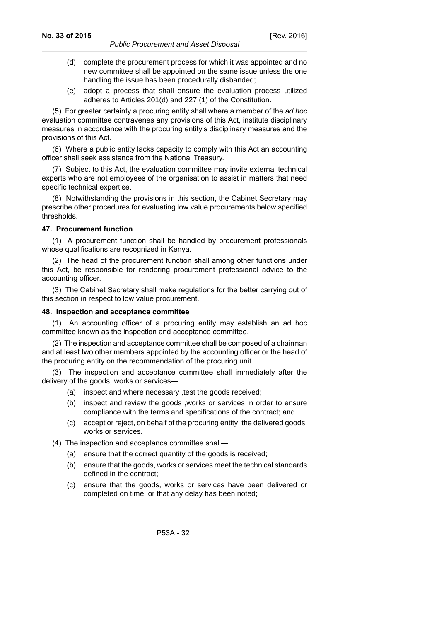- (d) complete the procurement process for which it was appointed and no new committee shall be appointed on the same issue unless the one handling the issue has been procedurally disbanded;
- (e) adopt a process that shall ensure the evaluation process utilized adheres to Articles 201(d) and 227 (1) of the Constitution.

(5) For greater certainty a procuring entity shall where a member of the *ad hoc* evaluation committee contravenes any provisions of this Act, institute disciplinary measures in accordance with the procuring entity's disciplinary measures and the provisions of this Act.

(6) Where a public entity lacks capacity to comply with this Act an accounting officer shall seek assistance from the National Treasury.

(7) Subject to this Act, the evaluation committee may invite external technical experts who are not employees of the organisation to assist in matters that need specific technical expertise.

(8) Notwithstanding the provisions in this section, the Cabinet Secretary may prescribe other procedures for evaluating low value procurements below specified thresholds.

## **47. Procurement function**

(1) A procurement function shall be handled by procurement professionals whose qualifications are recognized in Kenya.

(2) The head of the procurement function shall among other functions under this Act, be responsible for rendering procurement professional advice to the accounting officer.

(3) The Cabinet Secretary shall make regulations for the better carrying out of this section in respect to low value procurement.

## **48. Inspection and acceptance committee**

(1) An accounting officer of a procuring entity may establish an ad hoc committee known as the inspection and acceptance committee.

(2) The inspection and acceptance committee shall be composed of a chairman and at least two other members appointed by the accounting officer or the head of the procuring entity on the recommendation of the procuring unit.

(3) The inspection and acceptance committee shall immediately after the delivery of the goods, works or services—

- (a) inspect and where necessary ,test the goods received;
- (b) inspect and review the goods ,works or services in order to ensure compliance with the terms and specifications of the contract; and
- (c) accept or reject, on behalf of the procuring entity, the delivered goods, works or services.
- (4) The inspection and acceptance committee shall—
	- (a) ensure that the correct quantity of the goods is received;
	- (b) ensure that the goods, works or services meet the technical standards defined in the contract;
	- (c) ensure that the goods, works or services have been delivered or completed on time ,or that any delay has been noted;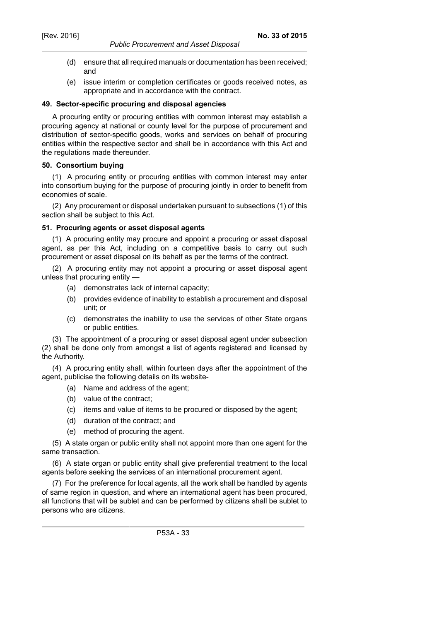- (d) ensure that all required manuals or documentation has been received; and
- (e) issue interim or completion certificates or goods received notes, as appropriate and in accordance with the contract.

#### **49. Sector-specific procuring and disposal agencies**

A procuring entity or procuring entities with common interest may establish a procuring agency at national or county level for the purpose of procurement and distribution of sector-specific goods, works and services on behalf of procuring entities within the respective sector and shall be in accordance with this Act and the regulations made thereunder.

#### **50. Consortium buying**

(1) A procuring entity or procuring entities with common interest may enter into consortium buying for the purpose of procuring jointly in order to benefit from economies of scale.

(2) Any procurement or disposal undertaken pursuant to subsections (1) of this section shall be subject to this Act.

#### **51. Procuring agents or asset disposal agents**

(1) A procuring entity may procure and appoint a procuring or asset disposal agent, as per this Act, including on a competitive basis to carry out such procurement or asset disposal on its behalf as per the terms of the contract.

(2) A procuring entity may not appoint a procuring or asset disposal agent unless that procuring entity —

- (a) demonstrates lack of internal capacity;
- (b) provides evidence of inability to establish a procurement and disposal unit; or
- (c) demonstrates the inability to use the services of other State organs or public entities.

(3) The appointment of a procuring or asset disposal agent under subsection (2) shall be done only from amongst a list of agents registered and licensed by the Authority.

(4) A procuring entity shall, within fourteen days after the appointment of the agent, publicise the following details on its website-

- (a) Name and address of the agent;
- (b) value of the contract;
- (c) items and value of items to be procured or disposed by the agent;
- (d) duration of the contract; and
- (e) method of procuring the agent.

(5) A state organ or public entity shall not appoint more than one agent for the same transaction.

(6) A state organ or public entity shall give preferential treatment to the local agents before seeking the services of an international procurement agent.

(7) For the preference for local agents, all the work shall be handled by agents of same region in question, and where an international agent has been procured, all functions that will be sublet and can be performed by citizens shall be sublet to persons who are citizens.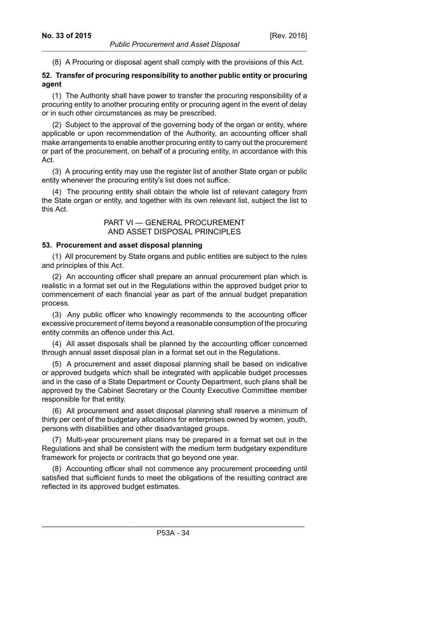(8) A Procuring or disposal agent shall comply with the provisions of this Act.

## **52. Transfer of procuring responsibility to another public entity or procuring agent**

(1) The Authority shall have power to transfer the procuring responsibility of a procuring entity to another procuring entity or procuring agent in the event of delay or in such other circumstances as may be prescribed.

(2) Subject to the approval of the governing body of the organ or entity, where applicable or upon recommendation of the Authority, an accounting officer shall make arrangements to enable another procuring entity to carry out the procurement or part of the procurement, on behalf of a procuring entity, in accordance with this Act.

(3) A procuring entity may use the register list of another State organ or public entity whenever the procuring entity's list does not suffice.

(4) The procuring entity shall obtain the whole list of relevant category from the State organ or entity, and together with its own relevant list, subject the list to this Act.

## PART VI — GENERAL PROCUREMENT AND ASSET DISPOSAL PRINCIPLES

## **53. Procurement and asset disposal planning**

(1) All procurement by State organs and public entities are subject to the rules and principles of this Act.

(2) An accounting officer shall prepare an annual procurement plan which is realistic in a format set out in the Regulations within the approved budget prior to commencement of each financial year as part of the annual budget preparation process.

(3) Any public officer who knowingly recommends to the accounting officer excessive procurement of items beyond a reasonable consumption of the procuring entity commits an offence under this Act.

(4) All asset disposals shall be planned by the accounting officer concerned through annual asset disposal plan in a format set out in the Regulations.

(5) A procurement and asset disposal planning shall be based on indicative or approved budgets which shall be integrated with applicable budget processes and in the case of a State Department or County Department, such plans shall be approved by the Cabinet Secretary or the County Executive Committee member responsible for that entity.

(6) All procurement and asset disposal planning shall reserve a minimum of thirty per cent of the budgetary allocations for enterprises owned by women, youth, persons with disabilities and other disadvantaged groups.

(7) Multi-year procurement plans may be prepared in a format set out in the Regulations and shall be consistent with the medium term budgetary expenditure framework for projects or contracts that go beyond one year.

(8) Accounting officer shall not commence any procurement proceeding until satisfied that sufficient funds to meet the obligations of the resulting contract are reflected in its approved budget estimates.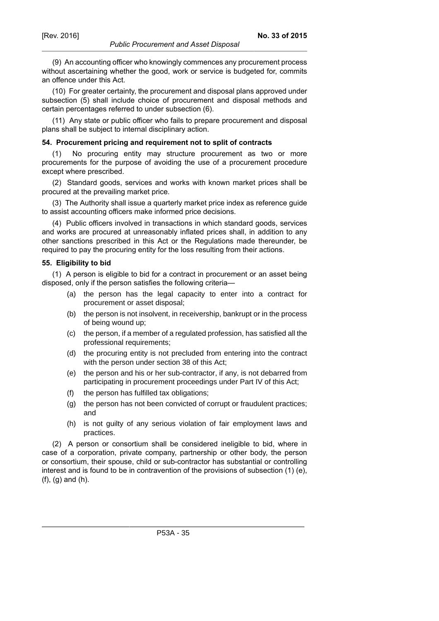(9) An accounting officer who knowingly commences any procurement process without ascertaining whether the good, work or service is budgeted for, commits an offence under this Act.

(10) For greater certainty, the procurement and disposal plans approved under subsection (5) shall include choice of procurement and disposal methods and certain percentages referred to under subsection (6).

(11) Any state or public officer who fails to prepare procurement and disposal plans shall be subject to internal disciplinary action.

#### **54. Procurement pricing and requirement not to split of contracts**

(1) No procuring entity may structure procurement as two or more procurements for the purpose of avoiding the use of a procurement procedure except where prescribed.

(2) Standard goods, services and works with known market prices shall be procured at the prevailing market price.

(3) The Authority shall issue a quarterly market price index as reference guide to assist accounting officers make informed price decisions.

(4) Public officers involved in transactions in which standard goods, services and works are procured at unreasonably inflated prices shall, in addition to any other sanctions prescribed in this Act or the Regulations made thereunder, be required to pay the procuring entity for the loss resulting from their actions.

#### **55. Eligibility to bid**

(1) A person is eligible to bid for a contract in procurement or an asset being disposed, only if the person satisfies the following criteria—

- (a) the person has the legal capacity to enter into a contract for procurement or asset disposal;
- (b) the person is not insolvent, in receivership, bankrupt or in the process of being wound up;
- (c) the person, if a member of a regulated profession, has satisfied all the professional requirements;
- (d) the procuring entity is not precluded from entering into the contract with the person under section 38 of this Act;
- (e) the person and his or her sub-contractor, if any, is not debarred from participating in procurement proceedings under Part IV of this Act;
- (f) the person has fulfilled tax obligations;
- (g) the person has not been convicted of corrupt or fraudulent practices; and
- (h) is not guilty of any serious violation of fair employment laws and practices.

(2) A person or consortium shall be considered ineligible to bid, where in case of a corporation, private company, partnership or other body, the person or consortium, their spouse, child or sub-contractor has substantial or controlling interest and is found to be in contravention of the provisions of subsection (1) (e), (f), (g) and (h).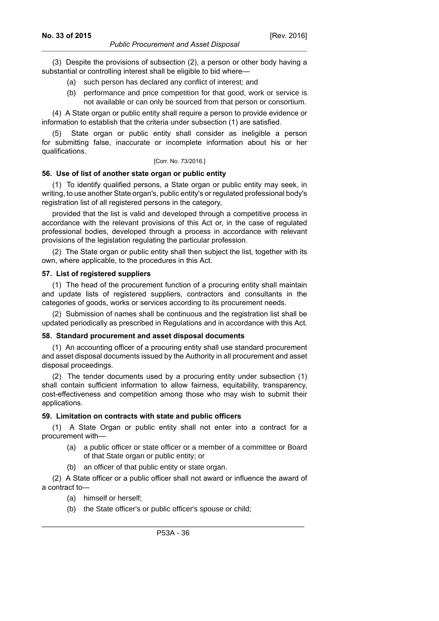(3) Despite the provisions of subsection (2), a person or other body having a substantial or controlling interest shall be eligible to bid where—

- (a) such person has declared any conflict of interest; and
- (b) performance and price competition for that good, work or service is not available or can only be sourced from that person or consortium.

(4) A State organ or public entity shall require a person to provide evidence or information to establish that the criteria under subsection (1) are satisfied.

State organ or public entity shall consider as ineligible a person for submitting false, inaccurate or incomplete information about his or her qualifications.

#### [Corr. No. 73/2016.]

#### **56. Use of list of another state organ or public entity**

(1) To identify qualified persons, a State organ or public entity may seek, in writing, to use another State organ's, public entity's or regulated professional body's registration list of all registered persons in the category,

provided that the list is valid and developed through a competitive process in accordance with the relevant provisions of this Act or, in the case of regulated professional bodies, developed through a process in accordance with relevant provisions of the legislation regulating the particular profession.

(2) The State organ or public entity shall then subject the list, together with its own, where applicable, to the procedures in this Act.

#### **57. List of registered suppliers**

(1) The head of the procurement function of a procuring entity shall maintain and update lists of registered suppliers, contractors and consultants in the categories of goods, works or services according to its procurement needs.

(2) Submission of names shall be continuous and the registration list shall be updated periodically as prescribed in Regulations and in accordance with this Act.

#### **58. Standard procurement and asset disposal documents**

(1) An accounting officer of a procuring entity shall use standard procurement and asset disposal documents issued by the Authority in all procurement and asset disposal proceedings.

(2) The tender documents used by a procuring entity under subsection (1) shall contain sufficient information to allow fairness, equitability, transparency, cost-effectiveness and competition among those who may wish to submit their applications.

#### **59. Limitation on contracts with state and public officers**

(1) A State Organ or public entity shall not enter into a contract for a procurement with—

- (a) a public officer or state officer or a member of a committee or Board of that State organ or public entity; or
- (b) an officer of that public entity or state organ.

(2) A State officer or a public officer shall not award or influence the award of a contract to—

- (a) himself or herself;
- (b) the State officer's or public officer's spouse or child;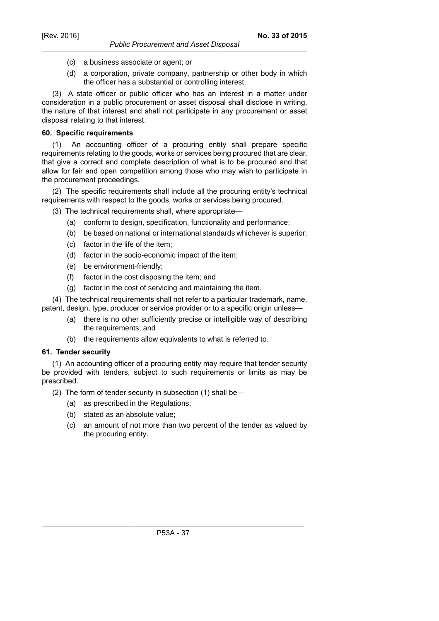- *Public Procurement and Asset Disposal*
- (c) a business associate or agent; or
- (d) a corporation, private company, partnership or other body in which the officer has a substantial or controlling interest.

(3) A state officer or public officer who has an interest in a matter under consideration in a public procurement or asset disposal shall disclose in writing, the nature of that interest and shall not participate in any procurement or asset disposal relating to that interest.

### **60. Specific requirements**

(1) An accounting officer of a procuring entity shall prepare specific requirements relating to the goods, works or services being procured that are clear, that give a correct and complete description of what is to be procured and that allow for fair and open competition among those who may wish to participate in the procurement proceedings.

(2) The specific requirements shall include all the procuring entity's technical requirements with respect to the goods, works or services being procured.

(3) The technical requirements shall, where appropriate—

- (a) conform to design, specification, functionality and performance;
- (b) be based on national or international standards whichever is superior;
- (c) factor in the life of the item;
- (d) factor in the socio-economic impact of the item;
- (e) be environment-friendly;
- (f) factor in the cost disposing the item; and
- (g) factor in the cost of servicing and maintaining the item.

(4) The technical requirements shall not refer to a particular trademark, name, patent, design, type, producer or service provider or to a specific origin unless—

- (a) there is no other sufficiently precise or intelligible way of describing the requirements; and
- (b) the requirements allow equivalents to what is referred to.

### **61. Tender security**

(1) An accounting officer of a procuring entity may require that tender security be provided with tenders, subject to such requirements or limits as may be prescribed.

(2) The form of tender security in subsection (1) shall be—

- (a) as prescribed in the Regulations;
- (b) stated as an absolute value;
- (c) an amount of not more than two percent of the tender as valued by the procuring entity.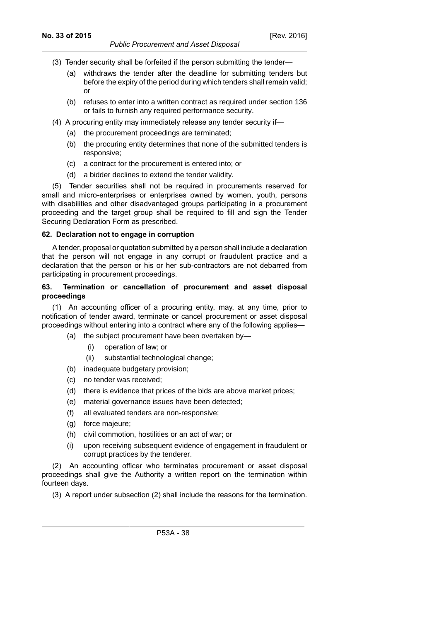- *Public Procurement and Asset Disposal*
- (3) Tender security shall be forfeited if the person submitting the tender—
	- (a) withdraws the tender after the deadline for submitting tenders but before the expiry of the period during which tenders shall remain valid; or
	- (b) refuses to enter into a written contract as required under section 136 or fails to furnish any required performance security.
- (4) A procuring entity may immediately release any tender security if—
	- (a) the procurement proceedings are terminated;
	- (b) the procuring entity determines that none of the submitted tenders is responsive;
	- (c) a contract for the procurement is entered into; or
	- (d) a bidder declines to extend the tender validity.

(5) Tender securities shall not be required in procurements reserved for small and micro-enterprises or enterprises owned by women, youth, persons with disabilities and other disadvantaged groups participating in a procurement proceeding and the target group shall be required to fill and sign the Tender Securing Declaration Form as prescribed.

### **62. Declaration not to engage in corruption**

A tender, proposal or quotation submitted by a person shall include a declaration that the person will not engage in any corrupt or fraudulent practice and a declaration that the person or his or her sub-contractors are not debarred from participating in procurement proceedings.

## **63. Termination or cancellation of procurement and asset disposal proceedings**

(1) An accounting officer of a procuring entity, may, at any time, prior to notification of tender award, terminate or cancel procurement or asset disposal proceedings without entering into a contract where any of the following applies—

- (a) the subject procurement have been overtaken by—
	- (i) operation of law; or
	- (ii) substantial technological change;
- (b) inadequate budgetary provision;
- (c) no tender was received;
- (d) there is evidence that prices of the bids are above market prices;
- (e) material governance issues have been detected;
- (f) all evaluated tenders are non-responsive;
- (g) force majeure;
- (h) civil commotion, hostilities or an act of war; or
- (i) upon receiving subsequent evidence of engagement in fraudulent or corrupt practices by the tenderer.

(2) An accounting officer who terminates procurement or asset disposal proceedings shall give the Authority a written report on the termination within fourteen days.

(3) A report under subsection (2) shall include the reasons for the termination.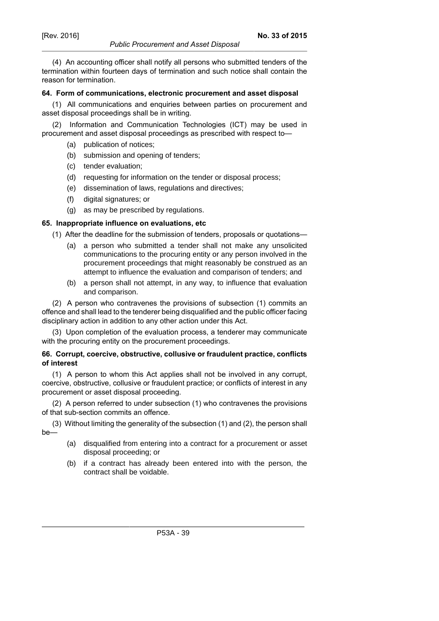#### *Public Procurement and Asset Disposal*

(4) An accounting officer shall notify all persons who submitted tenders of the termination within fourteen days of termination and such notice shall contain the reason for termination.

### **64. Form of communications, electronic procurement and asset disposal**

(1) All communications and enquiries between parties on procurement and asset disposal proceedings shall be in writing.

(2) Information and Communication Technologies (ICT) may be used in procurement and asset disposal proceedings as prescribed with respect to—

- (a) publication of notices;
- (b) submission and opening of tenders;
- (c) tender evaluation;
- (d) requesting for information on the tender or disposal process;
- (e) dissemination of laws, regulations and directives;
- (f) digital signatures; or
- (g) as may be prescribed by regulations.

## **65. Inappropriate influence on evaluations, etc**

(1) After the deadline for the submission of tenders, proposals or quotations—

- (a) a person who submitted a tender shall not make any unsolicited communications to the procuring entity or any person involved in the procurement proceedings that might reasonably be construed as an attempt to influence the evaluation and comparison of tenders; and
- (b) a person shall not attempt, in any way, to influence that evaluation and comparison.

(2) A person who contravenes the provisions of subsection (1) commits an offence and shall lead to the tenderer being disqualified and the public officer facing disciplinary action in addition to any other action under this Act.

(3) Upon completion of the evaluation process, a tenderer may communicate with the procuring entity on the procurement proceedings.

## **66. Corrupt, coercive, obstructive, collusive or fraudulent practice, conflicts of interest**

(1) A person to whom this Act applies shall not be involved in any corrupt, coercive, obstructive, collusive or fraudulent practice; or conflicts of interest in any procurement or asset disposal proceeding.

(2) A person referred to under subsection (1) who contravenes the provisions of that sub-section commits an offence.

(3) Without limiting the generality of the subsection (1) and (2), the person shall be—

- (a) disqualified from entering into a contract for a procurement or asset disposal proceeding; or
- (b) if a contract has already been entered into with the person, the contract shall be voidable.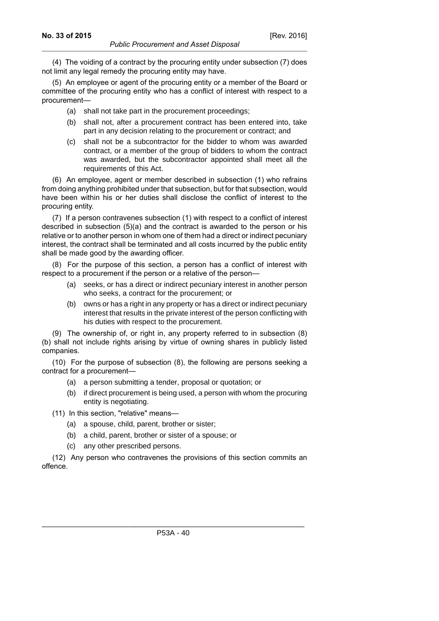(4) The voiding of a contract by the procuring entity under subsection (7) does not limit any legal remedy the procuring entity may have.

(5) An employee or agent of the procuring entity or a member of the Board or committee of the procuring entity who has a conflict of interest with respect to a procurement—

- (a) shall not take part in the procurement proceedings;
- (b) shall not, after a procurement contract has been entered into, take part in any decision relating to the procurement or contract; and
- (c) shall not be a subcontractor for the bidder to whom was awarded contract, or a member of the group of bidders to whom the contract was awarded, but the subcontractor appointed shall meet all the requirements of this Act.

(6) An employee, agent or member described in subsection (1) who refrains from doing anything prohibited under that subsection, but for that subsection, would have been within his or her duties shall disclose the conflict of interest to the procuring entity.

(7) If a person contravenes subsection (1) with respect to a conflict of interest described in subsection (5)(a) and the contract is awarded to the person or his relative or to another person in whom one of them had a direct or indirect pecuniary interest, the contract shall be terminated and all costs incurred by the public entity shall be made good by the awarding officer.

(8) For the purpose of this section, a person has a conflict of interest with respect to a procurement if the person or a relative of the person—

- (a) seeks, or has a direct or indirect pecuniary interest in another person who seeks, a contract for the procurement; or
- (b) owns or has a right in any property or has a direct or indirect pecuniary interest that results in the private interest of the person conflicting with his duties with respect to the procurement.

(9) The ownership of, or right in, any property referred to in subsection (8) (b) shall not include rights arising by virtue of owning shares in publicly listed companies.

(10) For the purpose of subsection (8), the following are persons seeking a contract for a procurement—

- (a) a person submitting a tender, proposal or quotation; or
- (b) if direct procurement is being used, a person with whom the procuring entity is negotiating.
- (11) In this section, "relative" means—
	- (a) a spouse, child, parent, brother or sister;
	- (b) a child, parent, brother or sister of a spouse; or
	- (c) any other prescribed persons.

(12) Any person who contravenes the provisions of this section commits an offence.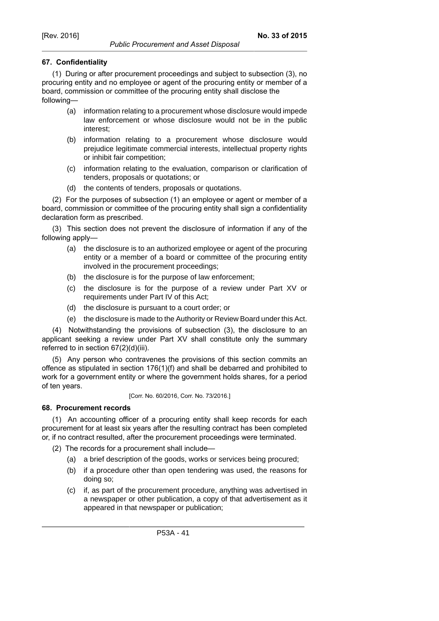# **67. Confidentiality**

(1) During or after procurement proceedings and subject to subsection (3), no procuring entity and no employee or agent of the procuring entity or member of a board, commission or committee of the procuring entity shall disclose the following—

- (a) information relating to a procurement whose disclosure would impede law enforcement or whose disclosure would not be in the public interest;
- (b) information relating to a procurement whose disclosure would prejudice legitimate commercial interests, intellectual property rights or inhibit fair competition;
- (c) information relating to the evaluation, comparison or clarification of tenders, proposals or quotations; or
- (d) the contents of tenders, proposals or quotations.

(2) For the purposes of subsection (1) an employee or agent or member of a board, commission or committee of the procuring entity shall sign a confidentiality declaration form as prescribed.

(3) This section does not prevent the disclosure of information if any of the following apply—

- (a) the disclosure is to an authorized employee or agent of the procuring entity or a member of a board or committee of the procuring entity involved in the procurement proceedings;
- (b) the disclosure is for the purpose of law enforcement;
- (c) the disclosure is for the purpose of a review under Part XV or requirements under Part IV of this Act;
- (d) the disclosure is pursuant to a court order; or
- (e) the disclosure is made to the Authority or Review Board under this Act.

(4) Notwithstanding the provisions of subsection (3), the disclosure to an applicant seeking a review under Part XV shall constitute only the summary referred to in section 67(2)(d)(iii).

(5) Any person who contravenes the provisions of this section commits an offence as stipulated in section 176(1)(f) and shall be debarred and prohibited to work for a government entity or where the government holds shares, for a period of ten years.

[Corr. No. 60/2016, Corr. No. 73/2016.]

## **68. Procurement records**

(1) An accounting officer of a procuring entity shall keep records for each procurement for at least six years after the resulting contract has been completed or, if no contract resulted, after the procurement proceedings were terminated.

- (2) The records for a procurement shall include—
	- (a) a brief description of the goods, works or services being procured;
	- (b) if a procedure other than open tendering was used, the reasons for doing so;
	- (c) if, as part of the procurement procedure, anything was advertised in a newspaper or other publication, a copy of that advertisement as it appeared in that newspaper or publication;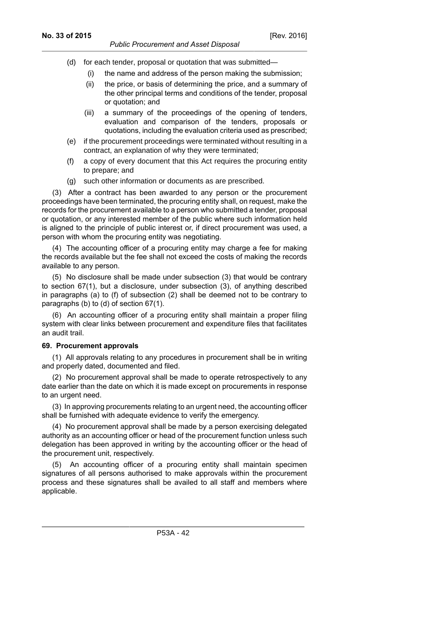- (d) for each tender, proposal or quotation that was submitted—
	- (i) the name and address of the person making the submission;
	- (ii) the price, or basis of determining the price, and a summary of the other principal terms and conditions of the tender, proposal or quotation; and
	- (iii) a summary of the proceedings of the opening of tenders, evaluation and comparison of the tenders, proposals or quotations, including the evaluation criteria used as prescribed;
- (e) if the procurement proceedings were terminated without resulting in a contract, an explanation of why they were terminated;
- (f) a copy of every document that this Act requires the procuring entity to prepare; and
- (g) such other information or documents as are prescribed.

(3) After a contract has been awarded to any person or the procurement proceedings have been terminated, the procuring entity shall, on request, make the records for the procurement available to a person who submitted a tender, proposal or quotation, or any interested member of the public where such information held is aligned to the principle of public interest or, if direct procurement was used, a person with whom the procuring entity was negotiating.

(4) The accounting officer of a procuring entity may charge a fee for making the records available but the fee shall not exceed the costs of making the records available to any person.

(5) No disclosure shall be made under subsection (3) that would be contrary to section 67(1), but a disclosure, under subsection (3), of anything described in paragraphs (a) to (f) of subsection (2) shall be deemed not to be contrary to paragraphs (b) to (d) of section 67(1).

(6) An accounting officer of a procuring entity shall maintain a proper filing system with clear links between procurement and expenditure files that facilitates an audit trail.

### **69. Procurement approvals**

(1) All approvals relating to any procedures in procurement shall be in writing and properly dated, documented and filed.

(2) No procurement approval shall be made to operate retrospectively to any date earlier than the date on which it is made except on procurements in response to an urgent need.

(3) In approving procurements relating to an urgent need, the accounting officer shall be furnished with adequate evidence to verify the emergency.

(4) No procurement approval shall be made by a person exercising delegated authority as an accounting officer or head of the procurement function unless such delegation has been approved in writing by the accounting officer or the head of the procurement unit, respectively.

(5) An accounting officer of a procuring entity shall maintain specimen signatures of all persons authorised to make approvals within the procurement process and these signatures shall be availed to all staff and members where applicable.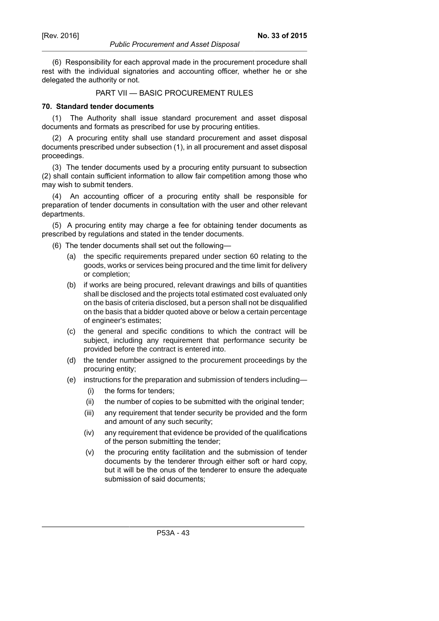#### *Public Procurement and Asset Disposal*

(6) Responsibility for each approval made in the procurement procedure shall rest with the individual signatories and accounting officer, whether he or she delegated the authority or not.

## PART VII — BASIC PROCUREMENT RULES

#### **70. Standard tender documents**

(1) The Authority shall issue standard procurement and asset disposal documents and formats as prescribed for use by procuring entities.

(2) A procuring entity shall use standard procurement and asset disposal documents prescribed under subsection (1), in all procurement and asset disposal proceedings.

(3) The tender documents used by a procuring entity pursuant to subsection (2) shall contain sufficient information to allow fair competition among those who may wish to submit tenders.

(4) An accounting officer of a procuring entity shall be responsible for preparation of tender documents in consultation with the user and other relevant departments.

(5) A procuring entity may charge a fee for obtaining tender documents as prescribed by regulations and stated in the tender documents.

- (6) The tender documents shall set out the following—
	- (a) the specific requirements prepared under section 60 relating to the goods, works or services being procured and the time limit for delivery or completion;
	- (b) if works are being procured, relevant drawings and bills of quantities shall be disclosed and the projects total estimated cost evaluated only on the basis of criteria disclosed, but a person shall not be disqualified on the basis that a bidder quoted above or below a certain percentage of engineer's estimates;
	- (c) the general and specific conditions to which the contract will be subject, including any requirement that performance security be provided before the contract is entered into.
	- (d) the tender number assigned to the procurement proceedings by the procuring entity;
	- (e) instructions for the preparation and submission of tenders including—
		- (i) the forms for tenders;
		- (ii) the number of copies to be submitted with the original tender;
		- (iii) any requirement that tender security be provided and the form and amount of any such security;
		- (iv) any requirement that evidence be provided of the qualifications of the person submitting the tender;
		- (v) the procuring entity facilitation and the submission of tender documents by the tenderer through either soft or hard copy, but it will be the onus of the tenderer to ensure the adequate submission of said documents;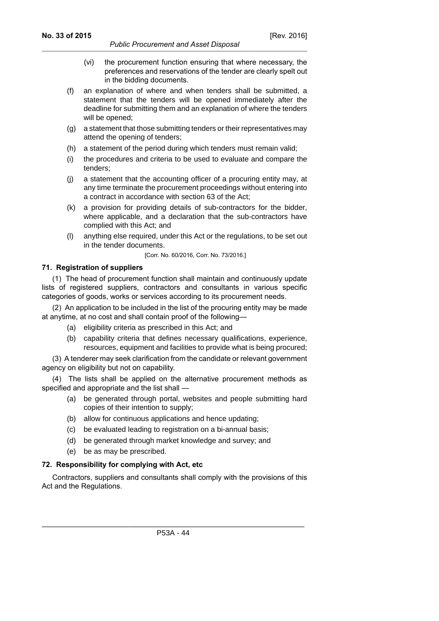- *Public Procurement and Asset Disposal*
- (vi) the procurement function ensuring that where necessary, the preferences and reservations of the tender are clearly spelt out in the bidding documents.
- (f) an explanation of where and when tenders shall be submitted, a statement that the tenders will be opened immediately after the deadline for submitting them and an explanation of where the tenders will be opened;
- (g) a statement that those submitting tenders or their representatives may attend the opening of tenders;
- (h) a statement of the period during which tenders must remain valid;
- (i) the procedures and criteria to be used to evaluate and compare the tenders;
- (j) a statement that the accounting officer of a procuring entity may, at any time terminate the procurement proceedings without entering into a contract in accordance with section 63 of the Act;
- (k) a provision for providing details of sub-contractors for the bidder, where applicable, and a declaration that the sub-contractors have complied with this Act; and
- (l) anything else required, under this Act or the regulations, to be set out in the tender documents.

[Corr. No. 60/2016, Corr. No. 73/2016.]

### **71. Registration of suppliers**

(1) The head of procurement function shall maintain and continuously update lists of registered suppliers, contractors and consultants in various specific categories of goods, works or services according to its procurement needs.

(2) An application to be included in the list of the procuring entity may be made at anytime, at no cost and shall contain proof of the following—

- (a) eligibility criteria as prescribed in this Act; and
- (b) capability criteria that defines necessary qualifications, experience, resources, equipment and facilities to provide what is being procured;

(3) A tenderer may seek clarification from the candidate or relevant government agency on eligibility but not on capability.

(4) The lists shall be applied on the alternative procurement methods as specified and appropriate and the list shall —

- (a) be generated through portal, websites and people submitting hard copies of their intention to supply;
- (b) allow for continuous applications and hence updating;
- (c) be evaluated leading to registration on a bi-annual basis;
- (d) be generated through market knowledge and survey; and
- (e) be as may be prescribed.

## **72. Responsibility for complying with Act, etc**

Contractors, suppliers and consultants shall comply with the provisions of this Act and the Regulations.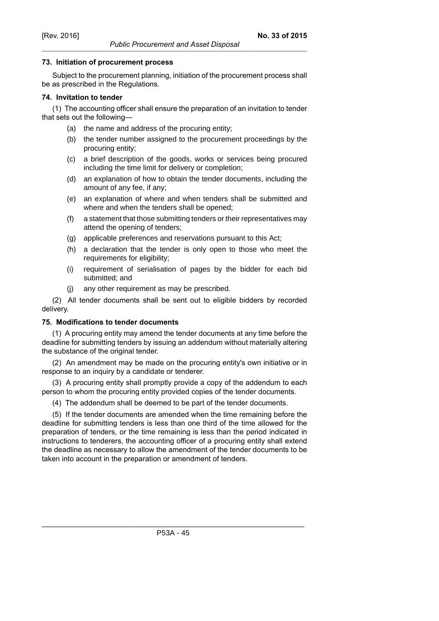### **73. Initiation of procurement process**

Subject to the procurement planning, initiation of the procurement process shall be as prescribed in the Regulations.

*Public Procurement and Asset Disposal*

## **74. Invitation to tender**

(1) The accounting officer shall ensure the preparation of an invitation to tender that sets out the following—

- (a) the name and address of the procuring entity;
- (b) the tender number assigned to the procurement proceedings by the procuring entity;
- (c) a brief description of the goods, works or services being procured including the time limit for delivery or completion;
- (d) an explanation of how to obtain the tender documents, including the amount of any fee, if any;
- (e) an explanation of where and when tenders shall be submitted and where and when the tenders shall be opened;
- (f) a statement that those submitting tenders or their representatives may attend the opening of tenders;
- (g) applicable preferences and reservations pursuant to this Act;
- (h) a declaration that the tender is only open to those who meet the requirements for eligibility;
- (i) requirement of serialisation of pages by the bidder for each bid submitted; and
- (j) any other requirement as may be prescribed.

(2) All tender documents shall be sent out to eligible bidders by recorded delivery.

## **75. Modifications to tender documents**

(1) A procuring entity may amend the tender documents at any time before the deadline for submitting tenders by issuing an addendum without materially altering the substance of the original tender.

(2) An amendment may be made on the procuring entity's own initiative or in response to an inquiry by a candidate or tenderer.

(3) A procuring entity shall promptly provide a copy of the addendum to each person to whom the procuring entity provided copies of the tender documents.

(4) The addendum shall be deemed to be part of the tender documents.

(5) If the tender documents are amended when the time remaining before the deadline for submitting tenders is less than one third of the time allowed for the preparation of tenders, or the time remaining is less than the period indicated in instructions to tenderers, the accounting officer of a procuring entity shall extend the deadline as necessary to allow the amendment of the tender documents to be taken into account in the preparation or amendment of tenders.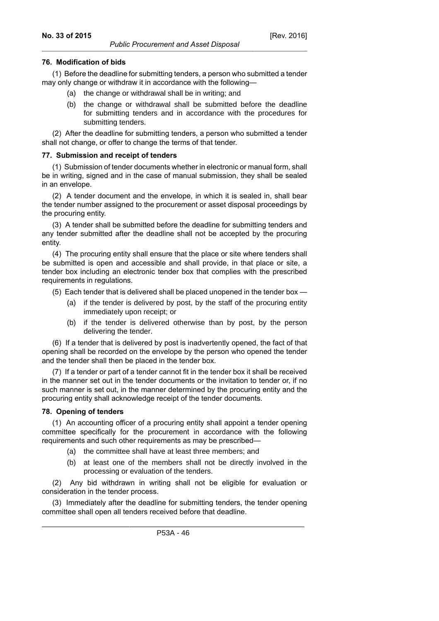## **76. Modification of bids**

(1) Before the deadline for submitting tenders, a person who submitted a tender may only change or withdraw it in accordance with the following—

- (a) the change or withdrawal shall be in writing; and
- (b) the change or withdrawal shall be submitted before the deadline for submitting tenders and in accordance with the procedures for submitting tenders.

(2) After the deadline for submitting tenders, a person who submitted a tender shall not change, or offer to change the terms of that tender.

## **77. Submission and receipt of tenders**

(1) Submission of tender documents whether in electronic or manual form, shall be in writing, signed and in the case of manual submission, they shall be sealed in an envelope.

(2) A tender document and the envelope, in which it is sealed in, shall bear the tender number assigned to the procurement or asset disposal proceedings by the procuring entity.

(3) A tender shall be submitted before the deadline for submitting tenders and any tender submitted after the deadline shall not be accepted by the procuring entity.

(4) The procuring entity shall ensure that the place or site where tenders shall be submitted is open and accessible and shall provide, in that place or site, a tender box including an electronic tender box that complies with the prescribed requirements in regulations.

(5) Each tender that is delivered shall be placed unopened in the tender box —

- (a) if the tender is delivered by post, by the staff of the procuring entity immediately upon receipt; or
- (b) if the tender is delivered otherwise than by post, by the person delivering the tender.

(6) If a tender that is delivered by post is inadvertently opened, the fact of that opening shall be recorded on the envelope by the person who opened the tender and the tender shall then be placed in the tender box.

(7) If a tender or part of a tender cannot fit in the tender box it shall be received in the manner set out in the tender documents or the invitation to tender or, if no such manner is set out, in the manner determined by the procuring entity and the procuring entity shall acknowledge receipt of the tender documents.

## **78. Opening of tenders**

(1) An accounting officer of a procuring entity shall appoint a tender opening committee specifically for the procurement in accordance with the following requirements and such other requirements as may be prescribed—

- (a) the committee shall have at least three members; and
- (b) at least one of the members shall not be directly involved in the processing or evaluation of the tenders.

(2) Any bid withdrawn in writing shall not be eligible for evaluation or consideration in the tender process.

(3) Immediately after the deadline for submitting tenders, the tender opening committee shall open all tenders received before that deadline.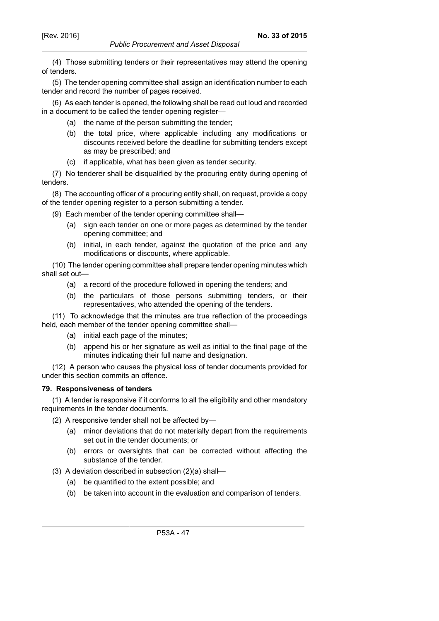(4) Those submitting tenders or their representatives may attend the opening of tenders.

*Public Procurement and Asset Disposal*

(5) The tender opening committee shall assign an identification number to each tender and record the number of pages received.

(6) As each tender is opened, the following shall be read out loud and recorded in a document to be called the tender opening register—

- (a) the name of the person submitting the tender;
- (b) the total price, where applicable including any modifications or discounts received before the deadline for submitting tenders except as may be prescribed; and
- (c) if applicable, what has been given as tender security.

(7) No tenderer shall be disqualified by the procuring entity during opening of tenders.

(8) The accounting officer of a procuring entity shall, on request, provide a copy of the tender opening register to a person submitting a tender.

(9) Each member of the tender opening committee shall—

- (a) sign each tender on one or more pages as determined by the tender opening committee; and
- (b) initial, in each tender, against the quotation of the price and any modifications or discounts, where applicable.

(10) The tender opening committee shall prepare tender opening minutes which shall set out—

- (a) a record of the procedure followed in opening the tenders; and
- (b) the particulars of those persons submitting tenders, or their representatives, who attended the opening of the tenders.

(11) To acknowledge that the minutes are true reflection of the proceedings held, each member of the tender opening committee shall—

- (a) initial each page of the minutes;
- (b) append his or her signature as well as initial to the final page of the minutes indicating their full name and designation.

(12) A person who causes the physical loss of tender documents provided for under this section commits an offence.

## **79. Responsiveness of tenders**

(1) A tender is responsive if it conforms to all the eligibility and other mandatory requirements in the tender documents.

- (2) A responsive tender shall not be affected by—
	- (a) minor deviations that do not materially depart from the requirements set out in the tender documents; or
	- (b) errors or oversights that can be corrected without affecting the substance of the tender.
- (3) A deviation described in subsection (2)(a) shall—
	- (a) be quantified to the extent possible; and
	- (b) be taken into account in the evaluation and comparison of tenders.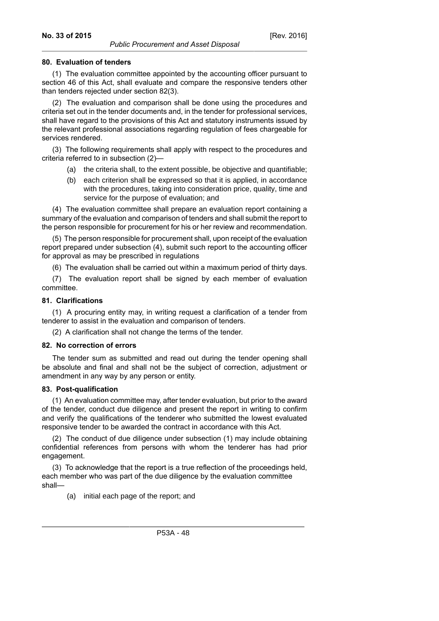## **80. Evaluation of tenders**

(1) The evaluation committee appointed by the accounting officer pursuant to section 46 of this Act, shall evaluate and compare the responsive tenders other than tenders rejected under section 82(3).

(2) The evaluation and comparison shall be done using the procedures and criteria set out in the tender documents and, in the tender for professional services, shall have regard to the provisions of this Act and statutory instruments issued by the relevant professional associations regarding regulation of fees chargeable for services rendered.

(3) The following requirements shall apply with respect to the procedures and criteria referred to in subsection (2)—

- (a) the criteria shall, to the extent possible, be objective and quantifiable;
- (b) each criterion shall be expressed so that it is applied, in accordance with the procedures, taking into consideration price, quality, time and service for the purpose of evaluation; and

(4) The evaluation committee shall prepare an evaluation report containing a summary of the evaluation and comparison of tenders and shall submit the report to the person responsible for procurement for his or her review and recommendation.

(5) The person responsible for procurement shall, upon receipt of the evaluation report prepared under subsection (4), submit such report to the accounting officer for approval as may be prescribed in regulations

(6) The evaluation shall be carried out within a maximum period of thirty days.

(7) The evaluation report shall be signed by each member of evaluation committee.

## **81. Clarifications**

(1) A procuring entity may, in writing request a clarification of a tender from tenderer to assist in the evaluation and comparison of tenders.

(2) A clarification shall not change the terms of the tender.

### **82. No correction of errors**

The tender sum as submitted and read out during the tender opening shall be absolute and final and shall not be the subject of correction, adjustment or amendment in any way by any person or entity.

### **83. Post-qualification**

(1) An evaluation committee may, after tender evaluation, but prior to the award of the tender, conduct due diligence and present the report in writing to confirm and verify the qualifications of the tenderer who submitted the lowest evaluated responsive tender to be awarded the contract in accordance with this Act.

(2) The conduct of due diligence under subsection (1) may include obtaining confidential references from persons with whom the tenderer has had prior engagement.

(3) To acknowledge that the report is a true reflection of the proceedings held, each member who was part of the due diligence by the evaluation committee shall—

(a) initial each page of the report; and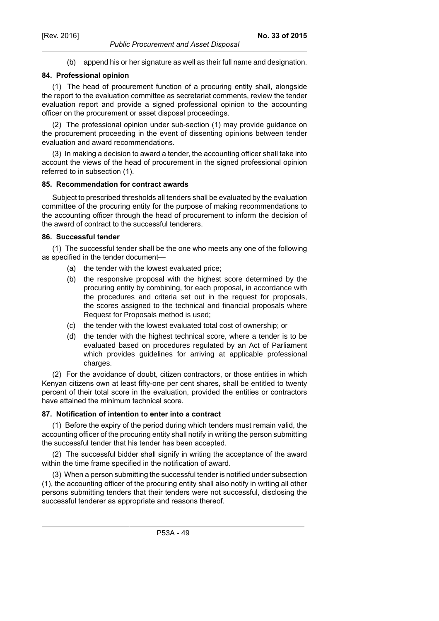(b) append his or her signature as well as their full name and designation.

# **84. Professional opinion**

(1) The head of procurement function of a procuring entity shall, alongside the report to the evaluation committee as secretariat comments, review the tender evaluation report and provide a signed professional opinion to the accounting officer on the procurement or asset disposal proceedings.

(2) The professional opinion under sub-section (1) may provide guidance on the procurement proceeding in the event of dissenting opinions between tender evaluation and award recommendations.

(3) In making a decision to award a tender, the accounting officer shall take into account the views of the head of procurement in the signed professional opinion referred to in subsection (1).

## **85. Recommendation for contract awards**

Subject to prescribed thresholds all tenders shall be evaluated by the evaluation committee of the procuring entity for the purpose of making recommendations to the accounting officer through the head of procurement to inform the decision of the award of contract to the successful tenderers.

## **86. Successful tender**

(1) The successful tender shall be the one who meets any one of the following as specified in the tender document—

- (a) the tender with the lowest evaluated price;
- (b) the responsive proposal with the highest score determined by the procuring entity by combining, for each proposal, in accordance with the procedures and criteria set out in the request for proposals, the scores assigned to the technical and financial proposals where Request for Proposals method is used;
- (c) the tender with the lowest evaluated total cost of ownership; or
- (d) the tender with the highest technical score, where a tender is to be evaluated based on procedures regulated by an Act of Parliament which provides guidelines for arriving at applicable professional charges.

(2) For the avoidance of doubt, citizen contractors, or those entities in which Kenyan citizens own at least fifty-one per cent shares, shall be entitled to twenty percent of their total score in the evaluation, provided the entities or contractors have attained the minimum technical score.

## **87. Notification of intention to enter into a contract**

(1) Before the expiry of the period during which tenders must remain valid, the accounting officer of the procuring entity shall notify in writing the person submitting the successful tender that his tender has been accepted.

(2) The successful bidder shall signify in writing the acceptance of the award within the time frame specified in the notification of award.

(3) When a person submitting the successful tender is notified under subsection (1), the accounting officer of the procuring entity shall also notify in writing all other persons submitting tenders that their tenders were not successful, disclosing the successful tenderer as appropriate and reasons thereof.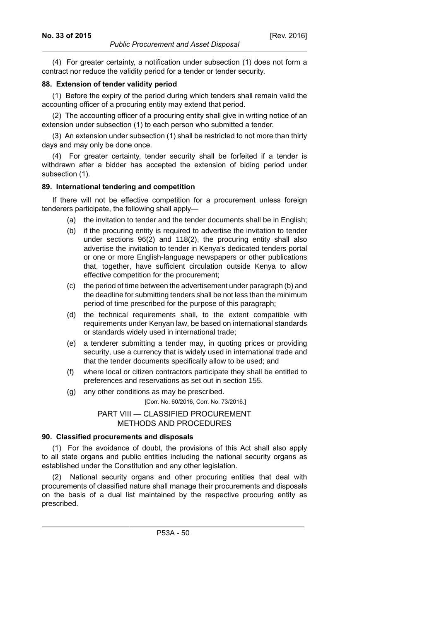(4) For greater certainty, a notification under subsection (1) does not form a contract nor reduce the validity period for a tender or tender security.

### **88. Extension of tender validity period**

(1) Before the expiry of the period during which tenders shall remain valid the accounting officer of a procuring entity may extend that period.

(2) The accounting officer of a procuring entity shall give in writing notice of an extension under subsection (1) to each person who submitted a tender.

(3) An extension under subsection (1) shall be restricted to not more than thirty days and may only be done once.

(4) For greater certainty, tender security shall be forfeited if a tender is withdrawn after a bidder has accepted the extension of biding period under subsection (1).

#### **89. International tendering and competition**

If there will not be effective competition for a procurement unless foreign tenderers participate, the following shall apply—

- (a) the invitation to tender and the tender documents shall be in English;
- (b) if the procuring entity is required to advertise the invitation to tender under sections 96(2) and 118(2), the procuring entity shall also advertise the invitation to tender in Kenya's dedicated tenders portal or one or more English-language newspapers or other publications that, together, have sufficient circulation outside Kenya to allow effective competition for the procurement;
- (c) the period of time between the advertisement under paragraph (b) and the deadline for submitting tenders shall be not less than the minimum period of time prescribed for the purpose of this paragraph;
- (d) the technical requirements shall, to the extent compatible with requirements under Kenyan law, be based on international standards or standards widely used in international trade;
- (e) a tenderer submitting a tender may, in quoting prices or providing security, use a currency that is widely used in international trade and that the tender documents specifically allow to be used; and
- (f) where local or citizen contractors participate they shall be entitled to preferences and reservations as set out in section 155.
- (g) any other conditions as may be prescribed.

[Corr. No. 60/2016, Corr. No. 73/2016.]

### PART VIII — CLASSIFIED PROCUREMENT METHODS AND PROCEDURES

### **90. Classified procurements and disposals**

(1) For the avoidance of doubt, the provisions of this Act shall also apply to all state organs and public entities including the national security organs as established under the Constitution and any other legislation.

National security organs and other procuring entities that deal with procurements of classified nature shall manage their procurements and disposals on the basis of a dual list maintained by the respective procuring entity as prescribed.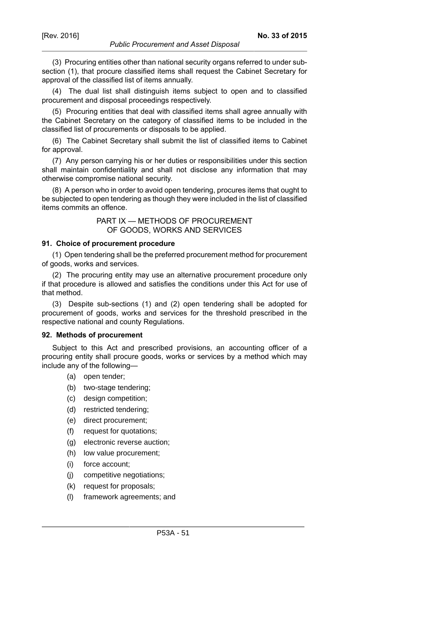(3) Procuring entities other than national security organs referred to under subsection (1), that procure classified items shall request the Cabinet Secretary for approval of the classified list of items annually.

(4) The dual list shall distinguish items subject to open and to classified procurement and disposal proceedings respectively.

(5) Procuring entities that deal with classified items shall agree annually with the Cabinet Secretary on the category of classified items to be included in the classified list of procurements or disposals to be applied.

(6) The Cabinet Secretary shall submit the list of classified items to Cabinet for approval.

(7) Any person carrying his or her duties or responsibilities under this section shall maintain confidentiality and shall not disclose any information that may otherwise compromise national security.

(8) A person who in order to avoid open tendering, procures items that ought to be subjected to open tendering as though they were included in the list of classified items commits an offence.

## PART IX — METHODS OF PROCUREMENT OF GOODS, WORKS AND SERVICES

### **91. Choice of procurement procedure**

(1) Open tendering shall be the preferred procurement method for procurement of goods, works and services.

(2) The procuring entity may use an alternative procurement procedure only if that procedure is allowed and satisfies the conditions under this Act for use of that method.

(3) Despite sub-sections (1) and (2) open tendering shall be adopted for procurement of goods, works and services for the threshold prescribed in the respective national and county Regulations.

#### **92. Methods of procurement**

Subject to this Act and prescribed provisions, an accounting officer of a procuring entity shall procure goods, works or services by a method which may include any of the following—

- (a) open tender;
- (b) two-stage tendering;
- (c) design competition;
- (d) restricted tendering;
- (e) direct procurement;
- (f) request for quotations;
- (g) electronic reverse auction;
- (h) low value procurement;
- (i) force account;
- (j) competitive negotiations;
- (k) request for proposals;
- (l) framework agreements; and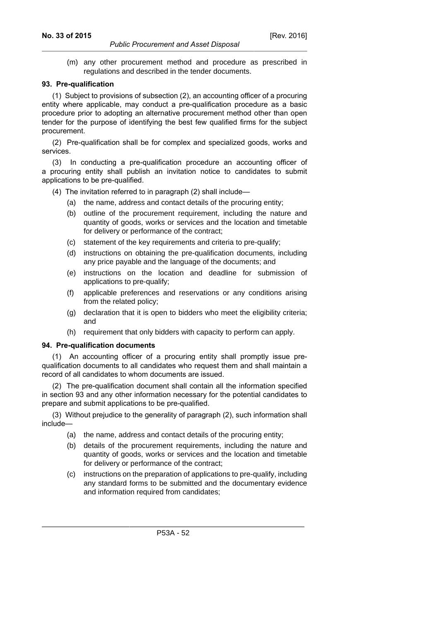(m) any other procurement method and procedure as prescribed in regulations and described in the tender documents.

### **93. Pre-qualification**

(1) Subject to provisions of subsection (2), an accounting officer of a procuring entity where applicable, may conduct a pre-qualification procedure as a basic procedure prior to adopting an alternative procurement method other than open tender for the purpose of identifying the best few qualified firms for the subject procurement.

(2) Pre-qualification shall be for complex and specialized goods, works and services.

(3) In conducting a pre-qualification procedure an accounting officer of a procuring entity shall publish an invitation notice to candidates to submit applications to be pre-qualified.

(4) The invitation referred to in paragraph (2) shall include—

- (a) the name, address and contact details of the procuring entity;
- (b) outline of the procurement requirement, including the nature and quantity of goods, works or services and the location and timetable for delivery or performance of the contract;
- (c) statement of the key requirements and criteria to pre-qualify;
- (d) instructions on obtaining the pre-qualification documents, including any price payable and the language of the documents; and
- (e) instructions on the location and deadline for submission of applications to pre-qualify;
- (f) applicable preferences and reservations or any conditions arising from the related policy;
- (g) declaration that it is open to bidders who meet the eligibility criteria; and
- (h) requirement that only bidders with capacity to perform can apply.

### **94. Pre-qualification documents**

(1) An accounting officer of a procuring entity shall promptly issue prequalification documents to all candidates who request them and shall maintain a record of all candidates to whom documents are issued.

(2) The pre-qualification document shall contain all the information specified in section 93 and any other information necessary for the potential candidates to prepare and submit applications to be pre-qualified.

(3) Without prejudice to the generality of paragraph (2), such information shall include—

- (a) the name, address and contact details of the procuring entity;
- (b) details of the procurement requirements, including the nature and quantity of goods, works or services and the location and timetable for delivery or performance of the contract;
- (c) instructions on the preparation of applications to pre-qualify, including any standard forms to be submitted and the documentary evidence and information required from candidates;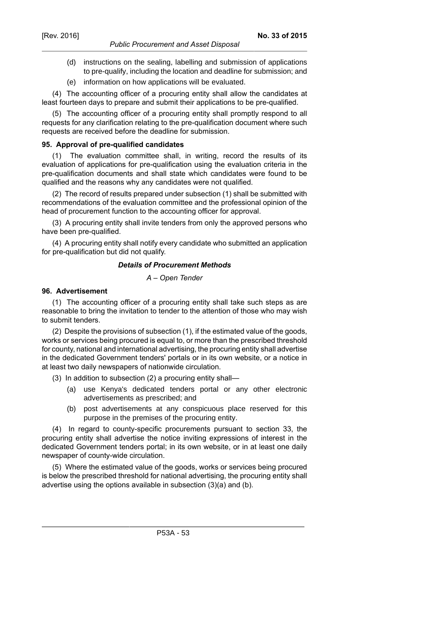- (d) instructions on the sealing, labelling and submission of applications to pre-qualify, including the location and deadline for submission; and
- (e) information on how applications will be evaluated.

(4) The accounting officer of a procuring entity shall allow the candidates at least fourteen days to prepare and submit their applications to be pre-qualified.

(5) The accounting officer of a procuring entity shall promptly respond to all requests for any clarification relating to the pre-qualification document where such requests are received before the deadline for submission.

#### **95. Approval of pre-qualified candidates**

(1) The evaluation committee shall, in writing, record the results of its evaluation of applications for pre-qualification using the evaluation criteria in the pre-qualification documents and shall state which candidates were found to be qualified and the reasons why any candidates were not qualified.

(2) The record of results prepared under subsection (1) shall be submitted with recommendations of the evaluation committee and the professional opinion of the head of procurement function to the accounting officer for approval.

(3) A procuring entity shall invite tenders from only the approved persons who have been pre-qualified.

(4) A procuring entity shall notify every candidate who submitted an application for pre-qualification but did not qualify.

#### *Details of Procurement Methods*

### *A – Open Tender*

#### **96. Advertisement**

(1) The accounting officer of a procuring entity shall take such steps as are reasonable to bring the invitation to tender to the attention of those who may wish to submit tenders.

(2) Despite the provisions of subsection (1), if the estimated value of the goods, works or services being procured is equal to, or more than the prescribed threshold for county, national and international advertising, the procuring entity shall advertise in the dedicated Government tenders' portals or in its own website, or a notice in at least two daily newspapers of nationwide circulation.

(3) In addition to subsection (2) a procuring entity shall—

- (a) use Kenya's dedicated tenders portal or any other electronic advertisements as prescribed; and
- (b) post advertisements at any conspicuous place reserved for this purpose in the premises of the procuring entity.

(4) In regard to county-specific procurements pursuant to section 33, the procuring entity shall advertise the notice inviting expressions of interest in the dedicated Government tenders portal; in its own website, or in at least one daily newspaper of county-wide circulation.

(5) Where the estimated value of the goods, works or services being procured is below the prescribed threshold for national advertising, the procuring entity shall advertise using the options available in subsection (3)(a) and (b).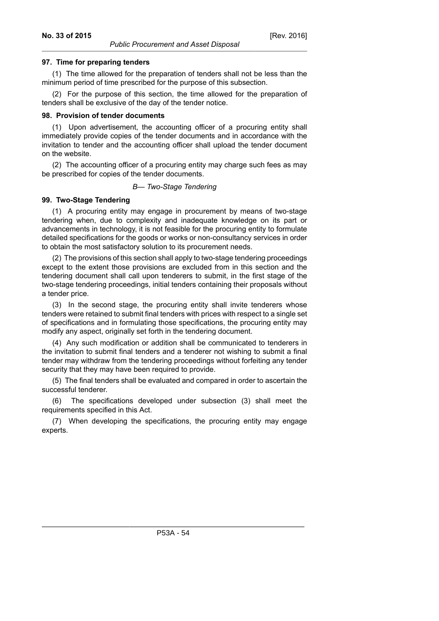# **97. Time for preparing tenders**

(1) The time allowed for the preparation of tenders shall not be less than the minimum period of time prescribed for the purpose of this subsection.

(2) For the purpose of this section, the time allowed for the preparation of tenders shall be exclusive of the day of the tender notice.

#### **98. Provision of tender documents**

(1) Upon advertisement, the accounting officer of a procuring entity shall immediately provide copies of the tender documents and in accordance with the invitation to tender and the accounting officer shall upload the tender document on the website.

(2) The accounting officer of a procuring entity may charge such fees as may be prescribed for copies of the tender documents.

### *B— Two-Stage Tendering*

## **99. Two-Stage Tendering**

(1) A procuring entity may engage in procurement by means of two-stage tendering when, due to complexity and inadequate knowledge on its part or advancements in technology, it is not feasible for the procuring entity to formulate detailed specifications for the goods or works or non-consultancy services in order to obtain the most satisfactory solution to its procurement needs.

(2) The provisions of this section shall apply to two-stage tendering proceedings except to the extent those provisions are excluded from in this section and the tendering document shall call upon tenderers to submit, in the first stage of the two-stage tendering proceedings, initial tenders containing their proposals without a tender price.

(3) In the second stage, the procuring entity shall invite tenderers whose tenders were retained to submit final tenders with prices with respect to a single set of specifications and in formulating those specifications, the procuring entity may modify any aspect, originally set forth in the tendering document.

(4) Any such modification or addition shall be communicated to tenderers in the invitation to submit final tenders and a tenderer not wishing to submit a final tender may withdraw from the tendering proceedings without forfeiting any tender security that they may have been required to provide.

(5) The final tenders shall be evaluated and compared in order to ascertain the successful tenderer.

(6) The specifications developed under subsection (3) shall meet the requirements specified in this Act.

(7) When developing the specifications, the procuring entity may engage experts.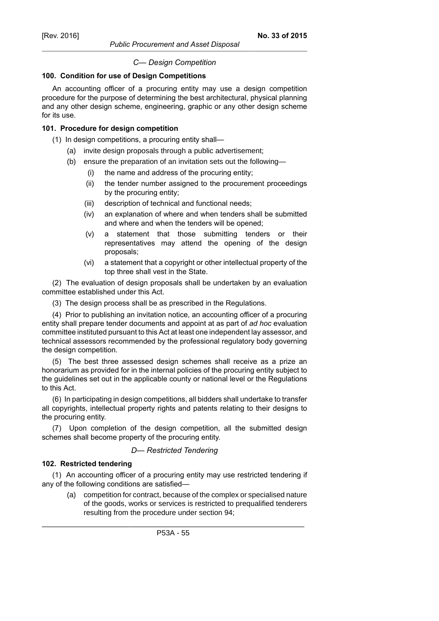*Public Procurement and Asset Disposal*

# *C— Design Competition*

# **100. Condition for use of Design Competitions**

An accounting officer of a procuring entity may use a design competition procedure for the purpose of determining the best architectural, physical planning and any other design scheme, engineering, graphic or any other design scheme for its use.

## **101. Procedure for design competition**

- (1) In design competitions, a procuring entity shall—
	- (a) invite design proposals through a public advertisement;
	- (b) ensure the preparation of an invitation sets out the following—
		- (i) the name and address of the procuring entity;
		- (ii) the tender number assigned to the procurement proceedings by the procuring entity;
		- (iii) description of technical and functional needs;
		- (iv) an explanation of where and when tenders shall be submitted and where and when the tenders will be opened;
		- (v) a statement that those submitting tenders or their representatives may attend the opening of the design proposals;
		- (vi) a statement that a copyright or other intellectual property of the top three shall vest in the State.

(2) The evaluation of design proposals shall be undertaken by an evaluation committee established under this Act.

(3) The design process shall be as prescribed in the Regulations.

(4) Prior to publishing an invitation notice, an accounting officer of a procuring entity shall prepare tender documents and appoint at as part of *ad hoc* evaluation committee instituted pursuant to this Act at least one independent lay assessor, and technical assessors recommended by the professional regulatory body governing the design competition.

(5) The best three assessed design schemes shall receive as a prize an honorarium as provided for in the internal policies of the procuring entity subject to the guidelines set out in the applicable county or national level or the Regulations to this Act.

(6) In participating in design competitions, all bidders shall undertake to transfer all copyrights, intellectual property rights and patents relating to their designs to the procuring entity.

(7) Upon completion of the design competition, all the submitted design schemes shall become property of the procuring entity.

## *D— Restricted Tendering*

# **102. Restricted tendering**

(1) An accounting officer of a procuring entity may use restricted tendering if any of the following conditions are satisfied—

(a) competition for contract, because of the complex or specialised nature of the goods, works or services is restricted to prequalified tenderers resulting from the procedure under section 94;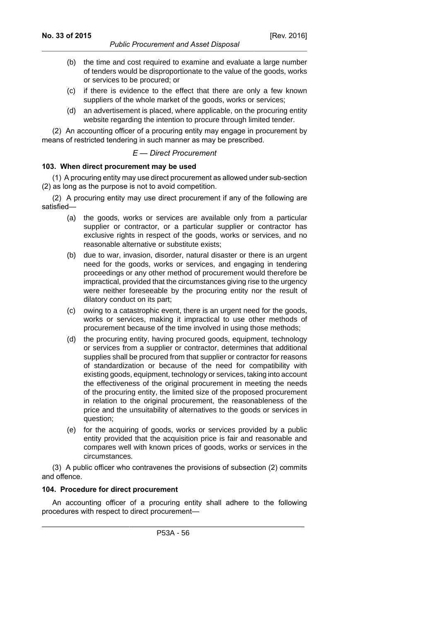- [Rev. 2016]
- (b) the time and cost required to examine and evaluate a large number of tenders would be disproportionate to the value of the goods, works or services to be procured; or
- (c) if there is evidence to the effect that there are only a few known suppliers of the whole market of the goods, works or services;
- (d) an advertisement is placed, where applicable, on the procuring entity website regarding the intention to procure through limited tender.

(2) An accounting officer of a procuring entity may engage in procurement by means of restricted tendering in such manner as may be prescribed.

# *E — Direct Procurement*

# **103. When direct procurement may be used**

(1) A procuring entity may use direct procurement as allowed under sub-section (2) as long as the purpose is not to avoid competition.

(2) A procuring entity may use direct procurement if any of the following are satisfied—

- (a) the goods, works or services are available only from a particular supplier or contractor, or a particular supplier or contractor has exclusive rights in respect of the goods, works or services, and no reasonable alternative or substitute exists;
- (b) due to war, invasion, disorder, natural disaster or there is an urgent need for the goods, works or services, and engaging in tendering proceedings or any other method of procurement would therefore be impractical, provided that the circumstances giving rise to the urgency were neither foreseeable by the procuring entity nor the result of dilatory conduct on its part;
- (c) owing to a catastrophic event, there is an urgent need for the goods, works or services, making it impractical to use other methods of procurement because of the time involved in using those methods;
- (d) the procuring entity, having procured goods, equipment, technology or services from a supplier or contractor, determines that additional supplies shall be procured from that supplier or contractor for reasons of standardization or because of the need for compatibility with existing goods, equipment, technology or services, taking into account the effectiveness of the original procurement in meeting the needs of the procuring entity, the limited size of the proposed procurement in relation to the original procurement, the reasonableness of the price and the unsuitability of alternatives to the goods or services in question;
- (e) for the acquiring of goods, works or services provided by a public entity provided that the acquisition price is fair and reasonable and compares well with known prices of goods, works or services in the circumstances.

(3) A public officer who contravenes the provisions of subsection (2) commits and offence.

## **104. Procedure for direct procurement**

An accounting officer of a procuring entity shall adhere to the following procedures with respect to direct procurement—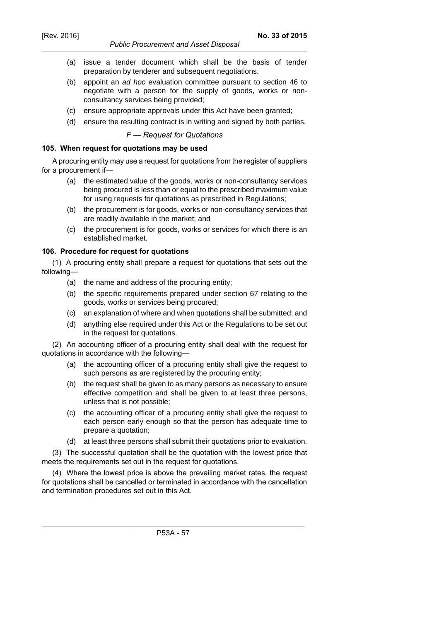- *Public Procurement and Asset Disposal*
- (a) issue a tender document which shall be the basis of tender preparation by tenderer and subsequent negotiations.
- (b) appoint an ad hoc evaluation committee pursuant to section 46 to negotiate with a person for the supply of goods, works or nonconsultancy services being provided;
- (c) ensure appropriate approvals under this Act have been granted;
- (d) ensure the resulting contract is in writing and signed by both parties.

*F — Request for Quotations*

#### **105. When request for quotations may be used**

A procuring entity may use a request for quotations from the register of suppliers for a procurement if—

- (a) the estimated value of the goods, works or non-consultancy services being procured is less than or equal to the prescribed maximum value for using requests for quotations as prescribed in Regulations;
- (b) the procurement is for goods, works or non-consultancy services that are readily available in the market; and
- (c) the procurement is for goods, works or services for which there is an established market.

### **106. Procedure for request for quotations**

(1) A procuring entity shall prepare a request for quotations that sets out the following—

- (a) the name and address of the procuring entity;
- (b) the specific requirements prepared under section 67 relating to the goods, works or services being procured;
- (c) an explanation of where and when quotations shall be submitted; and
- (d) anything else required under this Act or the Regulations to be set out in the request for quotations.

(2) An accounting officer of a procuring entity shall deal with the request for quotations in accordance with the following—

- (a) the accounting officer of a procuring entity shall give the request to such persons as are registered by the procuring entity;
- (b) the request shall be given to as many persons as necessary to ensure effective competition and shall be given to at least three persons, unless that is not possible;
- (c) the accounting officer of a procuring entity shall give the request to each person early enough so that the person has adequate time to prepare a quotation;
- (d) at least three persons shall submit their quotations prior to evaluation.

(3) The successful quotation shall be the quotation with the lowest price that meets the requirements set out in the request for quotations.

(4) Where the lowest price is above the prevailing market rates, the request for quotations shall be cancelled or terminated in accordance with the cancellation and termination procedures set out in this Act.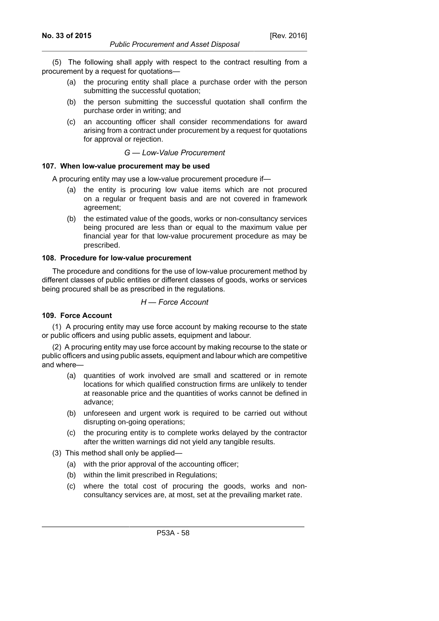(5) The following shall apply with respect to the contract resulting from a procurement by a request for quotations—

- (a) the procuring entity shall place a purchase order with the person submitting the successful quotation;
- (b) the person submitting the successful quotation shall confirm the purchase order in writing; and
- (c) an accounting officer shall consider recommendations for award arising from a contract under procurement by a request for quotations for approval or rejection.

*G — Low-Value Procurement*

## **107. When low-value procurement may be used**

A procuring entity may use a low-value procurement procedure if—

- (a) the entity is procuring low value items which are not procured on a regular or frequent basis and are not covered in framework agreement;
- (b) the estimated value of the goods, works or non-consultancy services being procured are less than or equal to the maximum value per financial year for that low-value procurement procedure as may be prescribed.

#### **108. Procedure for low-value procurement**

The procedure and conditions for the use of low-value procurement method by different classes of public entities or different classes of goods, works or services being procured shall be as prescribed in the regulations.

## *H — Force Account*

### **109. Force Account**

(1) A procuring entity may use force account by making recourse to the state or public officers and using public assets, equipment and labour.

(2) A procuring entity may use force account by making recourse to the state or public officers and using public assets, equipment and labour which are competitive and where—

- (a) quantities of work involved are small and scattered or in remote locations for which qualified construction firms are unlikely to tender at reasonable price and the quantities of works cannot be defined in advance;
- (b) unforeseen and urgent work is required to be carried out without disrupting on-going operations;
- (c) the procuring entity is to complete works delayed by the contractor after the written warnings did not yield any tangible results.
- (3) This method shall only be applied—
	- (a) with the prior approval of the accounting officer;
	- (b) within the limit prescribed in Regulations;
	- (c) where the total cost of procuring the goods, works and nonconsultancy services are, at most, set at the prevailing market rate.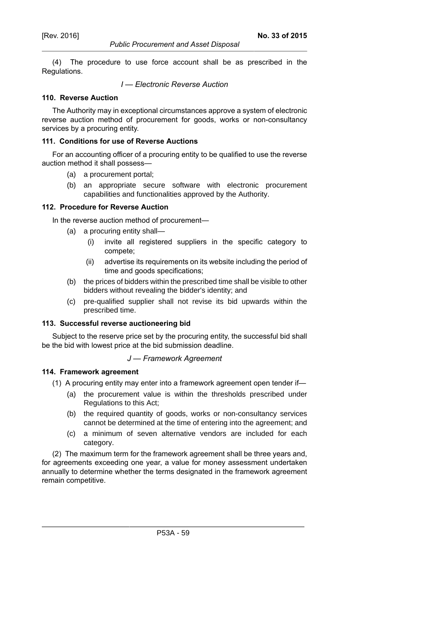*Public Procurement and Asset Disposal*

(4) The procedure to use force account shall be as prescribed in the Regulations.

### *I — Electronic Reverse Auction*

## **110. Reverse Auction**

The Authority may in exceptional circumstances approve a system of electronic reverse auction method of procurement for goods, works or non-consultancy services by a procuring entity.

# **111. Conditions for use of Reverse Auctions**

For an accounting officer of a procuring entity to be qualified to use the reverse auction method it shall possess—

- (a) a procurement portal;
- (b) an appropriate secure software with electronic procurement capabilities and functionalities approved by the Authority.

### **112. Procedure for Reverse Auction**

In the reverse auction method of procurement—

- (a) a procuring entity shall—
	- (i) invite all registered suppliers in the specific category to compete;
	- (ii) advertise its requirements on its website including the period of time and goods specifications;
- (b) the prices of bidders within the prescribed time shall be visible to other bidders without revealing the bidder's identity; and
- (c) pre-qualified supplier shall not revise its bid upwards within the prescribed time.

### **113. Successful reverse auctioneering bid**

Subject to the reserve price set by the procuring entity, the successful bid shall be the bid with lowest price at the bid submission deadline.

### *J — Framework Agreement*

### **114. Framework agreement**

- (1) A procuring entity may enter into a framework agreement open tender if—
	- (a) the procurement value is within the thresholds prescribed under Regulations to this Act;
	- (b) the required quantity of goods, works or non-consultancy services cannot be determined at the time of entering into the agreement; and
	- (c) a minimum of seven alternative vendors are included for each category.

(2) The maximum term for the framework agreement shall be three years and, for agreements exceeding one year, a value for money assessment undertaken annually to determine whether the terms designated in the framework agreement remain competitive.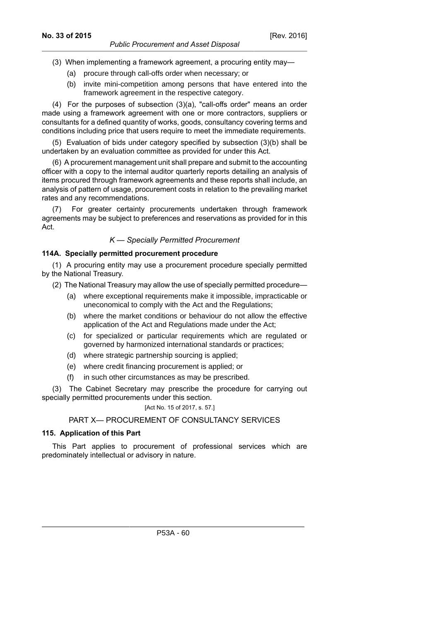- *Public Procurement and Asset Disposal*
- (3) When implementing a framework agreement, a procuring entity may—
	- (a) procure through call-offs order when necessary; or
	- (b) invite mini-competition among persons that have entered into the framework agreement in the respective category.

(4) For the purposes of subsection (3)(a), "call-offs order" means an order made using a framework agreement with one or more contractors, suppliers or consultants for a defined quantity of works, goods, consultancy covering terms and conditions including price that users require to meet the immediate requirements.

(5) Evaluation of bids under category specified by subsection (3)(b) shall be undertaken by an evaluation committee as provided for under this Act.

(6) A procurement management unit shall prepare and submit to the accounting officer with a copy to the internal auditor quarterly reports detailing an analysis of items procured through framework agreements and these reports shall include, an analysis of pattern of usage, procurement costs in relation to the prevailing market rates and any recommendations.

(7) For greater certainty procurements undertaken through framework agreements may be subject to preferences and reservations as provided for in this Act.

## *K — Specially Permitted Procurement*

## **114A. Specially permitted procurement procedure**

(1) A procuring entity may use a procurement procedure specially permitted by the National Treasury.

- (2) The National Treasury may allow the use of specially permitted procedure—
	- (a) where exceptional requirements make it impossible, impracticable or uneconomical to comply with the Act and the Regulations;
	- (b) where the market conditions or behaviour do not allow the effective application of the Act and Regulations made under the Act;
	- (c) for specialized or particular requirements which are regulated or governed by harmonized international standards or practices;
	- (d) where strategic partnership sourcing is applied;
	- (e) where credit financing procurement is applied; or
	- (f) in such other circumstances as may be prescribed.

(3) The Cabinet Secretary may prescribe the procedure for carrying out specially permitted procurements under this section.

# [Act No. 15 of 2017, s. 57.]

## PART X— PROCUREMENT OF CONSULTANCY SERVICES

## **115. Application of this Part**

This Part applies to procurement of professional services which are predominately intellectual or advisory in nature.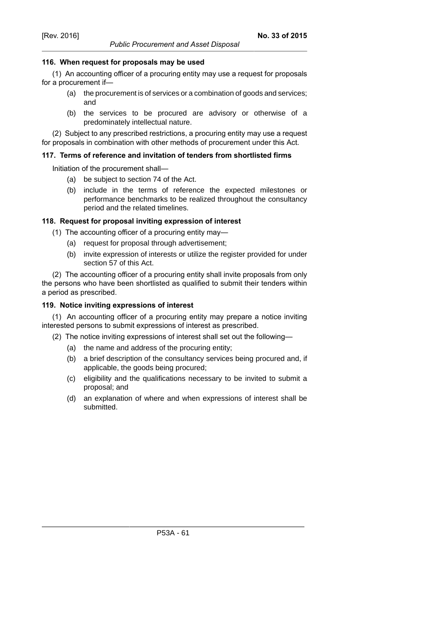### *Public Procurement and Asset Disposal*

## **116. When request for proposals may be used**

(1) An accounting officer of a procuring entity may use a request for proposals for a procurement if—

- (a) the procurement is of services or a combination of goods and services; and
- (b) the services to be procured are advisory or otherwise of a predominately intellectual nature.

(2) Subject to any prescribed restrictions, a procuring entity may use a request for proposals in combination with other methods of procurement under this Act.

## **117. Terms of reference and invitation of tenders from shortlisted firms**

Initiation of the procurement shall—

- (a) be subject to section 74 of the Act.
- (b) include in the terms of reference the expected milestones or performance benchmarks to be realized throughout the consultancy period and the related timelines.

## **118. Request for proposal inviting expression of interest**

- (1) The accounting officer of a procuring entity may—
	- (a) request for proposal through advertisement;
	- (b) invite expression of interests or utilize the register provided for under section 57 of this Act.

(2) The accounting officer of a procuring entity shall invite proposals from only the persons who have been shortlisted as qualified to submit their tenders within a period as prescribed.

## **119. Notice inviting expressions of interest**

(1) An accounting officer of a procuring entity may prepare a notice inviting interested persons to submit expressions of interest as prescribed.

(2) The notice inviting expressions of interest shall set out the following—

- (a) the name and address of the procuring entity;
- (b) a brief description of the consultancy services being procured and, if applicable, the goods being procured;
- (c) eligibility and the qualifications necessary to be invited to submit a proposal; and
- (d) an explanation of where and when expressions of interest shall be submitted.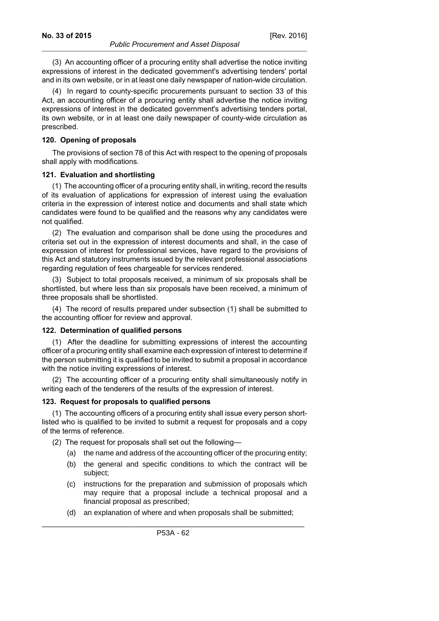(3) An accounting officer of a procuring entity shall advertise the notice inviting expressions of interest in the dedicated government's advertising tenders' portal and in its own website, or in at least one daily newspaper of nation-wide circulation.

(4) In regard to county-specific procurements pursuant to section 33 of this Act, an accounting officer of a procuring entity shall advertise the notice inviting expressions of interest in the dedicated government's advertising tenders portal, its own website, or in at least one daily newspaper of county-wide circulation as prescribed.

### **120. Opening of proposals**

The provisions of section 78 of this Act with respect to the opening of proposals shall apply with modifications.

### **121. Evaluation and shortlisting**

(1) The accounting officer of a procuring entity shall, in writing, record the results of its evaluation of applications for expression of interest using the evaluation criteria in the expression of interest notice and documents and shall state which candidates were found to be qualified and the reasons why any candidates were not qualified.

(2) The evaluation and comparison shall be done using the procedures and criteria set out in the expression of interest documents and shall, in the case of expression of interest for professional services, have regard to the provisions of this Act and statutory instruments issued by the relevant professional associations regarding regulation of fees chargeable for services rendered.

(3) Subject to total proposals received, a minimum of six proposals shall be shortlisted, but where less than six proposals have been received, a minimum of three proposals shall be shortlisted.

(4) The record of results prepared under subsection (1) shall be submitted to the accounting officer for review and approval.

#### **122. Determination of qualified persons**

(1) After the deadline for submitting expressions of interest the accounting officer of a procuring entity shall examine each expression of interest to determine if the person submitting it is qualified to be invited to submit a proposal in accordance with the notice inviting expressions of interest.

(2) The accounting officer of a procuring entity shall simultaneously notify in writing each of the tenderers of the results of the expression of interest.

### **123. Request for proposals to qualified persons**

(1) The accounting officers of a procuring entity shall issue every person shortlisted who is qualified to be invited to submit a request for proposals and a copy of the terms of reference.

- (2) The request for proposals shall set out the following—
	- (a) the name and address of the accounting officer of the procuring entity;
	- (b) the general and specific conditions to which the contract will be subject;
	- (c) instructions for the preparation and submission of proposals which may require that a proposal include a technical proposal and a financial proposal as prescribed;
	- (d) an explanation of where and when proposals shall be submitted;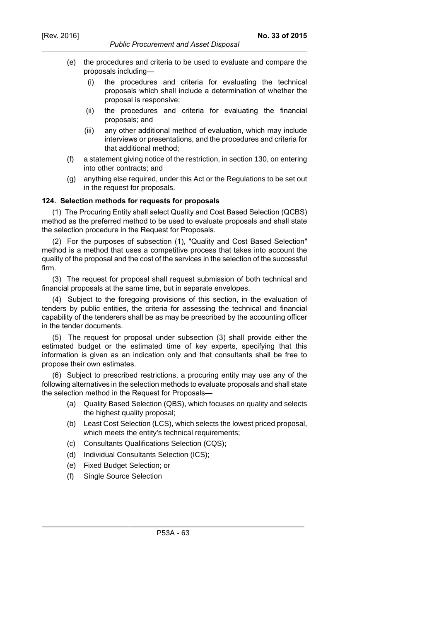- (e) the procedures and criteria to be used to evaluate and compare the proposals including—
	- (i) the procedures and criteria for evaluating the technical proposals which shall include a determination of whether the proposal is responsive;
	- (ii) the procedures and criteria for evaluating the financial proposals; and
	- (iii) any other additional method of evaluation, which may include interviews or presentations, and the procedures and criteria for that additional method;
- (f) a statement giving notice of the restriction, in section 130, on entering into other contracts; and
- (g) anything else required, under this Act or the Regulations to be set out in the request for proposals.

## **124. Selection methods for requests for proposals**

(1) The Procuring Entity shall select Quality and Cost Based Selection (QCBS) method as the preferred method to be used to evaluate proposals and shall state the selection procedure in the Request for Proposals.

(2) For the purposes of subsection (1), "Quality and Cost Based Selection" method is a method that uses a competitive process that takes into account the quality of the proposal and the cost of the services in the selection of the successful firm.

(3) The request for proposal shall request submission of both technical and financial proposals at the same time, but in separate envelopes.

(4) Subject to the foregoing provisions of this section, in the evaluation of tenders by public entities, the criteria for assessing the technical and financial capability of the tenderers shall be as may be prescribed by the accounting officer in the tender documents.

(5) The request for proposal under subsection (3) shall provide either the estimated budget or the estimated time of key experts, specifying that this information is given as an indication only and that consultants shall be free to propose their own estimates.

(6) Subject to prescribed restrictions, a procuring entity may use any of the following alternatives in the selection methods to evaluate proposals and shall state the selection method in the Request for Proposals—

- (a) Quality Based Selection (QBS), which focuses on quality and selects the highest quality proposal;
- (b) Least Cost Selection (LCS), which selects the lowest priced proposal, which meets the entity's technical requirements;
- (c) Consultants Qualifications Selection (CQS);
- (d) Individual Consultants Selection (ICS);
- (e) Fixed Budget Selection; or
- (f) Single Source Selection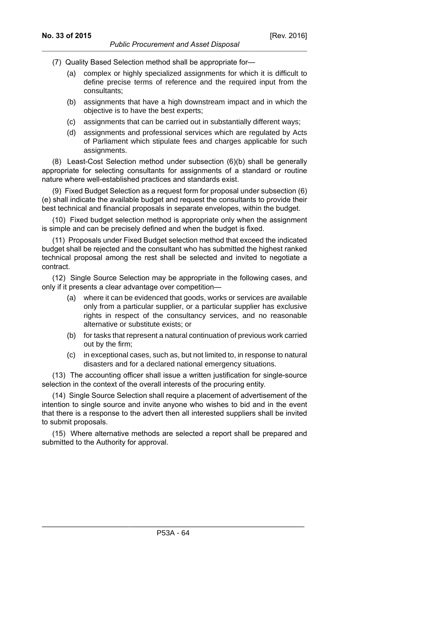- (7) Quality Based Selection method shall be appropriate for—
	- (a) complex or highly specialized assignments for which it is difficult to define precise terms of reference and the required input from the consultants;
	- (b) assignments that have a high downstream impact and in which the objective is to have the best experts;
	- (c) assignments that can be carried out in substantially different ways;
	- (d) assignments and professional services which are regulated by Acts of Parliament which stipulate fees and charges applicable for such assignments.

(8) Least-Cost Selection method under subsection (6)(b) shall be generally appropriate for selecting consultants for assignments of a standard or routine nature where well-established practices and standards exist.

(9) Fixed Budget Selection as a request form for proposal under subsection (6) (e) shall indicate the available budget and request the consultants to provide their best technical and financial proposals in separate envelopes, within the budget.

(10) Fixed budget selection method is appropriate only when the assignment is simple and can be precisely defined and when the budget is fixed.

(11) Proposals under Fixed Budget selection method that exceed the indicated budget shall be rejected and the consultant who has submitted the highest ranked technical proposal among the rest shall be selected and invited to negotiate a contract.

(12) Single Source Selection may be appropriate in the following cases, and only if it presents a clear advantage over competition—

- (a) where it can be evidenced that goods, works or services are available only from a particular supplier, or a particular supplier has exclusive rights in respect of the consultancy services, and no reasonable alternative or substitute exists; or
- (b) for tasks that represent a natural continuation of previous work carried out by the firm;
- (c) in exceptional cases, such as, but not limited to, in response to natural disasters and for a declared national emergency situations.

(13) The accounting officer shall issue a written justification for single-source selection in the context of the overall interests of the procuring entity.

(14) Single Source Selection shall require a placement of advertisement of the intention to single source and invite anyone who wishes to bid and in the event that there is a response to the advert then all interested suppliers shall be invited to submit proposals.

(15) Where alternative methods are selected a report shall be prepared and submitted to the Authority for approval.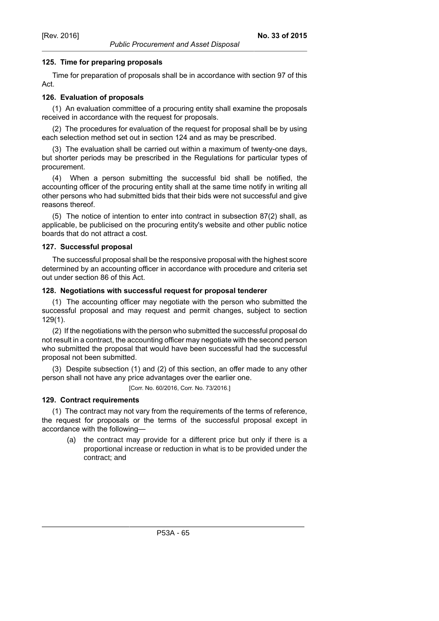# **125. Time for preparing proposals**

Time for preparation of proposals shall be in accordance with section 97 of this Act.

# **126. Evaluation of proposals**

(1) An evaluation committee of a procuring entity shall examine the proposals received in accordance with the request for proposals.

(2) The procedures for evaluation of the request for proposal shall be by using each selection method set out in section 124 and as may be prescribed.

(3) The evaluation shall be carried out within a maximum of twenty-one days, but shorter periods may be prescribed in the Regulations for particular types of procurement.

(4) When a person submitting the successful bid shall be notified, the accounting officer of the procuring entity shall at the same time notify in writing all other persons who had submitted bids that their bids were not successful and give reasons thereof.

(5) The notice of intention to enter into contract in subsection 87(2) shall, as applicable, be publicised on the procuring entity's website and other public notice boards that do not attract a cost.

## **127. Successful proposal**

The successful proposal shall be the responsive proposal with the highest score determined by an accounting officer in accordance with procedure and criteria set out under section 86 of this Act.

## **128. Negotiations with successful request for proposal tenderer**

(1) The accounting officer may negotiate with the person who submitted the successful proposal and may request and permit changes, subject to section 129(1).

(2) If the negotiations with the person who submitted the successful proposal do not result in a contract, the accounting officer may negotiate with the second person who submitted the proposal that would have been successful had the successful proposal not been submitted.

(3) Despite subsection (1) and (2) of this section, an offer made to any other person shall not have any price advantages over the earlier one.

[Corr. No. 60/2016, Corr. No. 73/2016.]

# **129. Contract requirements**

(1) The contract may not vary from the requirements of the terms of reference, the request for proposals or the terms of the successful proposal except in accordance with the following—

(a) the contract may provide for a different price but only if there is a proportional increase or reduction in what is to be provided under the contract; and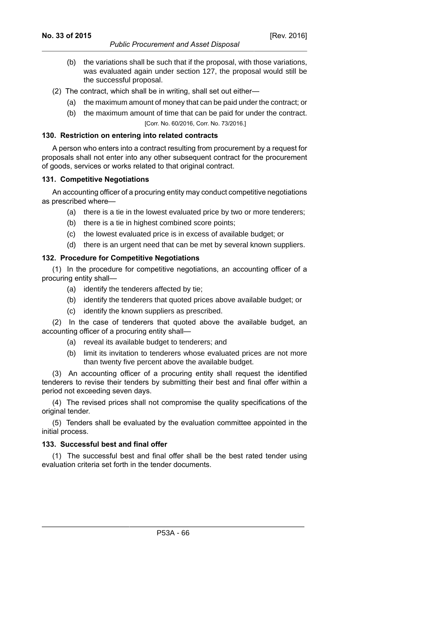- (b) the variations shall be such that if the proposal, with those variations, was evaluated again under section 127, the proposal would still be the successful proposal.
- (2) The contract, which shall be in writing, shall set out either—
	- (a) the maximum amount of money that can be paid under the contract; or
	- (b) the maximum amount of time that can be paid for under the contract. [Corr. No. 60/2016, Corr. No. 73/2016.]

## **130. Restriction on entering into related contracts**

A person who enters into a contract resulting from procurement by a request for proposals shall not enter into any other subsequent contract for the procurement of goods, services or works related to that original contract.

## **131. Competitive Negotiations**

An accounting officer of a procuring entity may conduct competitive negotiations as prescribed where-

- (a) there is a tie in the lowest evaluated price by two or more tenderers;
- (b) there is a tie in highest combined score points;
- (c) the lowest evaluated price is in excess of available budget; or
- (d) there is an urgent need that can be met by several known suppliers.

## **132. Procedure for Competitive Negotiations**

(1) In the procedure for competitive negotiations, an accounting officer of a procuring entity shall—

- (a) identify the tenderers affected by tie;
- (b) identify the tenderers that quoted prices above available budget; or
- (c) identify the known suppliers as prescribed.

(2) In the case of tenderers that quoted above the available budget, an accounting officer of a procuring entity shall—

- (a) reveal its available budget to tenderers; and
- (b) limit its invitation to tenderers whose evaluated prices are not more than twenty five percent above the available budget.

(3) An accounting officer of a procuring entity shall request the identified tenderers to revise their tenders by submitting their best and final offer within a period not exceeding seven days.

(4) The revised prices shall not compromise the quality specifications of the original tender.

(5) Tenders shall be evaluated by the evaluation committee appointed in the initial process.

## **133. Successful best and final offer**

(1) The successful best and final offer shall be the best rated tender using evaluation criteria set forth in the tender documents.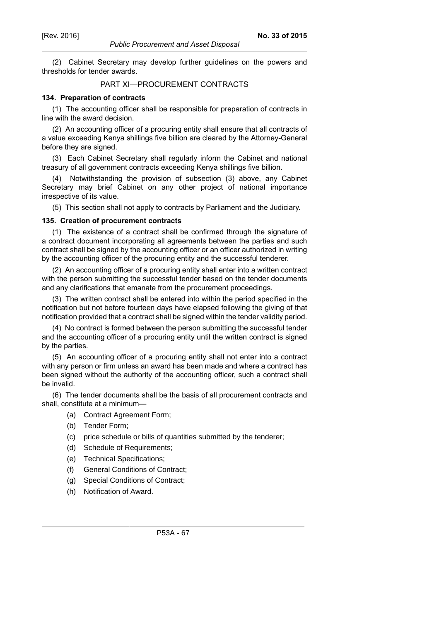(2) Cabinet Secretary may develop further guidelines on the powers and thresholds for tender awards.

## PART XI—PROCUREMENT CONTRACTS

#### **134. Preparation of contracts**

(1) The accounting officer shall be responsible for preparation of contracts in line with the award decision.

(2) An accounting officer of a procuring entity shall ensure that all contracts of a value exceeding Kenya shillings five billion are cleared by the Attorney-General before they are signed.

(3) Each Cabinet Secretary shall regularly inform the Cabinet and national treasury of all government contracts exceeding Kenya shillings five billion.

(4) Notwithstanding the provision of subsection (3) above, any Cabinet Secretary may brief Cabinet on any other project of national importance irrespective of its value.

(5) This section shall not apply to contracts by Parliament and the Judiciary.

#### **135. Creation of procurement contracts**

(1) The existence of a contract shall be confirmed through the signature of a contract document incorporating all agreements between the parties and such contract shall be signed by the accounting officer or an officer authorized in writing by the accounting officer of the procuring entity and the successful tenderer.

(2) An accounting officer of a procuring entity shall enter into a written contract with the person submitting the successful tender based on the tender documents and any clarifications that emanate from the procurement proceedings.

(3) The written contract shall be entered into within the period specified in the notification but not before fourteen days have elapsed following the giving of that notification provided that a contract shall be signed within the tender validity period.

(4) No contract is formed between the person submitting the successful tender and the accounting officer of a procuring entity until the written contract is signed by the parties.

(5) An accounting officer of a procuring entity shall not enter into a contract with any person or firm unless an award has been made and where a contract has been signed without the authority of the accounting officer, such a contract shall be invalid.

(6) The tender documents shall be the basis of all procurement contracts and shall, constitute at a minimum—

- (a) Contract Agreement Form;
- (b) Tender Form;
- (c) price schedule or bills of quantities submitted by the tenderer;
- (d) Schedule of Requirements;
- (e) Technical Specifications;
- (f) General Conditions of Contract;
- (g) Special Conditions of Contract;
- (h) Notification of Award.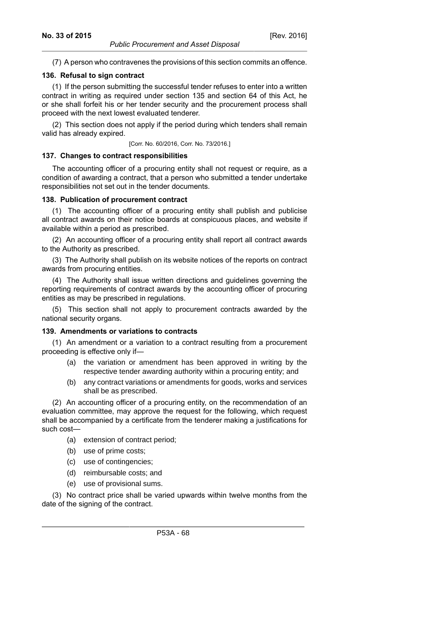### **136. Refusal to sign contract**

(1) If the person submitting the successful tender refuses to enter into a written contract in writing as required under section 135 and section 64 of this Act, he or she shall forfeit his or her tender security and the procurement process shall proceed with the next lowest evaluated tenderer.

(2) This section does not apply if the period during which tenders shall remain valid has already expired.

[Corr. No. 60/2016, Corr. No. 73/2016.]

### **137. Changes to contract responsibilities**

The accounting officer of a procuring entity shall not request or require, as a condition of awarding a contract, that a person who submitted a tender undertake responsibilities not set out in the tender documents.

## **138. Publication of procurement contract**

(1) The accounting officer of a procuring entity shall publish and publicise all contract awards on their notice boards at conspicuous places, and website if available within a period as prescribed.

(2) An accounting officer of a procuring entity shall report all contract awards to the Authority as prescribed.

(3) The Authority shall publish on its website notices of the reports on contract awards from procuring entities.

(4) The Authority shall issue written directions and guidelines governing the reporting requirements of contract awards by the accounting officer of procuring entities as may be prescribed in regulations.

(5) This section shall not apply to procurement contracts awarded by the national security organs.

### **139. Amendments or variations to contracts**

(1) An amendment or a variation to a contract resulting from a procurement proceeding is effective only if—

- (a) the variation or amendment has been approved in writing by the respective tender awarding authority within a procuring entity; and
- (b) any contract variations or amendments for goods, works and services shall be as prescribed.

(2) An accounting officer of a procuring entity, on the recommendation of an evaluation committee, may approve the request for the following, which request shall be accompanied by a certificate from the tenderer making a justifications for such cost—

- (a) extension of contract period;
- (b) use of prime costs;
- (c) use of contingencies;
- (d) reimbursable costs; and
- (e) use of provisional sums.

(3) No contract price shall be varied upwards within twelve months from the date of the signing of the contract.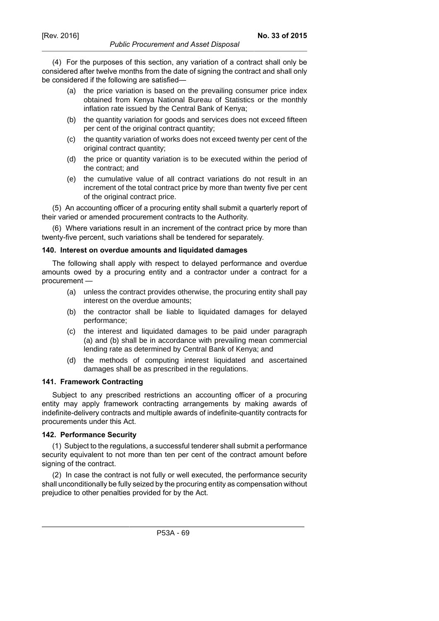(4) For the purposes of this section, any variation of a contract shall only be considered after twelve months from the date of signing the contract and shall only be considered if the following are satisfied—

- (a) the price variation is based on the prevailing consumer price index obtained from Kenya National Bureau of Statistics or the monthly inflation rate issued by the Central Bank of Kenya;
- (b) the quantity variation for goods and services does not exceed fifteen per cent of the original contract quantity;
- (c) the quantity variation of works does not exceed twenty per cent of the original contract quantity;
- (d) the price or quantity variation is to be executed within the period of the contract; and
- (e) the cumulative value of all contract variations do not result in an increment of the total contract price by more than twenty five per cent of the original contract price.

(5) An accounting officer of a procuring entity shall submit a quarterly report of their varied or amended procurement contracts to the Authority.

(6) Where variations result in an increment of the contract price by more than twenty-five percent, such variations shall be tendered for separately.

## **140. Interest on overdue amounts and liquidated damages**

The following shall apply with respect to delayed performance and overdue amounts owed by a procuring entity and a contractor under a contract for a procurement —

- (a) unless the contract provides otherwise, the procuring entity shall pay interest on the overdue amounts;
- (b) the contractor shall be liable to liquidated damages for delayed performance;
- (c) the interest and liquidated damages to be paid under paragraph (a) and (b) shall be in accordance with prevailing mean commercial lending rate as determined by Central Bank of Kenya; and
- (d) the methods of computing interest liquidated and ascertained damages shall be as prescribed in the regulations.

### **141. Framework Contracting**

Subject to any prescribed restrictions an accounting officer of a procuring entity may apply framework contracting arrangements by making awards of indefinite-delivery contracts and multiple awards of indefinite-quantity contracts for procurements under this Act.

## **142. Performance Security**

(1) Subject to the regulations, a successful tenderer shall submit a performance security equivalent to not more than ten per cent of the contract amount before signing of the contract.

(2) In case the contract is not fully or well executed, the performance security shall unconditionally be fully seized by the procuring entity as compensation without prejudice to other penalties provided for by the Act.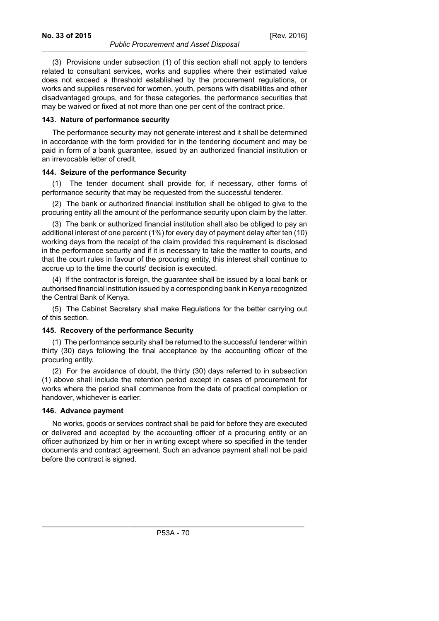(3) Provisions under subsection (1) of this section shall not apply to tenders related to consultant services, works and supplies where their estimated value does not exceed a threshold established by the procurement regulations, or works and supplies reserved for women, youth, persons with disabilities and other disadvantaged groups, and for these categories, the performance securities that may be waived or fixed at not more than one per cent of the contract price.

#### **143. Nature of performance security**

The performance security may not generate interest and it shall be determined in accordance with the form provided for in the tendering document and may be paid in form of a bank guarantee, issued by an authorized financial institution or an irrevocable letter of credit.

### **144. Seizure of the performance Security**

(1) The tender document shall provide for, if necessary, other forms of performance security that may be requested from the successful tenderer.

(2) The bank or authorized financial institution shall be obliged to give to the procuring entity all the amount of the performance security upon claim by the latter.

(3) The bank or authorized financial institution shall also be obliged to pay an additional interest of one percent (1%) for every day of payment delay after ten (10) working days from the receipt of the claim provided this requirement is disclosed in the performance security and if it is necessary to take the matter to courts, and that the court rules in favour of the procuring entity, this interest shall continue to accrue up to the time the courts' decision is executed.

(4) If the contractor is foreign, the guarantee shall be issued by a local bank or authorised financial institution issued by a corresponding bank in Kenya recognized the Central Bank of Kenya.

(5) The Cabinet Secretary shall make Regulations for the better carrying out of this section.

### **145. Recovery of the performance Security**

(1) The performance security shall be returned to the successful tenderer within thirty (30) days following the final acceptance by the accounting officer of the procuring entity.

(2) For the avoidance of doubt, the thirty (30) days referred to in subsection (1) above shall include the retention period except in cases of procurement for works where the period shall commence from the date of practical completion or handover, whichever is earlier.

#### **146. Advance payment**

No works, goods or services contract shall be paid for before they are executed or delivered and accepted by the accounting officer of a procuring entity or an officer authorized by him or her in writing except where so specified in the tender documents and contract agreement. Such an advance payment shall not be paid before the contract is signed.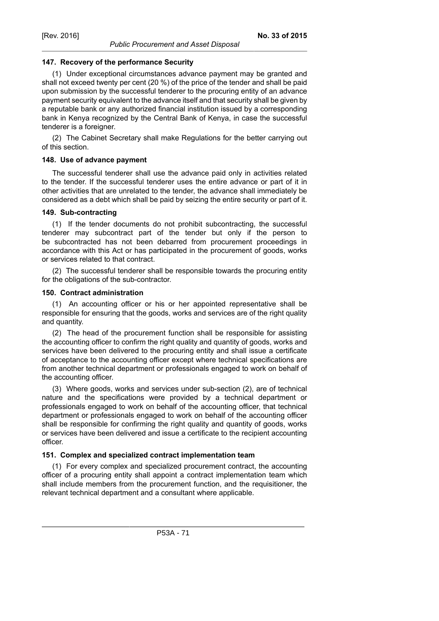## **147. Recovery of the performance Security**

(1) Under exceptional circumstances advance payment may be granted and shall not exceed twenty per cent (20 %) of the price of the tender and shall be paid upon submission by the successful tenderer to the procuring entity of an advance payment security equivalent to the advance itself and that security shall be given by a reputable bank or any authorized financial institution issued by a corresponding bank in Kenya recognized by the Central Bank of Kenya, in case the successful tenderer is a foreigner.

(2) The Cabinet Secretary shall make Regulations for the better carrying out of this section.

## **148. Use of advance payment**

The successful tenderer shall use the advance paid only in activities related to the tender. If the successful tenderer uses the entire advance or part of it in other activities that are unrelated to the tender, the advance shall immediately be considered as a debt which shall be paid by seizing the entire security or part of it.

## **149. Sub-contracting**

(1) If the tender documents do not prohibit subcontracting, the successful tenderer may subcontract part of the tender but only if the person to be subcontracted has not been debarred from procurement proceedings in accordance with this Act or has participated in the procurement of goods, works or services related to that contract.

(2) The successful tenderer shall be responsible towards the procuring entity for the obligations of the sub-contractor.

## **150. Contract administration**

(1) An accounting officer or his or her appointed representative shall be responsible for ensuring that the goods, works and services are of the right quality and quantity.

(2) The head of the procurement function shall be responsible for assisting the accounting officer to confirm the right quality and quantity of goods, works and services have been delivered to the procuring entity and shall issue a certificate of acceptance to the accounting officer except where technical specifications are from another technical department or professionals engaged to work on behalf of the accounting officer.

(3) Where goods, works and services under sub-section (2), are of technical nature and the specifications were provided by a technical department or professionals engaged to work on behalf of the accounting officer, that technical department or professionals engaged to work on behalf of the accounting officer shall be responsible for confirming the right quality and quantity of goods, works or services have been delivered and issue a certificate to the recipient accounting officer.

## **151. Complex and specialized contract implementation team**

(1) For every complex and specialized procurement contract, the accounting officer of a procuring entity shall appoint a contract implementation team which shall include members from the procurement function, and the requisitioner, the relevant technical department and a consultant where applicable.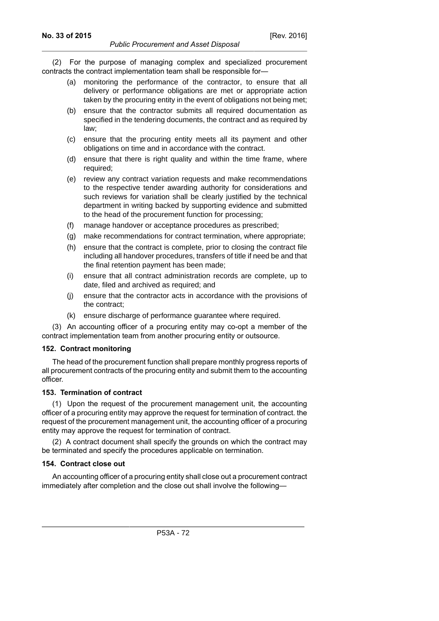(2) For the purpose of managing complex and specialized procurement contracts the contract implementation team shall be responsible for—

- (a) monitoring the performance of the contractor, to ensure that all delivery or performance obligations are met or appropriate action taken by the procuring entity in the event of obligations not being met;
- (b) ensure that the contractor submits all required documentation as specified in the tendering documents, the contract and as required by law;
- (c) ensure that the procuring entity meets all its payment and other obligations on time and in accordance with the contract.
- (d) ensure that there is right quality and within the time frame, where required;
- (e) review any contract variation requests and make recommendations to the respective tender awarding authority for considerations and such reviews for variation shall be clearly justified by the technical department in writing backed by supporting evidence and submitted to the head of the procurement function for processing;
- (f) manage handover or acceptance procedures as prescribed;
- (g) make recommendations for contract termination, where appropriate;
- (h) ensure that the contract is complete, prior to closing the contract file including all handover procedures, transfers of title if need be and that the final retention payment has been made;
- (i) ensure that all contract administration records are complete, up to date, filed and archived as required; and
- (j) ensure that the contractor acts in accordance with the provisions of the contract;
- (k) ensure discharge of performance guarantee where required.

(3) An accounting officer of a procuring entity may co-opt a member of the contract implementation team from another procuring entity or outsource.

### **152. Contract monitoring**

The head of the procurement function shall prepare monthly progress reports of all procurement contracts of the procuring entity and submit them to the accounting officer.

## **153. Termination of contract**

(1) Upon the request of the procurement management unit, the accounting officer of a procuring entity may approve the request for termination of contract. the request of the procurement management unit, the accounting officer of a procuring entity may approve the request for termination of contract.

(2) A contract document shall specify the grounds on which the contract may be terminated and specify the procedures applicable on termination.

## **154. Contract close out**

An accounting officer of a procuring entity shall close out a procurement contract immediately after completion and the close out shall involve the following—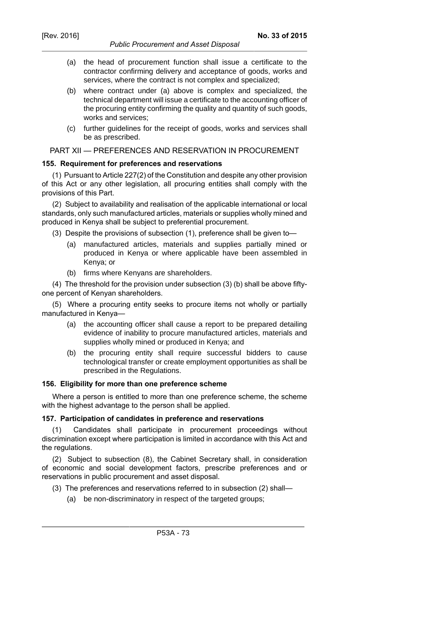- *Public Procurement and Asset Disposal*
- (a) the head of procurement function shall issue a certificate to the contractor confirming delivery and acceptance of goods, works and services, where the contract is not complex and specialized;
- (b) where contract under (a) above is complex and specialized, the technical department will issue a certificate to the accounting officer of the procuring entity confirming the quality and quantity of such goods, works and services;
- (c) further guidelines for the receipt of goods, works and services shall be as prescribed.

PART XII — PREFERENCES AND RESERVATION IN PROCUREMENT

### **155. Requirement for preferences and reservations**

(1) Pursuant to Article 227(2) of the Constitution and despite any other provision of this Act or any other legislation, all procuring entities shall comply with the provisions of this Part.

(2) Subject to availability and realisation of the applicable international or local standards, only such manufactured articles, materials or supplies wholly mined and produced in Kenya shall be subject to preferential procurement.

(3) Despite the provisions of subsection (1), preference shall be given to—

- (a) manufactured articles, materials and supplies partially mined or produced in Kenya or where applicable have been assembled in Kenya; or
- (b) firms where Kenyans are shareholders.

(4) The threshold for the provision under subsection (3) (b) shall be above fiftyone percent of Kenyan shareholders.

(5) Where a procuring entity seeks to procure items not wholly or partially manufactured in Kenya—

- (a) the accounting officer shall cause a report to be prepared detailing evidence of inability to procure manufactured articles, materials and supplies wholly mined or produced in Kenya; and
- (b) the procuring entity shall require successful bidders to cause technological transfer or create employment opportunities as shall be prescribed in the Regulations.

# **156. Eligibility for more than one preference scheme**

Where a person is entitled to more than one preference scheme, the scheme with the highest advantage to the person shall be applied.

### **157. Participation of candidates in preference and reservations**

(1) Candidates shall participate in procurement proceedings without discrimination except where participation is limited in accordance with this Act and the regulations.

(2) Subject to subsection (8), the Cabinet Secretary shall, in consideration of economic and social development factors, prescribe preferences and or reservations in public procurement and asset disposal.

- (3) The preferences and reservations referred to in subsection (2) shall—
	- (a) be non-discriminatory in respect of the targeted groups;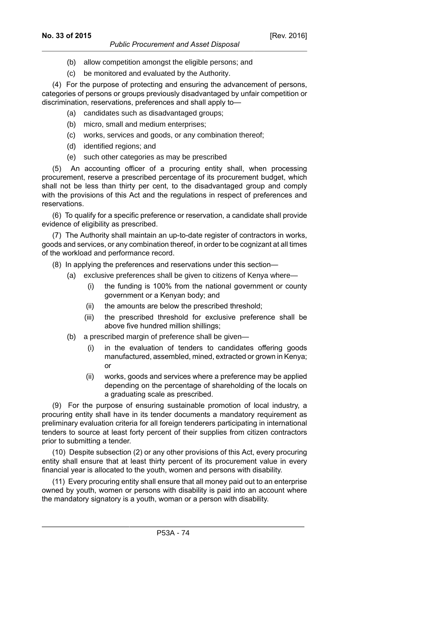(c) be monitored and evaluated by the Authority.

(4) For the purpose of protecting and ensuring the advancement of persons, categories of persons or groups previously disadvantaged by unfair competition or discrimination, reservations, preferences and shall apply to—

- (a) candidates such as disadvantaged groups;
- (b) micro, small and medium enterprises;
- (c) works, services and goods, or any combination thereof;
- (d) identified regions; and
- (e) such other categories as may be prescribed

(5) An accounting officer of a procuring entity shall, when processing procurement, reserve a prescribed percentage of its procurement budget, which shall not be less than thirty per cent, to the disadvantaged group and comply with the provisions of this Act and the regulations in respect of preferences and reservations.

(6) To qualify for a specific preference or reservation, a candidate shall provide evidence of eligibility as prescribed.

(7) The Authority shall maintain an up-to-date register of contractors in works, goods and services, or any combination thereof, in order to be cognizant at all times of the workload and performance record.

- (8) In applying the preferences and reservations under this section—
	- (a) exclusive preferences shall be given to citizens of Kenya where—
		- (i) the funding is 100% from the national government or county government or a Kenyan body; and
		- (ii) the amounts are below the prescribed threshold;
		- (iii) the prescribed threshold for exclusive preference shall be above five hundred million shillings;
	- (b) a prescribed margin of preference shall be given—
		- (i) in the evaluation of tenders to candidates offering goods manufactured, assembled, mined, extracted or grown in Kenya; or
		- (ii) works, goods and services where a preference may be applied depending on the percentage of shareholding of the locals on a graduating scale as prescribed.

(9) For the purpose of ensuring sustainable promotion of local industry, a procuring entity shall have in its tender documents a mandatory requirement as preliminary evaluation criteria for all foreign tenderers participating in international tenders to source at least forty percent of their supplies from citizen contractors prior to submitting a tender.

(10) Despite subsection (2) or any other provisions of this Act, every procuring entity shall ensure that at least thirty percent of its procurement value in every financial year is allocated to the youth, women and persons with disability.

(11) Every procuring entity shall ensure that all money paid out to an enterprise owned by youth, women or persons with disability is paid into an account where the mandatory signatory is a youth, woman or a person with disability.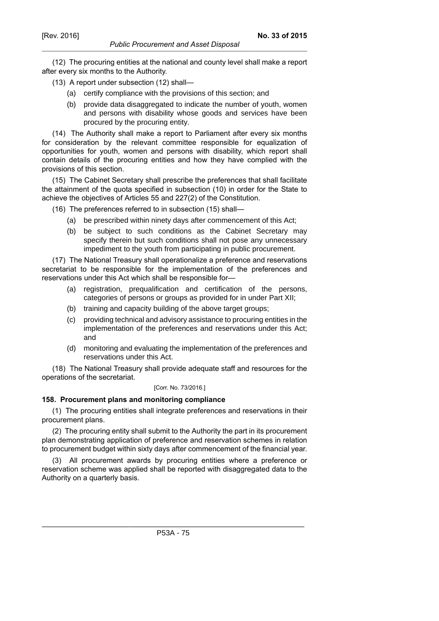(12) The procuring entities at the national and county level shall make a report after every six months to the Authority.

- (13) A report under subsection (12) shall—
	- (a) certify compliance with the provisions of this section; and
	- (b) provide data disaggregated to indicate the number of youth, women and persons with disability whose goods and services have been procured by the procuring entity.

(14) The Authority shall make a report to Parliament after every six months for consideration by the relevant committee responsible for equalization of opportunities for youth, women and persons with disability, which report shall contain details of the procuring entities and how they have complied with the provisions of this section.

(15) The Cabinet Secretary shall prescribe the preferences that shall facilitate the attainment of the quota specified in subsection (10) in order for the State to achieve the objectives of Articles 55 and 227(2) of the Constitution.

(16) The preferences referred to in subsection (15) shall—

- (a) be prescribed within ninety days after commencement of this Act;
- (b) be subject to such conditions as the Cabinet Secretary may specify therein but such conditions shall not pose any unnecessary impediment to the youth from participating in public procurement.

(17) The National Treasury shall operationalize a preference and reservations secretariat to be responsible for the implementation of the preferences and reservations under this Act which shall be responsible for—

- (a) registration, prequalification and certification of the persons, categories of persons or groups as provided for in under Part XII;
- (b) training and capacity building of the above target groups;
- (c) providing technical and advisory assistance to procuring entities in the implementation of the preferences and reservations under this Act; and
- (d) monitoring and evaluating the implementation of the preferences and reservations under this Act.

(18) The National Treasury shall provide adequate staff and resources for the operations of the secretariat.

#### [Corr. No. 73/2016.]

# **158. Procurement plans and monitoring compliance**

(1) The procuring entities shall integrate preferences and reservations in their procurement plans.

(2) The procuring entity shall submit to the Authority the part in its procurement plan demonstrating application of preference and reservation schemes in relation to procurement budget within sixty days after commencement of the financial year.

(3) All procurement awards by procuring entities where a preference or reservation scheme was applied shall be reported with disaggregated data to the Authority on a quarterly basis.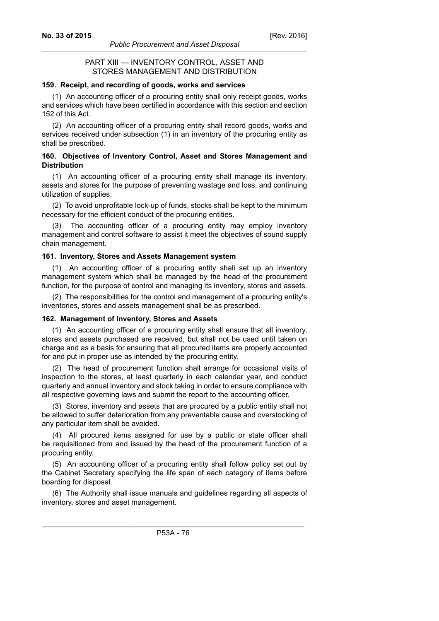# PART XIII — INVENTORY CONTROL, ASSET AND STORES MANAGEMENT AND DISTRIBUTION

### **159. Receipt, and recording of goods, works and services**

(1) An accounting officer of a procuring entity shall only receipt goods, works and services which have been certified in accordance with this section and section 152 of this Act.

(2) An accounting officer of a procuring entity shall record goods, works and services received under subsection (1) in an inventory of the procuring entity as shall be prescribed.

### **160. Objectives of Inventory Control, Asset and Stores Management and Distribution**

(1) An accounting officer of a procuring entity shall manage its inventory, assets and stores for the purpose of preventing wastage and loss, and continuing utilization of supplies.

(2) To avoid unprofitable lock-up of funds, stocks shall be kept to the minimum necessary for the efficient conduct of the procuring entities.

(3) The accounting officer of a procuring entity may employ inventory management and control software to assist it meet the objectives of sound supply chain management.

### **161. Inventory, Stores and Assets Management system**

(1) An accounting officer of a procuring entity shall set up an inventory management system which shall be managed by the head of the procurement function, for the purpose of control and managing its inventory, stores and assets.

(2) The responsibilities for the control and management of a procuring entity's inventories, stores and assets management shall be as prescribed.

# **162. Management of Inventory, Stores and Assets**

(1) An accounting officer of a procuring entity shall ensure that all inventory, stores and assets purchased are received, but shall not be used until taken on charge and as a basis for ensuring that all procured items are properly accounted for and put in proper use as intended by the procuring entity.

(2) The head of procurement function shall arrange for occasional visits of inspection to the stores, at least quarterly in each calendar year, and conduct quarterly and annual inventory and stock taking in order to ensure compliance with all respective governing laws and submit the report to the accounting officer.

(3) Stores, inventory and assets that are procured by a public entity shall not be allowed to suffer deterioration from any preventable cause and overstocking of any particular item shall be avoided.

(4) All procured items assigned for use by a public or state officer shall be requisitioned from and issued by the head of the procurement function of a procuring entity.

(5) An accounting officer of a procuring entity shall follow policy set out by the Cabinet Secretary specifying the life span of each category of items before boarding for disposal.

(6) The Authority shall issue manuals and guidelines regarding all aspects of inventory, stores and asset management.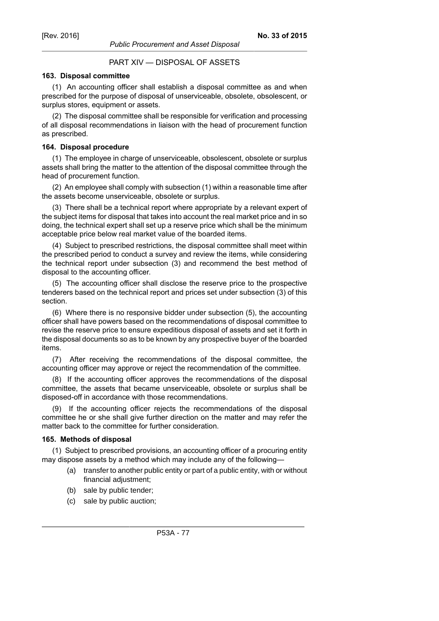# PART XIV — DISPOSAL OF ASSETS

# **163. Disposal committee**

(1) An accounting officer shall establish a disposal committee as and when prescribed for the purpose of disposal of unserviceable, obsolete, obsolescent, or surplus stores, equipment or assets.

(2) The disposal committee shall be responsible for verification and processing of all disposal recommendations in liaison with the head of procurement function as prescribed.

# **164. Disposal procedure**

(1) The employee in charge of unserviceable, obsolescent, obsolete or surplus assets shall bring the matter to the attention of the disposal committee through the head of procurement function.

(2) An employee shall comply with subsection (1) within a reasonable time after the assets become unserviceable, obsolete or surplus.

(3) There shall be a technical report where appropriate by a relevant expert of the subject items for disposal that takes into account the real market price and in so doing, the technical expert shall set up a reserve price which shall be the minimum acceptable price below real market value of the boarded items.

(4) Subject to prescribed restrictions, the disposal committee shall meet within the prescribed period to conduct a survey and review the items, while considering the technical report under subsection (3) and recommend the best method of disposal to the accounting officer.

(5) The accounting officer shall disclose the reserve price to the prospective tenderers based on the technical report and prices set under subsection (3) of this section.

(6) Where there is no responsive bidder under subsection (5), the accounting officer shall have powers based on the recommendations of disposal committee to revise the reserve price to ensure expeditious disposal of assets and set it forth in the disposal documents so as to be known by any prospective buyer of the boarded items.

(7) After receiving the recommendations of the disposal committee, the accounting officer may approve or reject the recommendation of the committee.

(8) If the accounting officer approves the recommendations of the disposal committee, the assets that became unserviceable, obsolete or surplus shall be disposed-off in accordance with those recommendations.

(9) If the accounting officer rejects the recommendations of the disposal committee he or she shall give further direction on the matter and may refer the matter back to the committee for further consideration.

# **165. Methods of disposal**

(1) Subject to prescribed provisions, an accounting officer of a procuring entity may dispose assets by a method which may include any of the following—

- (a) transfer to another public entity or part of a public entity, with or without financial adjustment;
- (b) sale by public tender;
- (c) sale by public auction;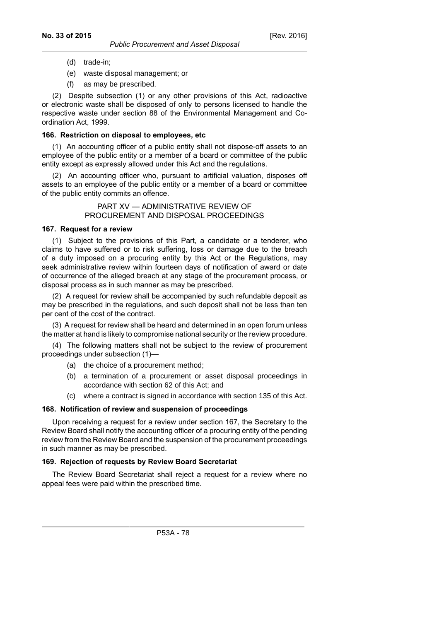- (d) trade-in;
- (e) waste disposal management; or
- (f) as may be prescribed.

(2) Despite subsection (1) or any other provisions of this Act, radioactive or electronic waste shall be disposed of only to persons licensed to handle the respective waste under section 88 of the Environmental Management and Coordination Act, 1999.

# **166. Restriction on disposal to employees, etc**

(1) An accounting officer of a public entity shall not dispose-off assets to an employee of the public entity or a member of a board or committee of the public entity except as expressly allowed under this Act and the regulations.

(2) An accounting officer who, pursuant to artificial valuation, disposes off assets to an employee of the public entity or a member of a board or committee of the public entity commits an offence.

# PART XV — ADMINISTRATIVE REVIEW OF PROCUREMENT AND DISPOSAL PROCEEDINGS

# **167. Request for a review**

(1) Subject to the provisions of this Part, a candidate or a tenderer, who claims to have suffered or to risk suffering, loss or damage due to the breach of a duty imposed on a procuring entity by this Act or the Regulations, may seek administrative review within fourteen days of notification of award or date of occurrence of the alleged breach at any stage of the procurement process, or disposal process as in such manner as may be prescribed.

(2) A request for review shall be accompanied by such refundable deposit as may be prescribed in the regulations, and such deposit shall not be less than ten per cent of the cost of the contract.

(3) A request for review shall be heard and determined in an open forum unless the matter at hand is likely to compromise national security or the review procedure.

(4) The following matters shall not be subject to the review of procurement proceedings under subsection (1)—

- (a) the choice of a procurement method;
- (b) a termination of a procurement or asset disposal proceedings in accordance with section 62 of this Act; and
- (c) where a contract is signed in accordance with section 135 of this Act.

# **168. Notification of review and suspension of proceedings**

Upon receiving a request for a review under section 167, the Secretary to the Review Board shall notify the accounting officer of a procuring entity of the pending review from the Review Board and the suspension of the procurement proceedings in such manner as may be prescribed.

# **169. Rejection of requests by Review Board Secretariat**

The Review Board Secretariat shall reject a request for a review where no appeal fees were paid within the prescribed time.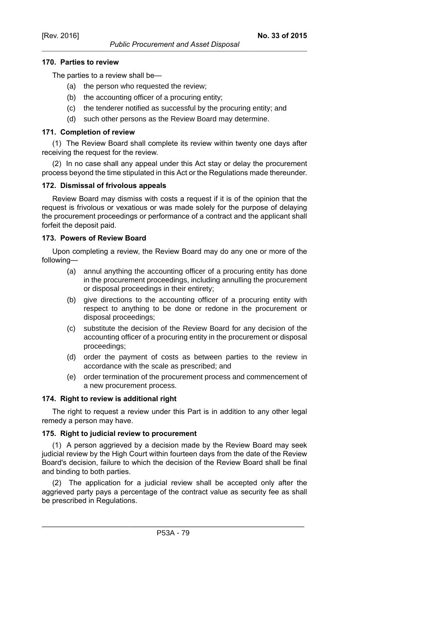# **170. Parties to review**

The parties to a review shall be—

- (a) the person who requested the review;
- (b) the accounting officer of a procuring entity;
- (c) the tenderer notified as successful by the procuring entity; and
- (d) such other persons as the Review Board may determine.

# **171. Completion of review**

(1) The Review Board shall complete its review within twenty one days after receiving the request for the review.

(2) In no case shall any appeal under this Act stay or delay the procurement process beyond the time stipulated in this Act or the Regulations made thereunder.

# **172. Dismissal of frivolous appeals**

Review Board may dismiss with costs a request if it is of the opinion that the request is frivolous or vexatious or was made solely for the purpose of delaying the procurement proceedings or performance of a contract and the applicant shall forfeit the deposit paid.

# **173. Powers of Review Board**

Upon completing a review, the Review Board may do any one or more of the following—

- (a) annul anything the accounting officer of a procuring entity has done in the procurement proceedings, including annulling the procurement or disposal proceedings in their entirety;
- (b) give directions to the accounting officer of a procuring entity with respect to anything to be done or redone in the procurement or disposal proceedings;
- (c) substitute the decision of the Review Board for any decision of the accounting officer of a procuring entity in the procurement or disposal proceedings;
- (d) order the payment of costs as between parties to the review in accordance with the scale as prescribed; and
- (e) order termination of the procurement process and commencement of a new procurement process.

### **174. Right to review is additional right**

The right to request a review under this Part is in addition to any other legal remedy a person may have.

# **175. Right to judicial review to procurement**

(1) A person aggrieved by a decision made by the Review Board may seek judicial review by the High Court within fourteen days from the date of the Review Board's decision, failure to which the decision of the Review Board shall be final and binding to both parties.

(2) The application for a judicial review shall be accepted only after the aggrieved party pays a percentage of the contract value as security fee as shall be prescribed in Regulations.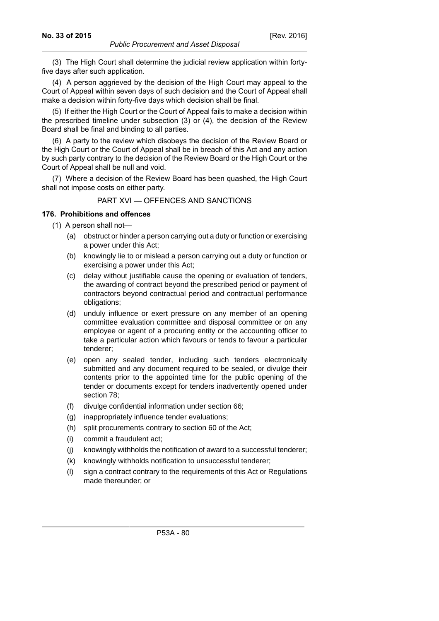(3) The High Court shall determine the judicial review application within fortyfive days after such application.

(4) A person aggrieved by the decision of the High Court may appeal to the Court of Appeal within seven days of such decision and the Court of Appeal shall make a decision within forty-five days which decision shall be final.

(5) If either the High Court or the Court of Appeal fails to make a decision within the prescribed timeline under subsection (3) or (4), the decision of the Review Board shall be final and binding to all parties.

(6) A party to the review which disobeys the decision of the Review Board or the High Court or the Court of Appeal shall be in breach of this Act and any action by such party contrary to the decision of the Review Board or the High Court or the Court of Appeal shall be null and void.

(7) Where a decision of the Review Board has been quashed, the High Court shall not impose costs on either party.

### PART XVI — OFFENCES AND SANCTIONS

# **176. Prohibitions and offences**

- (1) A person shall not—
	- (a) obstruct or hinder a person carrying out a duty or function or exercising a power under this Act;
	- (b) knowingly lie to or mislead a person carrying out a duty or function or exercising a power under this Act;
	- (c) delay without justifiable cause the opening or evaluation of tenders, the awarding of contract beyond the prescribed period or payment of contractors beyond contractual period and contractual performance obligations;
	- (d) unduly influence or exert pressure on any member of an opening committee evaluation committee and disposal committee or on any employee or agent of a procuring entity or the accounting officer to take a particular action which favours or tends to favour a particular tenderer;
	- (e) open any sealed tender, including such tenders electronically submitted and any document required to be sealed, or divulge their contents prior to the appointed time for the public opening of the tender or documents except for tenders inadvertently opened under section 78;
	- (f) divulge confidential information under section 66;
	- (g) inappropriately influence tender evaluations;
	- (h) split procurements contrary to section 60 of the Act;
	- (i) commit a fraudulent act;
	- (j) knowingly withholds the notification of award to a successful tenderer;
	- (k) knowingly withholds notification to unsuccessful tenderer;
	- (l) sign a contract contrary to the requirements of this Act or Regulations made thereunder; or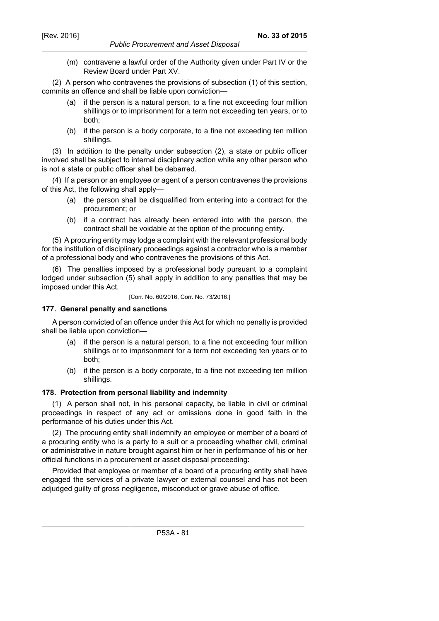(m) contravene a lawful order of the Authority given under Part IV or the Review Board under Part XV.

(2) A person who contravenes the provisions of subsection (1) of this section, commits an offence and shall be liable upon conviction—

- (a) if the person is a natural person, to a fine not exceeding four million shillings or to imprisonment for a term not exceeding ten years, or to both;
- (b) if the person is a body corporate, to a fine not exceeding ten million shillings.

(3) In addition to the penalty under subsection (2), a state or public officer involved shall be subject to internal disciplinary action while any other person who is not a state or public officer shall be debarred.

(4) If a person or an employee or agent of a person contravenes the provisions of this Act, the following shall apply—

- (a) the person shall be disqualified from entering into a contract for the procurement; or
- (b) if a contract has already been entered into with the person, the contract shall be voidable at the option of the procuring entity.

(5) A procuring entity may lodge a complaint with the relevant professional body for the institution of disciplinary proceedings against a contractor who is a member of a professional body and who contravenes the provisions of this Act.

(6) The penalties imposed by a professional body pursuant to a complaint lodged under subsection (5) shall apply in addition to any penalties that may be imposed under this Act.

[Corr. No. 60/2016, Corr. No. 73/2016.]

# **177. General penalty and sanctions**

A person convicted of an offence under this Act for which no penalty is provided shall be liable upon conviction—

- (a) if the person is a natural person, to a fine not exceeding four million shillings or to imprisonment for a term not exceeding ten years or to both;
- (b) if the person is a body corporate, to a fine not exceeding ten million shillings.

### **178. Protection from personal liability and indemnity**

(1) A person shall not, in his personal capacity, be liable in civil or criminal proceedings in respect of any act or omissions done in good faith in the performance of his duties under this Act.

(2) The procuring entity shall indemnify an employee or member of a board of a procuring entity who is a party to a suit or a proceeding whether civil, criminal or administrative in nature brought against him or her in performance of his or her official functions in a procurement or asset disposal proceeding:

Provided that employee or member of a board of a procuring entity shall have engaged the services of a private lawyer or external counsel and has not been adjudged guilty of gross negligence, misconduct or grave abuse of office.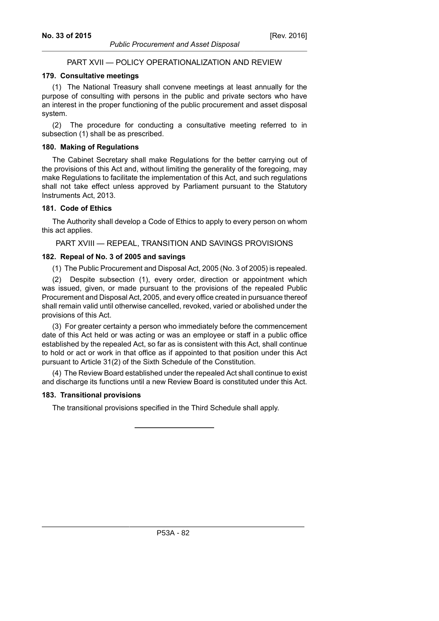# PART XVII — POLICY OPERATIONALIZATION AND REVIEW

# **179. Consultative meetings**

(1) The National Treasury shall convene meetings at least annually for the purpose of consulting with persons in the public and private sectors who have an interest in the proper functioning of the public procurement and asset disposal system.

(2) The procedure for conducting a consultative meeting referred to in subsection (1) shall be as prescribed.

### **180. Making of Regulations**

The Cabinet Secretary shall make Regulations for the better carrying out of the provisions of this Act and, without limiting the generality of the foregoing, may make Regulations to facilitate the implementation of this Act, and such regulations shall not take effect unless approved by Parliament pursuant to the Statutory Instruments Act, 2013.

### **181. Code of Ethics**

The Authority shall develop a Code of Ethics to apply to every person on whom this act applies.

PART XVIII — REPEAL, TRANSITION AND SAVINGS PROVISIONS

# **182. Repeal of No. 3 of 2005 and savings**

(1) The Public Procurement and Disposal Act, 2005 (No. 3 of 2005) is repealed.

(2) Despite subsection (1), every order, direction or appointment which was issued, given, or made pursuant to the provisions of the repealed Public Procurement and Disposal Act, 2005, and every office created in pursuance thereof shall remain valid until otherwise cancelled, revoked, varied or abolished under the provisions of this Act.

(3) For greater certainty a person who immediately before the commencement date of this Act held or was acting or was an employee or staff in a public office established by the repealed Act, so far as is consistent with this Act, shall continue to hold or act or work in that office as if appointed to that position under this Act pursuant to Article 31(2) of the Sixth Schedule of the Constitution.

(4) The Review Board established under the repealed Act shall continue to exist and discharge its functions until a new Review Board is constituted under this Act.

#### **183. Transitional provisions**

The transitional provisions specified in the Third Schedule shall apply.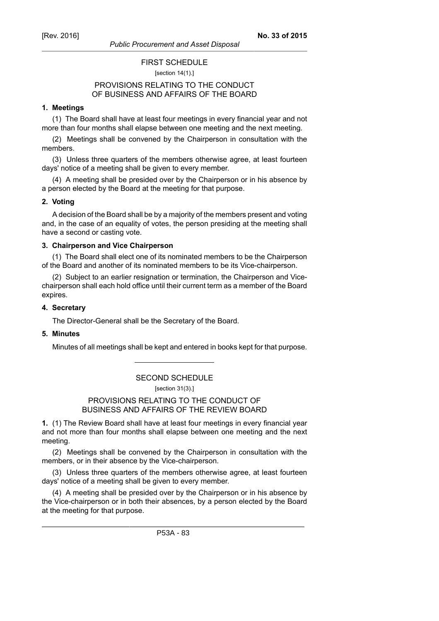# FIRST SCHEDULE

#### [section 14(1).]

# PROVISIONS RELATING TO THE CONDUCT OF BUSINESS AND AFFAIRS OF THE BOARD

# **1. Meetings**

(1) The Board shall have at least four meetings in every financial year and not more than four months shall elapse between one meeting and the next meeting.

(2) Meetings shall be convened by the Chairperson in consultation with the members.

(3) Unless three quarters of the members otherwise agree, at least fourteen days' notice of a meeting shall be given to every member.

(4) A meeting shall be presided over by the Chairperson or in his absence by a person elected by the Board at the meeting for that purpose.

### **2. Voting**

A decision of the Board shall be by a majority of the members present and voting and, in the case of an equality of votes, the person presiding at the meeting shall have a second or casting vote.

### **3. Chairperson and Vice Chairperson**

(1) The Board shall elect one of its nominated members to be the Chairperson of the Board and another of its nominated members to be its Vice-chairperson.

(2) Subject to an earlier resignation or termination, the Chairperson and Vicechairperson shall each hold office until their current term as a member of the Board expires.

#### **4. Secretary**

The Director-General shall be the Secretary of the Board.

## **5. Minutes**

Minutes of all meetings shall be kept and entered in books kept for that purpose.

# SECOND SCHEDULE

[section 31(3).]

# PROVISIONS RELATING TO THE CONDUCT OF BUSINESS AND AFFAIRS OF THE REVIEW BOARD

**1.** (1) The Review Board shall have at least four meetings in every financial year and not more than four months shall elapse between one meeting and the next meeting.

(2) Meetings shall be convened by the Chairperson in consultation with the members, or in their absence by the Vice-chairperson.

(3) Unless three quarters of the members otherwise agree, at least fourteen days' notice of a meeting shall be given to every member.

(4) A meeting shall be presided over by the Chairperson or in his absence by the Vice-chairperson or in both their absences, by a person elected by the Board at the meeting for that purpose.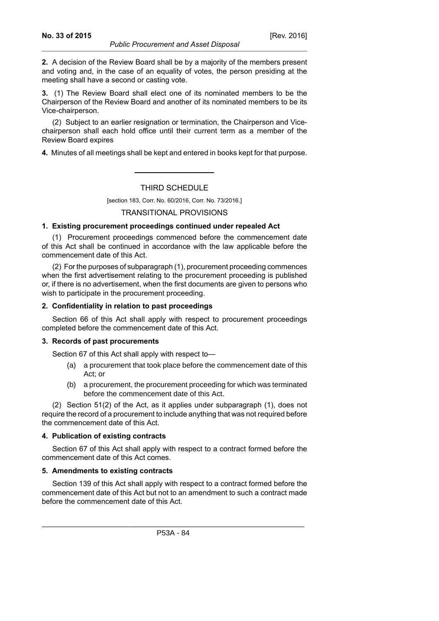**2.** A decision of the Review Board shall be by a majority of the members present and voting and, in the case of an equality of votes, the person presiding at the meeting shall have a second or casting vote.

**3.** (1) The Review Board shall elect one of its nominated members to be the Chairperson of the Review Board and another of its nominated members to be its Vice-chairperson.

(2) Subject to an earlier resignation or termination, the Chairperson and Vicechairperson shall each hold office until their current term as a member of the Review Board expires

**4.** Minutes of all meetings shall be kept and entered in books kept for that purpose.

### THIRD SCHEDULE

[section 183, Corr. No. 60/2016, Corr. No. 73/2016.]

### TRANSITIONAL PROVISIONS

### **1. Existing procurement proceedings continued under repealed Act**

(1) Procurement proceedings commenced before the commencement date of this Act shall be continued in accordance with the law applicable before the commencement date of this Act.

(2) For the purposes of subparagraph (1), procurement proceeding commences when the first advertisement relating to the procurement proceeding is published or, if there is no advertisement, when the first documents are given to persons who wish to participate in the procurement proceeding.

### **2. Confidentiality in relation to past proceedings**

Section 66 of this Act shall apply with respect to procurement proceedings completed before the commencement date of this Act.

#### **3. Records of past procurements**

Section 67 of this Act shall apply with respect to—

- (a) a procurement that took place before the commencement date of this Act; or
- (b) a procurement, the procurement proceeding for which was terminated before the commencement date of this Act.

(2) Section 51(2) of the Act, as it applies under subparagraph (1), does not require the record of a procurement to include anything that was not required before the commencement date of this Act.

### **4. Publication of existing contracts**

Section 67 of this Act shall apply with respect to a contract formed before the commencement date of this Act comes.

### **5. Amendments to existing contracts**

Section 139 of this Act shall apply with respect to a contract formed before the commencement date of this Act but not to an amendment to such a contract made before the commencement date of this Act.